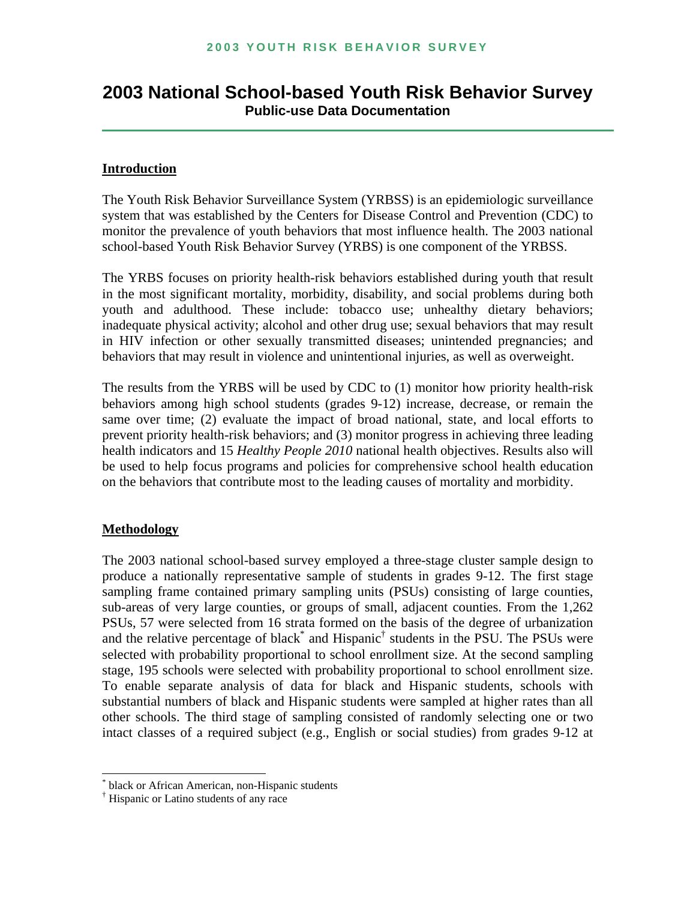# **2003 National School-based Youth Risk Behavior Survey Public-use Data Documentation**

#### **Introduction**

The Youth Risk Behavior Surveillance System (YRBSS) is an epidemiologic surveillance system that was established by the Centers for Disease Control and Prevention (CDC) to monitor the prevalence of youth behaviors that most influence health. The 2003 national school-based Youth Risk Behavior Survey (YRBS) is one component of the YRBSS.

The YRBS focuses on priority health-risk behaviors established during youth that result in the most significant mortality, morbidity, disability, and social problems during both youth and adulthood. These include: tobacco use; unhealthy dietary behaviors; inadequate physical activity; alcohol and other drug use; sexual behaviors that may result in HIV infection or other sexually transmitted diseases; unintended pregnancies; and behaviors that may result in violence and unintentional injuries, as well as overweight.

The results from the YRBS will be used by CDC to (1) monitor how priority health-risk behaviors among high school students (grades 9-12) increase, decrease, or remain the same over time; (2) evaluate the impact of broad national, state, and local efforts to prevent priority health-risk behaviors; and (3) monitor progress in achieving three leading health indicators and 15 *Healthy People 2010* national health objectives. Results also will be used to help focus programs and policies for comprehensive school health education on the behaviors that contribute most to the leading causes of mortality and morbidity.

#### **Methodology**

l

The 2003 national school-based survey employed a three-stage cluster sample design to produce a nationally representative sample of students in grades 9-12. The first stage sampling frame contained primary sampling units (PSUs) consisting of large counties, sub-areas of very large counties, or groups of small, adjacent counties. From the 1,262 PSUs, 57 were selected from 16 strata formed on the basis of the degree of urbanization and the relative percentage of blac[k\\*](#page-0-0) and Hispanic<sup>†</sup> students in the PSU. The PSUs were selected with probability proportional to school enrollment size. At the second sampling stage, 195 schools were selected with probability proportional to school enrollment size. To enable separate analysis of data for black and Hispanic students, schools with substantial numbers of black and Hispanic students were sampled at higher rates than all other schools. The third stage of sampling consisted of randomly selecting one or two intact classes of a required subject (e.g., English or social studies) from grades 9-12 at

<span id="page-0-0"></span>black or African American, non-Hispanic students

<span id="page-0-1"></span><sup>†</sup> Hispanic or Latino students of any race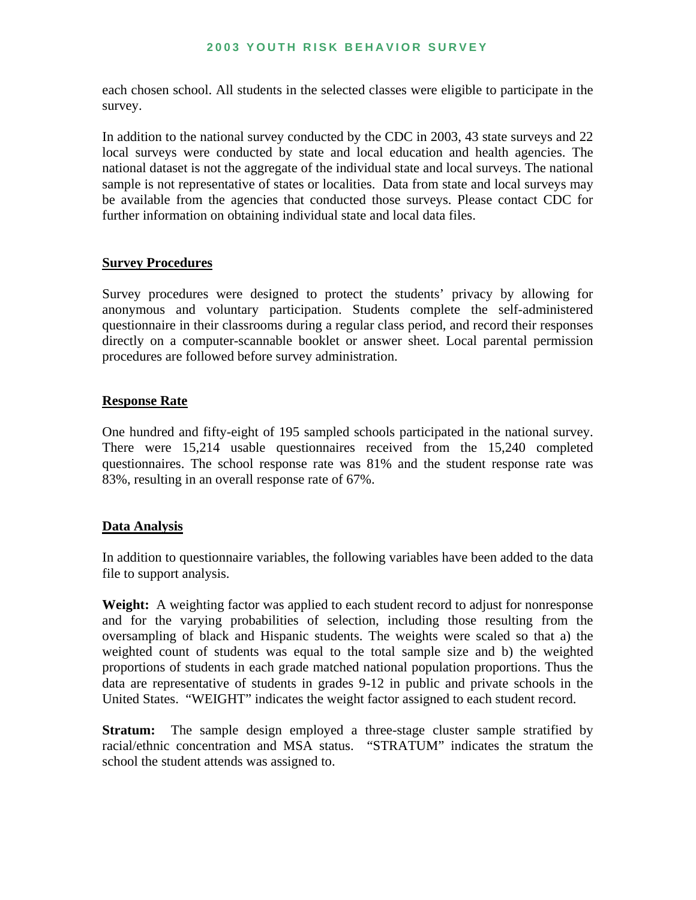each chosen school. All students in the selected classes were eligible to participate in the survey.

In addition to the national survey conducted by the CDC in 2003, 43 state surveys and 22 local surveys were conducted by state and local education and health agencies. The national dataset is not the aggregate of the individual state and local surveys. The national sample is not representative of states or localities. Data from state and local surveys may be available from the agencies that conducted those surveys. Please contact CDC for further information on obtaining individual state and local data files.

#### **Survey Procedures**

Survey procedures were designed to protect the students' privacy by allowing for anonymous and voluntary participation. Students complete the self-administered questionnaire in their classrooms during a regular class period, and record their responses directly on a computer-scannable booklet or answer sheet. Local parental permission procedures are followed before survey administration.

#### **Response Rate**

One hundred and fifty-eight of 195 sampled schools participated in the national survey. There were 15,214 usable questionnaires received from the 15,240 completed questionnaires. The school response rate was 81% and the student response rate was 83%, resulting in an overall response rate of 67%.

#### **Data Analysis**

In addition to questionnaire variables, the following variables have been added to the data file to support analysis.

**Weight:** A weighting factor was applied to each student record to adjust for nonresponse and for the varying probabilities of selection, including those resulting from the oversampling of black and Hispanic students. The weights were scaled so that a) the weighted count of students was equal to the total sample size and b) the weighted proportions of students in each grade matched national population proportions. Thus the data are representative of students in grades 9-12 in public and private schools in the United States. "WEIGHT" indicates the weight factor assigned to each student record.

**Stratum:** The sample design employed a three-stage cluster sample stratified by racial/ethnic concentration and MSA status. "STRATUM" indicates the stratum the school the student attends was assigned to.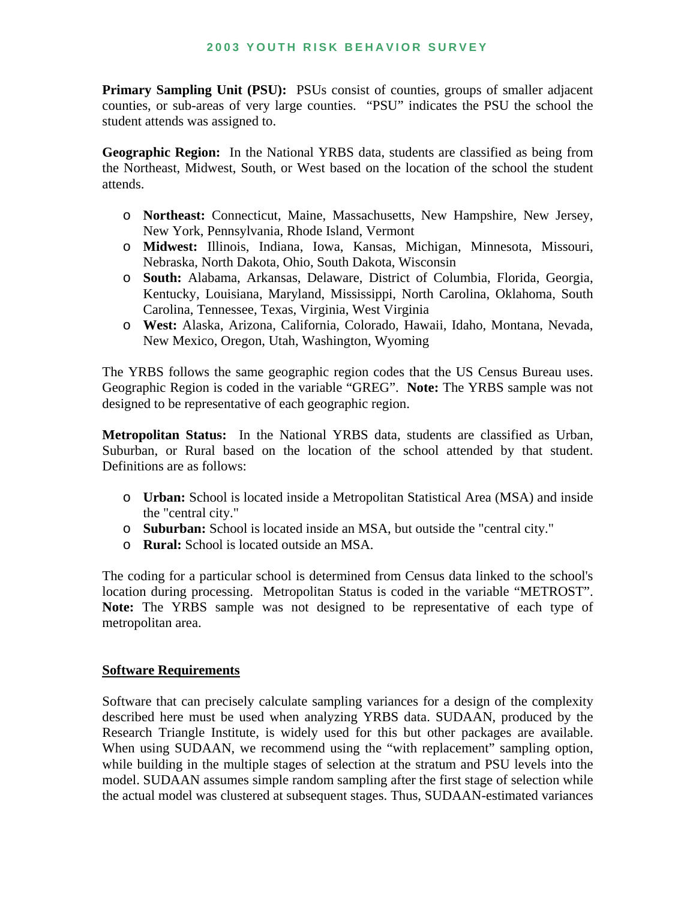**Primary Sampling Unit (PSU):** PSUs consist of counties, groups of smaller adjacent counties, or sub-areas of very large counties. "PSU" indicates the PSU the school the student attends was assigned to.

**Geographic Region:** In the National YRBS data, students are classified as being from the Northeast, Midwest, South, or West based on the location of the school the student attends.

- o **Northeast:** Connecticut, Maine, Massachusetts, New Hampshire, New Jersey, New York, Pennsylvania, Rhode Island, Vermont
- o **Midwest:** Illinois, Indiana, Iowa, Kansas, Michigan, Minnesota, Missouri, Nebraska, North Dakota, Ohio, South Dakota, Wisconsin
- o **South:** Alabama, Arkansas, Delaware, District of Columbia, Florida, Georgia, Kentucky, Louisiana, Maryland, Mississippi, North Carolina, Oklahoma, South Carolina, Tennessee, Texas, Virginia, West Virginia
- o **West:** Alaska, Arizona, California, Colorado, Hawaii, Idaho, Montana, Nevada, New Mexico, Oregon, Utah, Washington, Wyoming

The YRBS follows the same geographic region codes that the US Census Bureau uses. Geographic Region is coded in the variable "GREG". **Note:** The YRBS sample was not designed to be representative of each geographic region.

**Metropolitan Status:** In the National YRBS data, students are classified as Urban, Suburban, or Rural based on the location of the school attended by that student. Definitions are as follows:

- o **Urban:** School is located inside a Metropolitan Statistical Area (MSA) and inside the "central city."
- o **Suburban:** School is located inside an MSA, but outside the "central city."
- o **Rural:** School is located outside an MSA.

The coding for a particular school is determined from Census data linked to the school's location during processing. Metropolitan Status is coded in the variable "METROST". **Note:** The YRBS sample was not designed to be representative of each type of metropolitan area.

#### **Software Requirements**

Software that can precisely calculate sampling variances for a design of the complexity described here must be used when analyzing YRBS data. SUDAAN, produced by the Research Triangle Institute, is widely used for this but other packages are available. When using SUDAAN, we recommend using the "with replacement" sampling option, while building in the multiple stages of selection at the stratum and PSU levels into the model. SUDAAN assumes simple random sampling after the first stage of selection while the actual model was clustered at subsequent stages. Thus, SUDAAN-estimated variances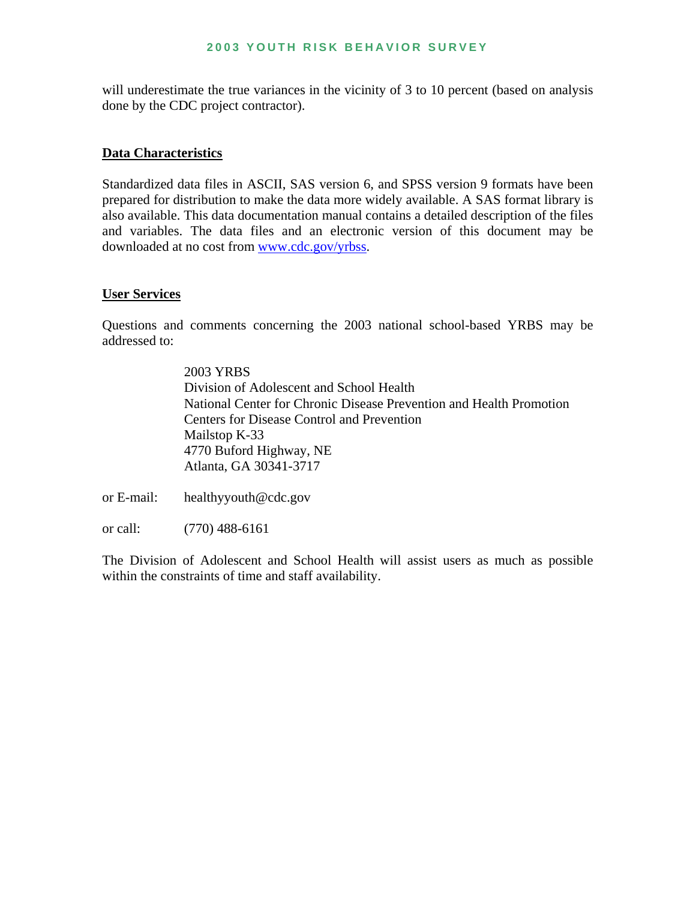#### **2003 YOUTH RISK BEHAVIOR SURVEY**

will underestimate the true variances in the vicinity of 3 to 10 percent (based on analysis done by the CDC project contractor).

#### **Data Characteristics**

Standardized data files in ASCII, SAS version 6, and SPSS version 9 formats have been prepared for distribution to make the data more widely available. A SAS format library is also available. This data documentation manual contains a detailed description of the files and variables. The data files and an electronic version of this document may be downloaded at no cost from www.cdc.gov/yrbss.

#### **User Services**

Questions and comments concerning the 2003 national school-based YRBS may be addressed to:

> 2003 YRBS Division of Adolescent and School Health National Center for Chronic Disease Prevention and Health Promotion Centers for Disease Control and Prevention Mailstop K-33 4770 Buford Highway, NE Atlanta, GA 30341-3717

or E-mail: healthyyouth@cdc.gov

or call: (770) 488-6161

The Division of Adolescent and School Health will assist users as much as possible within the constraints of time and staff availability.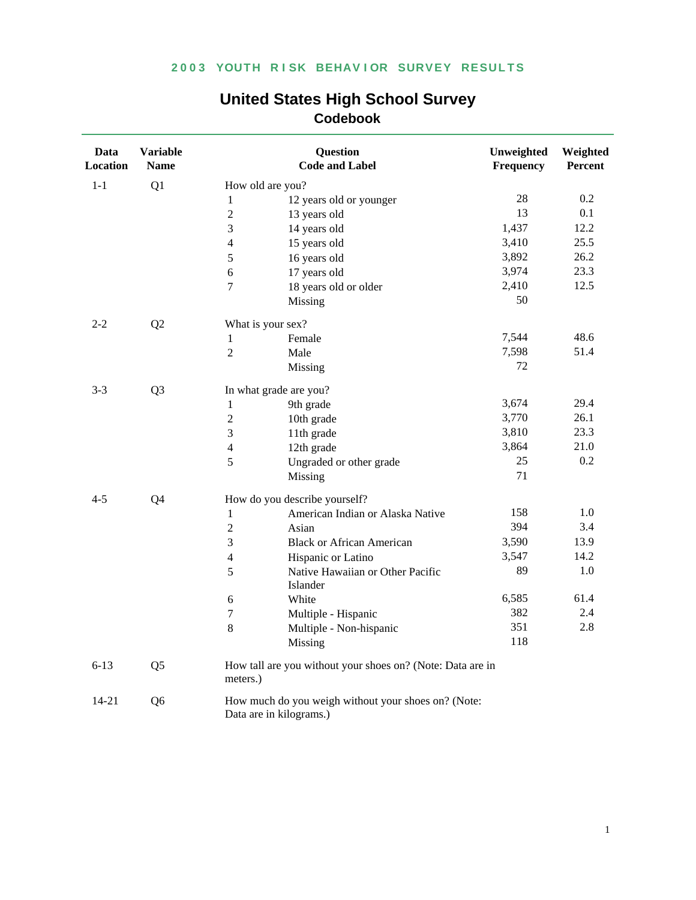| Data<br><b>Location</b> | <b>Variable</b><br><b>Name</b> |                  | <b>Question</b><br><b>Code and Label</b>                                       | Unweighted<br>Frequency | Weighted<br>Percent |
|-------------------------|--------------------------------|------------------|--------------------------------------------------------------------------------|-------------------------|---------------------|
| $1 - 1$                 | Q1                             |                  | How old are you?                                                               |                         |                     |
|                         |                                | $\,1$            | 12 years old or younger                                                        | 28                      | 0.2                 |
|                         |                                | $\sqrt{2}$       | 13 years old                                                                   | 13                      | 0.1                 |
|                         |                                | $\mathfrak{Z}$   | 14 years old                                                                   | 1,437                   | 12.2                |
|                         |                                | $\overline{4}$   | 15 years old                                                                   | 3,410                   | 25.5                |
|                         |                                | 5                | 16 years old                                                                   | 3,892                   | 26.2                |
|                         |                                | 6                | 17 years old                                                                   | 3,974                   | 23.3                |
|                         |                                | $\overline{7}$   | 18 years old or older                                                          | 2,410                   | 12.5                |
|                         |                                |                  | Missing                                                                        | 50                      |                     |
| $2 - 2$                 | Q2                             |                  | What is your sex?                                                              |                         |                     |
|                         |                                | $\mathbf{1}$     | Female                                                                         | 7,544                   | 48.6                |
|                         |                                | $\overline{2}$   | Male                                                                           | 7,598                   | 51.4                |
|                         |                                |                  | Missing                                                                        | 72                      |                     |
| $3 - 3$                 | Q <sub>3</sub>                 |                  | In what grade are you?                                                         |                         |                     |
|                         |                                | $\mathbf{1}$     | 9th grade                                                                      | 3,674                   | 29.4                |
|                         |                                | $\sqrt{2}$       | 10th grade                                                                     | 3,770                   | 26.1                |
|                         |                                | 3                | 11th grade                                                                     | 3,810                   | 23.3                |
|                         |                                | $\overline{4}$   | 12th grade                                                                     | 3,864                   | 21.0                |
|                         |                                | 5                | Ungraded or other grade                                                        | 25                      | 0.2                 |
|                         |                                |                  | Missing                                                                        | 71                      |                     |
| $4 - 5$                 | Q4                             |                  | How do you describe yourself?                                                  |                         |                     |
|                         |                                | $\mathbf{1}$     | American Indian or Alaska Native                                               | 158                     | 1.0                 |
|                         |                                | $\sqrt{2}$       | Asian                                                                          | 394                     | 3.4                 |
|                         |                                | 3                | <b>Black or African American</b>                                               | 3,590                   | 13.9                |
|                         |                                | $\overline{4}$   | Hispanic or Latino                                                             | 3,547                   | 14.2                |
|                         |                                | 5                | Native Hawaiian or Other Pacific                                               | 89                      | 1.0                 |
|                         |                                |                  | Islander                                                                       | 6,585                   | 61.4                |
|                         |                                | 6                | White                                                                          | 382                     | 2.4                 |
|                         |                                | $\boldsymbol{7}$ | Multiple - Hispanic                                                            |                         |                     |
|                         |                                | 8                | Multiple - Non-hispanic<br>Missing                                             | 351<br>118              | 2.8                 |
| $6 - 13$                | Q <sub>5</sub>                 | meters.)         | How tall are you without your shoes on? (Note: Data are in                     |                         |                     |
| $14 - 21$               | Q <sub>6</sub>                 |                  | How much do you weigh without your shoes on? (Note:<br>Data are in kilograms.) |                         |                     |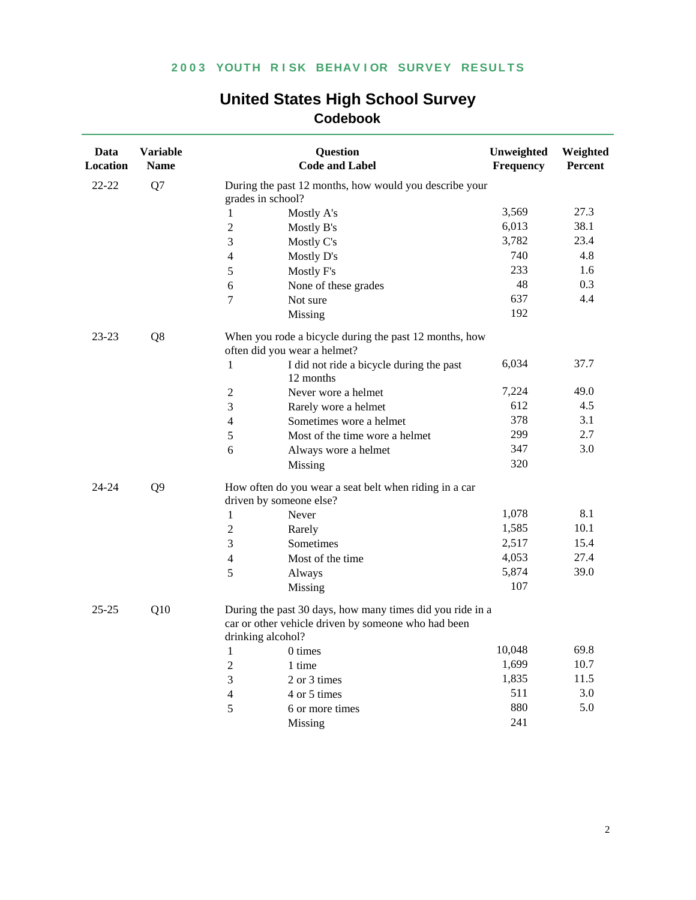| Data<br>Location | <b>Variable</b><br><b>Name</b> |                   | Question<br><b>Code and Label</b>                                                                                | Unweighted<br>Frequency | Weighted<br>Percent |
|------------------|--------------------------------|-------------------|------------------------------------------------------------------------------------------------------------------|-------------------------|---------------------|
| 22-22            | Q7                             | grades in school? | During the past 12 months, how would you describe your                                                           |                         |                     |
|                  |                                | 1                 | Mostly A's                                                                                                       | 3,569                   | 27.3                |
|                  |                                | $\overline{2}$    | Mostly B's                                                                                                       | 6,013                   | 38.1                |
|                  |                                | 3                 | Mostly C's                                                                                                       | 3,782                   | 23.4                |
|                  |                                | $\overline{4}$    | Mostly D's                                                                                                       | 740                     | 4.8                 |
|                  |                                | 5                 | Mostly F's                                                                                                       | 233                     | 1.6                 |
|                  |                                | 6                 | None of these grades                                                                                             | 48                      | 0.3                 |
|                  |                                | 7                 | Not sure                                                                                                         | 637                     | 4.4                 |
|                  |                                |                   | Missing                                                                                                          | 192                     |                     |
| 23-23            | Q8                             |                   | When you rode a bicycle during the past 12 months, how<br>often did you wear a helmet?                           |                         |                     |
|                  |                                | 1                 | I did not ride a bicycle during the past<br>12 months                                                            | 6,034                   | 37.7                |
|                  |                                | $\overline{2}$    | Never wore a helmet                                                                                              | 7,224                   | 49.0                |
|                  |                                | 3                 | Rarely wore a helmet                                                                                             | 612                     | 4.5                 |
|                  |                                | $\overline{4}$    | Sometimes wore a helmet                                                                                          | 378                     | 3.1                 |
|                  |                                | 5                 | Most of the time wore a helmet                                                                                   | 299                     | 2.7                 |
|                  |                                | 6                 | Always wore a helmet                                                                                             | 347                     | 3.0                 |
|                  |                                |                   | Missing                                                                                                          | 320                     |                     |
| 24-24            | Q <sub>9</sub>                 |                   | How often do you wear a seat belt when riding in a car<br>driven by someone else?                                |                         |                     |
|                  |                                | 1                 | Never                                                                                                            | 1,078                   | 8.1                 |
|                  |                                | $\overline{2}$    | Rarely                                                                                                           | 1,585                   | 10.1                |
|                  |                                | 3                 | Sometimes                                                                                                        | 2,517                   | 15.4                |
|                  |                                | 4                 | Most of the time                                                                                                 | 4,053                   | 27.4                |
|                  |                                | 5                 | Always                                                                                                           | 5,874                   | 39.0                |
|                  |                                |                   | Missing                                                                                                          | 107                     |                     |
| $25 - 25$        | Q10                            | drinking alcohol? | During the past 30 days, how many times did you ride in a<br>car or other vehicle driven by someone who had been |                         |                     |
|                  |                                | $\mathbf{1}$      | 0 times                                                                                                          | 10,048                  | 69.8                |
|                  |                                | $\overline{2}$    | 1 time                                                                                                           | 1,699                   | 10.7                |
|                  |                                | 3                 | 2 or 3 times                                                                                                     | 1,835                   | 11.5                |
|                  |                                | 4                 | 4 or 5 times                                                                                                     | 511                     | 3.0                 |
|                  |                                | 5                 | 6 or more times                                                                                                  | 880                     | 5.0                 |
|                  |                                |                   | Missing                                                                                                          | 241                     |                     |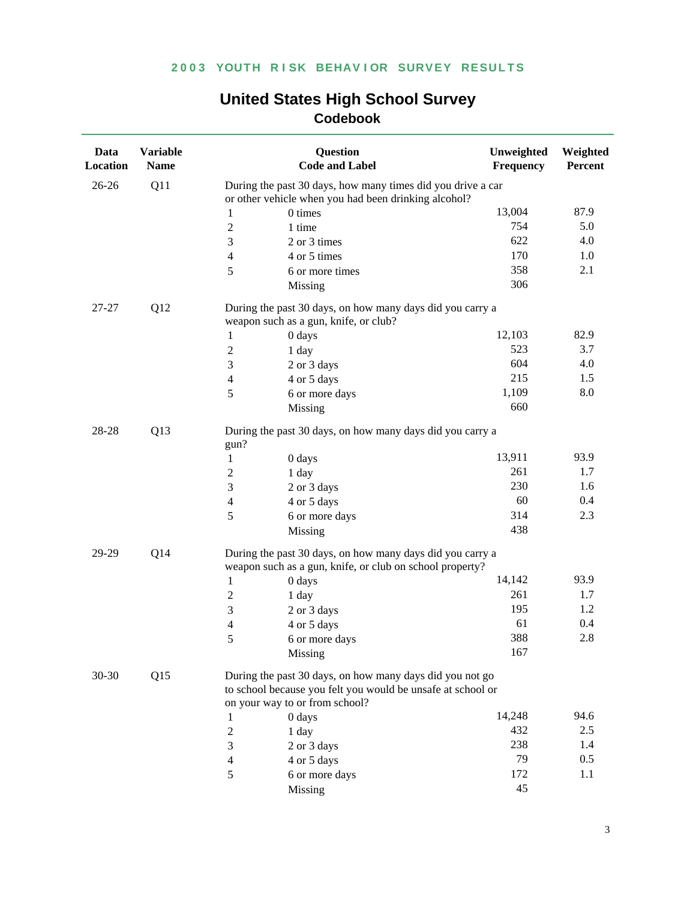| Data<br>Location | <b>Variable</b><br><b>Name</b> |                                                                                                                       | <b>Question</b><br><b>Code and Label</b>                                                                                | Unweighted<br>Frequency | Weighted<br>Percent |  |
|------------------|--------------------------------|-----------------------------------------------------------------------------------------------------------------------|-------------------------------------------------------------------------------------------------------------------------|-------------------------|---------------------|--|
| $26 - 26$        | Q11                            |                                                                                                                       | During the past 30 days, how many times did you drive a car<br>or other vehicle when you had been drinking alcohol?     |                         |                     |  |
|                  |                                | 1                                                                                                                     | 0 times                                                                                                                 | 13,004                  | 87.9                |  |
|                  |                                | $\overline{c}$                                                                                                        | 1 time                                                                                                                  | 754                     | 5.0                 |  |
|                  |                                | 3                                                                                                                     | 2 or 3 times                                                                                                            | 622                     | 4.0                 |  |
|                  |                                | $\overline{4}$                                                                                                        | 4 or 5 times                                                                                                            | 170                     | 1.0                 |  |
|                  |                                | 5                                                                                                                     | 6 or more times                                                                                                         | 358                     | 2.1                 |  |
|                  |                                |                                                                                                                       | Missing                                                                                                                 | 306                     |                     |  |
| 27-27            | Q12                            |                                                                                                                       | During the past 30 days, on how many days did you carry a<br>weapon such as a gun, knife, or club?                      |                         |                     |  |
|                  |                                | 1                                                                                                                     | 0 days                                                                                                                  | 12,103                  | 82.9                |  |
|                  |                                | $\overline{c}$                                                                                                        | 1 day                                                                                                                   | 523                     | 3.7                 |  |
|                  |                                | 3                                                                                                                     | 2 or 3 days                                                                                                             | 604                     | 4.0                 |  |
|                  |                                | $\overline{4}$                                                                                                        | 4 or 5 days                                                                                                             | 215                     | 1.5                 |  |
|                  |                                | 5                                                                                                                     | 6 or more days                                                                                                          | 1,109                   | 8.0                 |  |
|                  |                                |                                                                                                                       | Missing                                                                                                                 | 660                     |                     |  |
| 28-28<br>Q13     |                                | During the past 30 days, on how many days did you carry a<br>gun?                                                     |                                                                                                                         |                         |                     |  |
|                  |                                | 1                                                                                                                     | 0 days                                                                                                                  | 13,911                  | 93.9                |  |
|                  |                                | $\overline{c}$                                                                                                        | 1 day                                                                                                                   | 261                     | 1.7                 |  |
|                  |                                | 3                                                                                                                     | 2 or 3 days                                                                                                             | 230                     | 1.6                 |  |
|                  |                                | $\overline{4}$                                                                                                        | 4 or 5 days                                                                                                             | 60                      | 0.4                 |  |
|                  |                                | 5                                                                                                                     | 6 or more days                                                                                                          | 314                     | 2.3                 |  |
|                  |                                |                                                                                                                       | Missing                                                                                                                 | 438                     |                     |  |
| 29-29            | Q14                            | During the past 30 days, on how many days did you carry a<br>weapon such as a gun, knife, or club on school property? |                                                                                                                         |                         |                     |  |
|                  |                                | $\mathbf{1}$                                                                                                          | 0 days                                                                                                                  | 14,142                  | 93.9                |  |
|                  |                                | 2                                                                                                                     | 1 day                                                                                                                   | 261                     | 1.7                 |  |
|                  |                                | 3                                                                                                                     | 2 or 3 days                                                                                                             | 195                     | 1.2                 |  |
|                  |                                | 4                                                                                                                     | 4 or 5 days                                                                                                             | 61                      | 0.4                 |  |
|                  |                                | 5                                                                                                                     | 6 or more days                                                                                                          | 388                     | 2.8                 |  |
|                  |                                |                                                                                                                       | Missing                                                                                                                 | 167                     |                     |  |
| $30 - 30$        | Q15                            |                                                                                                                       | During the past 30 days, on how many days did you not go<br>to school because you felt you would be unsafe at school or |                         |                     |  |
|                  |                                |                                                                                                                       | on your way to or from school?                                                                                          |                         |                     |  |
|                  |                                | 1                                                                                                                     | 0 days                                                                                                                  | 14,248                  | 94.6                |  |
|                  |                                | 2                                                                                                                     | 1 day                                                                                                                   | 432                     | 2.5                 |  |
|                  |                                | 3                                                                                                                     | 2 or 3 days                                                                                                             | 238                     | 1.4                 |  |
|                  |                                | 4                                                                                                                     | 4 or 5 days                                                                                                             | 79                      | 0.5                 |  |
|                  |                                | 5                                                                                                                     | 6 or more days                                                                                                          | 172                     | 1.1                 |  |
|                  |                                |                                                                                                                       | Missing                                                                                                                 | 45                      |                     |  |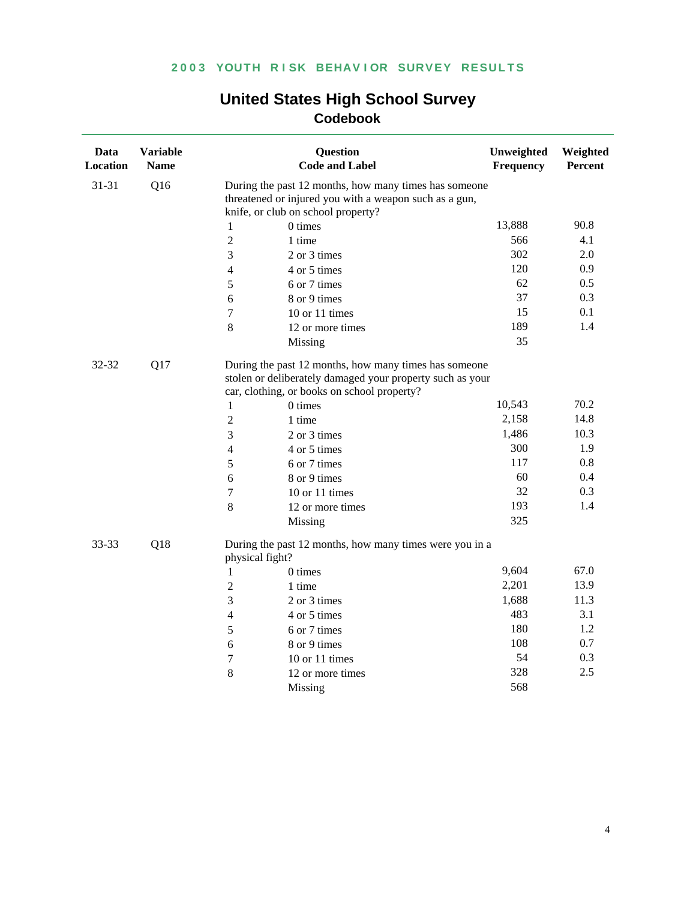| <b>United States High School Survey</b> |
|-----------------------------------------|
| <b>Codebook</b>                         |

| Data<br>Location | <b>Variable</b><br><b>Name</b> |                          | <b>Question</b><br><b>Code and Label</b>                                                                                                                          | Unweighted<br>Frequency | Weighted<br>Percent |
|------------------|--------------------------------|--------------------------|-------------------------------------------------------------------------------------------------------------------------------------------------------------------|-------------------------|---------------------|
| 31-31            | Q16                            |                          | During the past 12 months, how many times has someone<br>threatened or injured you with a weapon such as a gun,                                                   |                         |                     |
|                  |                                |                          | knife, or club on school property?                                                                                                                                |                         |                     |
|                  |                                | 1                        | 0 times                                                                                                                                                           | 13,888                  | 90.8                |
|                  |                                | $\overline{2}$           | 1 time                                                                                                                                                            | 566                     | 4.1                 |
|                  |                                | 3                        | 2 or 3 times                                                                                                                                                      | 302                     | 2.0                 |
|                  |                                | $\overline{4}$           | 4 or 5 times                                                                                                                                                      | 120                     | 0.9                 |
|                  |                                | 5                        | 6 or 7 times                                                                                                                                                      | 62                      | 0.5                 |
|                  |                                | 6                        | 8 or 9 times                                                                                                                                                      | 37                      | 0.3                 |
|                  |                                | $\boldsymbol{7}$         | 10 or 11 times                                                                                                                                                    | 15                      | 0.1                 |
|                  |                                | 8                        | 12 or more times                                                                                                                                                  | 189                     | 1.4                 |
|                  |                                |                          | Missing                                                                                                                                                           | 35                      |                     |
| 32-32            | Q17                            |                          | During the past 12 months, how many times has someone<br>stolen or deliberately damaged your property such as your<br>car, clothing, or books on school property? |                         |                     |
|                  |                                | 1                        | 0 times                                                                                                                                                           | 10,543                  | 70.2                |
|                  |                                | $\overline{2}$           | 1 time                                                                                                                                                            | 2,158                   | 14.8                |
|                  |                                | 3                        | 2 or 3 times                                                                                                                                                      | 1,486                   | 10.3                |
|                  |                                | $\overline{\mathcal{L}}$ | 4 or 5 times                                                                                                                                                      | 300                     | 1.9                 |
|                  |                                | 5                        | 6 or 7 times                                                                                                                                                      | 117                     | 0.8                 |
|                  |                                | 6                        | 8 or 9 times                                                                                                                                                      | 60                      | 0.4                 |
|                  |                                | 7                        | 10 or 11 times                                                                                                                                                    | 32                      | 0.3                 |
|                  |                                | 8                        | 12 or more times                                                                                                                                                  | 193                     | 1.4                 |
|                  |                                |                          | Missing                                                                                                                                                           | 325                     |                     |
| 33-33            | Q18                            | physical fight?          | During the past 12 months, how many times were you in a                                                                                                           |                         |                     |
|                  |                                | $\mathbf{1}$             | 0 times                                                                                                                                                           | 9,604                   | 67.0                |
|                  |                                | $\overline{2}$           | 1 time                                                                                                                                                            | 2,201                   | 13.9                |
|                  |                                | 3                        | 2 or 3 times                                                                                                                                                      | 1,688                   | 11.3                |
|                  |                                | $\overline{4}$           | 4 or 5 times                                                                                                                                                      | 483                     | 3.1                 |
|                  |                                | 5                        | 6 or 7 times                                                                                                                                                      | 180                     | 1.2                 |
|                  |                                | 6                        | 8 or 9 times                                                                                                                                                      | 108                     | 0.7                 |
|                  |                                | $\overline{7}$           | 10 or 11 times                                                                                                                                                    | 54                      | 0.3                 |
|                  |                                | 8                        | 12 or more times                                                                                                                                                  | 328                     | 2.5                 |
|                  |                                |                          | Missing                                                                                                                                                           | 568                     |                     |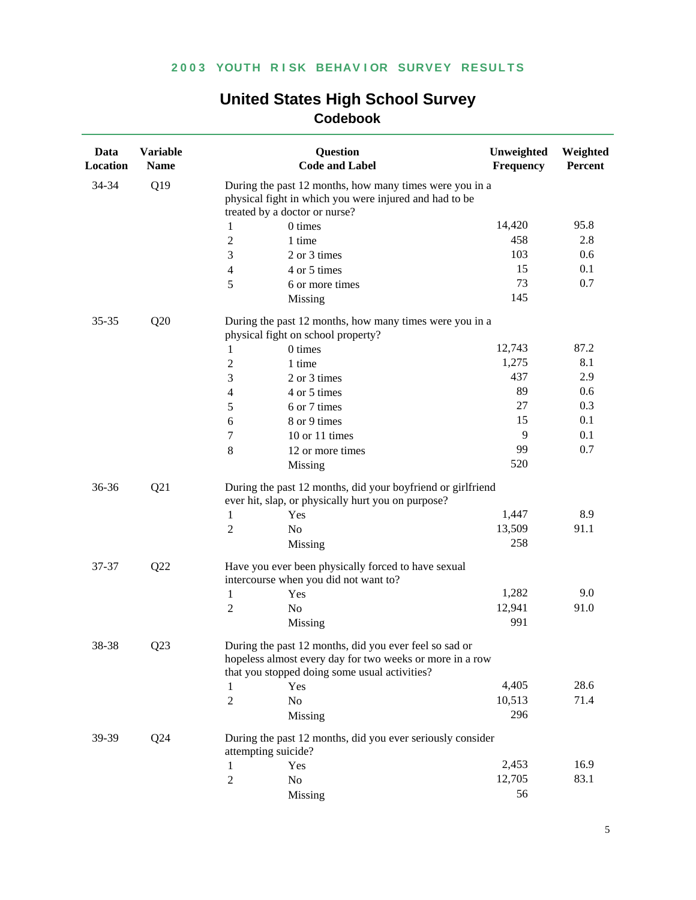| 34-34<br>Q19<br>During the past 12 months, how many times were you in a<br>physical fight in which you were injured and had to be<br>treated by a doctor or nurse?<br>14,420<br>95.8<br>0 times<br>1<br>458<br>$\overline{c}$<br>1 time<br>2.8<br>103<br>0.6<br>3<br>2 or 3 times<br>15<br>0.1<br>4 or 5 times<br>4<br>0.7<br>73<br>5<br>6 or more times<br>145<br>Missing<br>Q20<br>During the past 12 months, how many times were you in a<br>$35 - 35$<br>physical fight on school property?<br>87.2<br>12,743<br>0 times<br>1<br>1,275<br>8.1<br>$\overline{c}$<br>1 time<br>437<br>2.9<br>3<br>2 or 3 times<br>89<br>0.6<br>4 or 5 times<br>4<br>27<br>0.3<br>5<br>6 or 7 times<br>15<br>0.1<br>8 or 9 times<br>6<br>9<br>0.1<br>10 or 11 times<br>7<br>0.7<br>99<br>8<br>12 or more times<br>520<br>Missing<br>Q21<br>During the past 12 months, did your boyfriend or girlfriend<br>36-36<br>ever hit, slap, or physically hurt you on purpose?<br>8.9<br>1,447<br>Yes<br>1<br>91.1<br>13,509<br>$\overline{c}$<br>No<br>258<br>Missing<br>Q22<br>Have you ever been physically forced to have sexual<br>37-37<br>intercourse when you did not want to?<br>9.0<br>1,282<br>1<br>Yes<br>12,941<br>91.0<br>$\overline{c}$<br>No<br>991<br>Missing<br>O <sub>23</sub><br>38-38<br>During the past 12 months, did you ever feel so sad or<br>hopeless almost every day for two weeks or more in a row<br>that you stopped doing some usual activities?<br>28.6<br>4,405<br>Yes<br>1<br>71.4<br>2<br>No<br>10,513<br>296<br>Missing<br>Q24<br>During the past 12 months, did you ever seriously consider<br>39-39<br>attempting suicide?<br>2,453<br>16.9<br>1<br>Yes<br>12,705<br>83.1<br>$\overline{c}$<br>No | Data<br>Location | <b>Variable</b><br><b>Name</b> | <b>Question</b><br><b>Code and Label</b> | Unweighted<br>Frequency | Weighted<br>Percent |  |  |
|-------------------------------------------------------------------------------------------------------------------------------------------------------------------------------------------------------------------------------------------------------------------------------------------------------------------------------------------------------------------------------------------------------------------------------------------------------------------------------------------------------------------------------------------------------------------------------------------------------------------------------------------------------------------------------------------------------------------------------------------------------------------------------------------------------------------------------------------------------------------------------------------------------------------------------------------------------------------------------------------------------------------------------------------------------------------------------------------------------------------------------------------------------------------------------------------------------------------------------------------------------------------------------------------------------------------------------------------------------------------------------------------------------------------------------------------------------------------------------------------------------------------------------------------------------------------------------------------------------------------------------------------------------------------------------------------------------------------|------------------|--------------------------------|------------------------------------------|-------------------------|---------------------|--|--|
|                                                                                                                                                                                                                                                                                                                                                                                                                                                                                                                                                                                                                                                                                                                                                                                                                                                                                                                                                                                                                                                                                                                                                                                                                                                                                                                                                                                                                                                                                                                                                                                                                                                                                                                   |                  |                                |                                          |                         |                     |  |  |
|                                                                                                                                                                                                                                                                                                                                                                                                                                                                                                                                                                                                                                                                                                                                                                                                                                                                                                                                                                                                                                                                                                                                                                                                                                                                                                                                                                                                                                                                                                                                                                                                                                                                                                                   |                  |                                |                                          |                         |                     |  |  |
|                                                                                                                                                                                                                                                                                                                                                                                                                                                                                                                                                                                                                                                                                                                                                                                                                                                                                                                                                                                                                                                                                                                                                                                                                                                                                                                                                                                                                                                                                                                                                                                                                                                                                                                   |                  |                                |                                          |                         |                     |  |  |
|                                                                                                                                                                                                                                                                                                                                                                                                                                                                                                                                                                                                                                                                                                                                                                                                                                                                                                                                                                                                                                                                                                                                                                                                                                                                                                                                                                                                                                                                                                                                                                                                                                                                                                                   |                  |                                |                                          |                         |                     |  |  |
|                                                                                                                                                                                                                                                                                                                                                                                                                                                                                                                                                                                                                                                                                                                                                                                                                                                                                                                                                                                                                                                                                                                                                                                                                                                                                                                                                                                                                                                                                                                                                                                                                                                                                                                   |                  |                                |                                          |                         |                     |  |  |
|                                                                                                                                                                                                                                                                                                                                                                                                                                                                                                                                                                                                                                                                                                                                                                                                                                                                                                                                                                                                                                                                                                                                                                                                                                                                                                                                                                                                                                                                                                                                                                                                                                                                                                                   |                  |                                |                                          |                         |                     |  |  |
|                                                                                                                                                                                                                                                                                                                                                                                                                                                                                                                                                                                                                                                                                                                                                                                                                                                                                                                                                                                                                                                                                                                                                                                                                                                                                                                                                                                                                                                                                                                                                                                                                                                                                                                   |                  |                                |                                          |                         |                     |  |  |
|                                                                                                                                                                                                                                                                                                                                                                                                                                                                                                                                                                                                                                                                                                                                                                                                                                                                                                                                                                                                                                                                                                                                                                                                                                                                                                                                                                                                                                                                                                                                                                                                                                                                                                                   |                  |                                |                                          |                         |                     |  |  |
|                                                                                                                                                                                                                                                                                                                                                                                                                                                                                                                                                                                                                                                                                                                                                                                                                                                                                                                                                                                                                                                                                                                                                                                                                                                                                                                                                                                                                                                                                                                                                                                                                                                                                                                   |                  |                                |                                          |                         |                     |  |  |
|                                                                                                                                                                                                                                                                                                                                                                                                                                                                                                                                                                                                                                                                                                                                                                                                                                                                                                                                                                                                                                                                                                                                                                                                                                                                                                                                                                                                                                                                                                                                                                                                                                                                                                                   |                  |                                |                                          |                         |                     |  |  |
|                                                                                                                                                                                                                                                                                                                                                                                                                                                                                                                                                                                                                                                                                                                                                                                                                                                                                                                                                                                                                                                                                                                                                                                                                                                                                                                                                                                                                                                                                                                                                                                                                                                                                                                   |                  |                                |                                          |                         |                     |  |  |
|                                                                                                                                                                                                                                                                                                                                                                                                                                                                                                                                                                                                                                                                                                                                                                                                                                                                                                                                                                                                                                                                                                                                                                                                                                                                                                                                                                                                                                                                                                                                                                                                                                                                                                                   |                  |                                |                                          |                         |                     |  |  |
|                                                                                                                                                                                                                                                                                                                                                                                                                                                                                                                                                                                                                                                                                                                                                                                                                                                                                                                                                                                                                                                                                                                                                                                                                                                                                                                                                                                                                                                                                                                                                                                                                                                                                                                   |                  |                                |                                          |                         |                     |  |  |
|                                                                                                                                                                                                                                                                                                                                                                                                                                                                                                                                                                                                                                                                                                                                                                                                                                                                                                                                                                                                                                                                                                                                                                                                                                                                                                                                                                                                                                                                                                                                                                                                                                                                                                                   |                  |                                |                                          |                         |                     |  |  |
|                                                                                                                                                                                                                                                                                                                                                                                                                                                                                                                                                                                                                                                                                                                                                                                                                                                                                                                                                                                                                                                                                                                                                                                                                                                                                                                                                                                                                                                                                                                                                                                                                                                                                                                   |                  |                                |                                          |                         |                     |  |  |
|                                                                                                                                                                                                                                                                                                                                                                                                                                                                                                                                                                                                                                                                                                                                                                                                                                                                                                                                                                                                                                                                                                                                                                                                                                                                                                                                                                                                                                                                                                                                                                                                                                                                                                                   |                  |                                |                                          |                         |                     |  |  |
|                                                                                                                                                                                                                                                                                                                                                                                                                                                                                                                                                                                                                                                                                                                                                                                                                                                                                                                                                                                                                                                                                                                                                                                                                                                                                                                                                                                                                                                                                                                                                                                                                                                                                                                   |                  |                                |                                          |                         |                     |  |  |
|                                                                                                                                                                                                                                                                                                                                                                                                                                                                                                                                                                                                                                                                                                                                                                                                                                                                                                                                                                                                                                                                                                                                                                                                                                                                                                                                                                                                                                                                                                                                                                                                                                                                                                                   |                  |                                |                                          |                         |                     |  |  |
|                                                                                                                                                                                                                                                                                                                                                                                                                                                                                                                                                                                                                                                                                                                                                                                                                                                                                                                                                                                                                                                                                                                                                                                                                                                                                                                                                                                                                                                                                                                                                                                                                                                                                                                   |                  |                                |                                          |                         |                     |  |  |
|                                                                                                                                                                                                                                                                                                                                                                                                                                                                                                                                                                                                                                                                                                                                                                                                                                                                                                                                                                                                                                                                                                                                                                                                                                                                                                                                                                                                                                                                                                                                                                                                                                                                                                                   |                  |                                |                                          |                         |                     |  |  |
|                                                                                                                                                                                                                                                                                                                                                                                                                                                                                                                                                                                                                                                                                                                                                                                                                                                                                                                                                                                                                                                                                                                                                                                                                                                                                                                                                                                                                                                                                                                                                                                                                                                                                                                   |                  |                                |                                          |                         |                     |  |  |
|                                                                                                                                                                                                                                                                                                                                                                                                                                                                                                                                                                                                                                                                                                                                                                                                                                                                                                                                                                                                                                                                                                                                                                                                                                                                                                                                                                                                                                                                                                                                                                                                                                                                                                                   |                  |                                |                                          |                         |                     |  |  |
|                                                                                                                                                                                                                                                                                                                                                                                                                                                                                                                                                                                                                                                                                                                                                                                                                                                                                                                                                                                                                                                                                                                                                                                                                                                                                                                                                                                                                                                                                                                                                                                                                                                                                                                   |                  |                                |                                          |                         |                     |  |  |
|                                                                                                                                                                                                                                                                                                                                                                                                                                                                                                                                                                                                                                                                                                                                                                                                                                                                                                                                                                                                                                                                                                                                                                                                                                                                                                                                                                                                                                                                                                                                                                                                                                                                                                                   |                  |                                |                                          |                         |                     |  |  |
|                                                                                                                                                                                                                                                                                                                                                                                                                                                                                                                                                                                                                                                                                                                                                                                                                                                                                                                                                                                                                                                                                                                                                                                                                                                                                                                                                                                                                                                                                                                                                                                                                                                                                                                   |                  |                                |                                          |                         |                     |  |  |
|                                                                                                                                                                                                                                                                                                                                                                                                                                                                                                                                                                                                                                                                                                                                                                                                                                                                                                                                                                                                                                                                                                                                                                                                                                                                                                                                                                                                                                                                                                                                                                                                                                                                                                                   |                  |                                |                                          |                         |                     |  |  |
|                                                                                                                                                                                                                                                                                                                                                                                                                                                                                                                                                                                                                                                                                                                                                                                                                                                                                                                                                                                                                                                                                                                                                                                                                                                                                                                                                                                                                                                                                                                                                                                                                                                                                                                   |                  |                                |                                          |                         |                     |  |  |
|                                                                                                                                                                                                                                                                                                                                                                                                                                                                                                                                                                                                                                                                                                                                                                                                                                                                                                                                                                                                                                                                                                                                                                                                                                                                                                                                                                                                                                                                                                                                                                                                                                                                                                                   |                  |                                |                                          |                         |                     |  |  |
|                                                                                                                                                                                                                                                                                                                                                                                                                                                                                                                                                                                                                                                                                                                                                                                                                                                                                                                                                                                                                                                                                                                                                                                                                                                                                                                                                                                                                                                                                                                                                                                                                                                                                                                   |                  |                                |                                          |                         |                     |  |  |
|                                                                                                                                                                                                                                                                                                                                                                                                                                                                                                                                                                                                                                                                                                                                                                                                                                                                                                                                                                                                                                                                                                                                                                                                                                                                                                                                                                                                                                                                                                                                                                                                                                                                                                                   |                  |                                |                                          |                         |                     |  |  |
|                                                                                                                                                                                                                                                                                                                                                                                                                                                                                                                                                                                                                                                                                                                                                                                                                                                                                                                                                                                                                                                                                                                                                                                                                                                                                                                                                                                                                                                                                                                                                                                                                                                                                                                   |                  |                                |                                          |                         |                     |  |  |
|                                                                                                                                                                                                                                                                                                                                                                                                                                                                                                                                                                                                                                                                                                                                                                                                                                                                                                                                                                                                                                                                                                                                                                                                                                                                                                                                                                                                                                                                                                                                                                                                                                                                                                                   |                  |                                |                                          |                         |                     |  |  |
|                                                                                                                                                                                                                                                                                                                                                                                                                                                                                                                                                                                                                                                                                                                                                                                                                                                                                                                                                                                                                                                                                                                                                                                                                                                                                                                                                                                                                                                                                                                                                                                                                                                                                                                   |                  |                                | Missing                                  | 56                      |                     |  |  |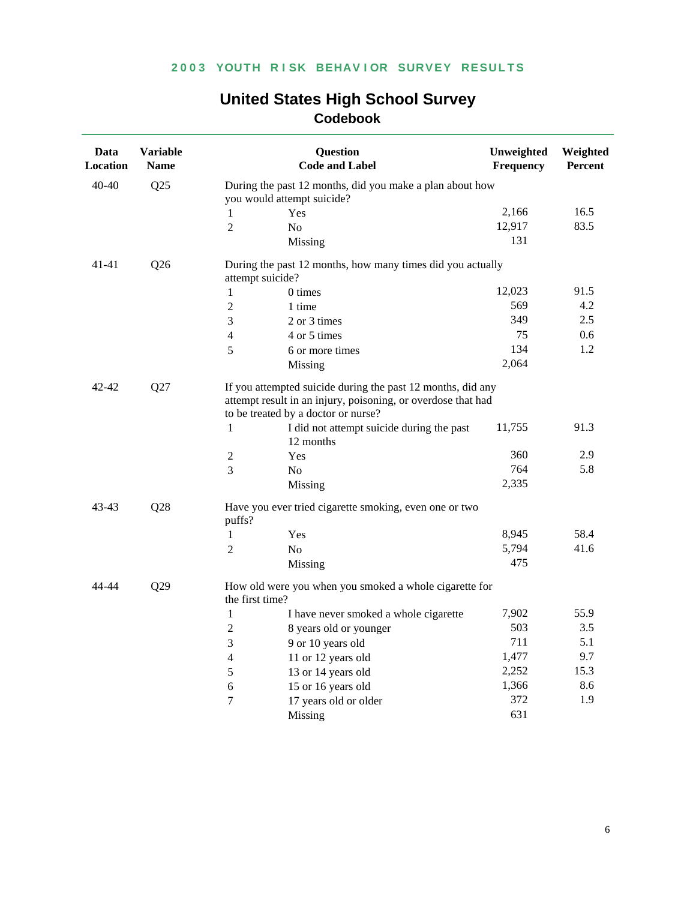| <b>United States High School Survey</b> |
|-----------------------------------------|
| Codebook                                |

| Data<br>Location | <b>Variable</b><br><b>Name</b> |                                     | <b>Question</b><br><b>Code and Label</b>                                                                                    | Unweighted<br><b>Frequency</b> | Weighted<br><b>Percent</b> |
|------------------|--------------------------------|-------------------------------------|-----------------------------------------------------------------------------------------------------------------------------|--------------------------------|----------------------------|
| $40 - 40$        | Q25                            |                                     | During the past 12 months, did you make a plan about how                                                                    |                                |                            |
|                  |                                | you would attempt suicide?          |                                                                                                                             |                                |                            |
|                  |                                | $\mathbf{1}$<br>Yes                 |                                                                                                                             | 2,166                          | 16.5                       |
|                  |                                | $\overline{2}$<br>N <sub>0</sub>    |                                                                                                                             | 12,917                         | 83.5                       |
|                  |                                | Missing                             |                                                                                                                             | 131                            |                            |
| $41 - 41$        | Q26                            | attempt suicide?                    | During the past 12 months, how many times did you actually                                                                  |                                |                            |
|                  |                                | $\mathbf{1}$<br>0 times             |                                                                                                                             | 12,023                         | 91.5                       |
|                  |                                | $\overline{2}$<br>1 time            |                                                                                                                             | 569                            | 4.2                        |
|                  |                                | 2 or 3 times<br>3                   |                                                                                                                             | 349                            | 2.5                        |
|                  |                                | 4<br>4 or 5 times                   |                                                                                                                             | 75                             | 0.6                        |
|                  |                                | 5<br>6 or more times                |                                                                                                                             | 134                            | 1.2                        |
|                  |                                | Missing                             |                                                                                                                             | 2,064                          |                            |
| 42-42            | Q27                            | to be treated by a doctor or nurse? | If you attempted suicide during the past 12 months, did any<br>attempt result in an injury, poisoning, or overdose that had |                                |                            |
|                  |                                | 1<br>12 months                      | I did not attempt suicide during the past                                                                                   | 11,755                         | 91.3                       |
|                  |                                | 2<br>Yes                            |                                                                                                                             | 360                            | 2.9                        |
|                  |                                | 3<br>N <sub>o</sub>                 |                                                                                                                             | 764                            | 5.8                        |
|                  |                                | Missing                             |                                                                                                                             | 2,335                          |                            |
| 43-43            | Q28                            | puffs?                              | Have you ever tried cigarette smoking, even one or two                                                                      |                                |                            |
|                  |                                | $\mathbf{1}$<br>Yes                 |                                                                                                                             | 8,945                          | 58.4                       |
|                  |                                | $\overline{2}$<br>N <sub>0</sub>    |                                                                                                                             | 5,794                          | 41.6                       |
|                  |                                | Missing                             |                                                                                                                             | 475                            |                            |
| 44-44            | Q29                            | the first time?                     | How old were you when you smoked a whole cigarette for                                                                      |                                |                            |
|                  |                                | $\mathbf{1}$                        | I have never smoked a whole cigarette                                                                                       | 7,902                          | 55.9                       |
|                  |                                | $\overline{2}$                      | 8 years old or younger                                                                                                      | 503                            | 3.5                        |
|                  |                                | 3<br>9 or 10 years old              |                                                                                                                             | 711                            | 5.1                        |
|                  |                                | 11 or 12 years old<br>4             |                                                                                                                             | 1,477                          | 9.7                        |
|                  |                                | 5<br>13 or 14 years old             |                                                                                                                             | 2,252                          | 15.3                       |
|                  |                                | 6<br>15 or 16 years old             |                                                                                                                             | 1,366                          | 8.6                        |
|                  |                                | 7                                   | 17 years old or older                                                                                                       | 372                            | 1.9                        |
|                  |                                | Missing                             |                                                                                                                             | 631                            |                            |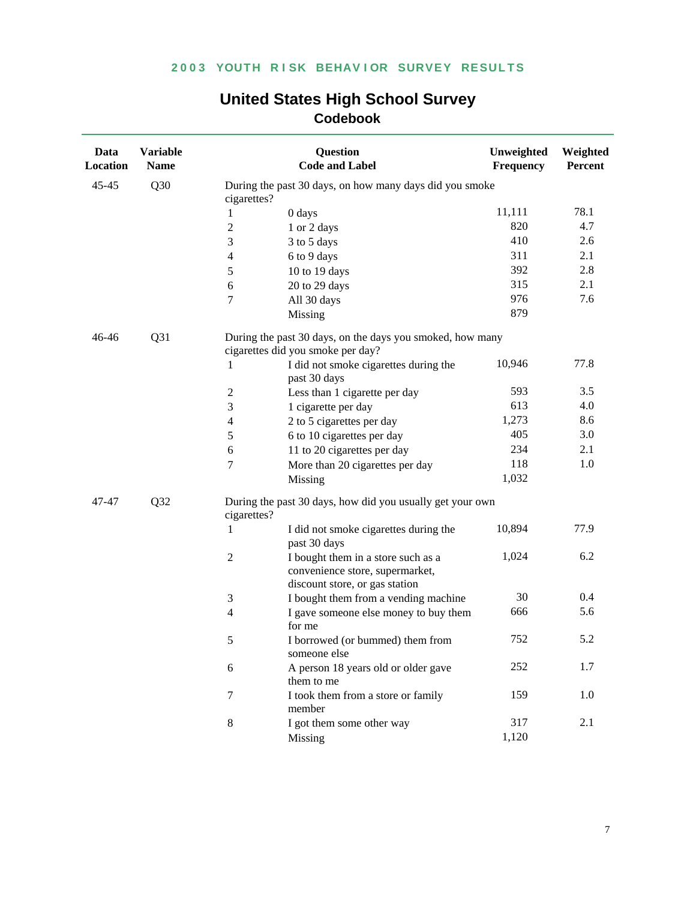| Data<br>Location | <b>Variable</b><br><b>Name</b> |                                   | <b>Question</b><br><b>Code and Label</b>                          | Unweighted<br><b>Frequency</b> | Weighted<br>Percent |
|------------------|--------------------------------|-----------------------------------|-------------------------------------------------------------------|--------------------------------|---------------------|
| $45 - 45$        | Q30                            | cigarettes?                       | During the past 30 days, on how many days did you smoke           |                                |                     |
|                  |                                | 0 days<br>1                       |                                                                   | 11,111                         | 78.1                |
|                  |                                | $\overline{c}$                    | 1 or 2 days                                                       | 820                            | 4.7                 |
|                  |                                | 3                                 | 3 to 5 days                                                       | 410                            | 2.6                 |
|                  |                                | 4                                 | 6 to 9 days                                                       | 311                            | 2.1                 |
|                  |                                | 5                                 | 10 to 19 days                                                     | 392                            | 2.8                 |
|                  |                                | 6                                 | 20 to 29 days                                                     | 315                            | 2.1                 |
|                  |                                | 7                                 | All 30 days                                                       | 976                            | 7.6                 |
|                  |                                | Missing                           |                                                                   | 879                            |                     |
| 46-46            | Q31                            | cigarettes did you smoke per day? | During the past 30 days, on the days you smoked, how many         |                                |                     |
|                  |                                | 1                                 | I did not smoke cigarettes during the<br>past 30 days             | 10,946                         | 77.8                |
|                  |                                | $\boldsymbol{2}$                  | Less than 1 cigarette per day                                     | 593                            | 3.5                 |
|                  |                                | 3                                 | 1 cigarette per day                                               | 613                            | 4.0                 |
|                  |                                | 4                                 | 2 to 5 cigarettes per day                                         | 1,273                          | 8.6                 |
|                  |                                | 5                                 | 6 to 10 cigarettes per day                                        | 405                            | 3.0                 |
|                  |                                | 6                                 | 11 to 20 cigarettes per day                                       | 234                            | 2.1                 |
|                  |                                | 7                                 | More than 20 cigarettes per day                                   | 118                            | 1.0                 |
|                  |                                | Missing                           |                                                                   | 1,032                          |                     |
| 47-47            | Q <sub>32</sub>                | cigarettes?                       | During the past 30 days, how did you usually get your own         |                                |                     |
|                  |                                | 1                                 | I did not smoke cigarettes during the<br>past 30 days             | 10,894                         | 77.9                |
|                  |                                | $\overline{2}$                    | I bought them in a store such as a                                | 1,024                          | 6.2                 |
|                  |                                |                                   | convenience store, supermarket,<br>discount store, or gas station |                                |                     |
|                  |                                | 3                                 | I bought them from a vending machine                              | 30                             | 0.4                 |
|                  |                                | $\overline{4}$<br>for me          | I gave someone else money to buy them                             | 666                            | 5.6                 |
|                  |                                | 5                                 | I borrowed (or bummed) them from<br>someone else                  | 752                            | 5.2                 |
|                  |                                | 6                                 | A person 18 years old or older gave<br>them to me                 | 252                            | 1.7                 |
|                  |                                | 7<br>member                       | I took them from a store or family                                | 159                            | 1.0                 |
|                  |                                | $8\,$                             | I got them some other way                                         | 317                            | 2.1                 |
|                  |                                | Missing                           |                                                                   | 1,120                          |                     |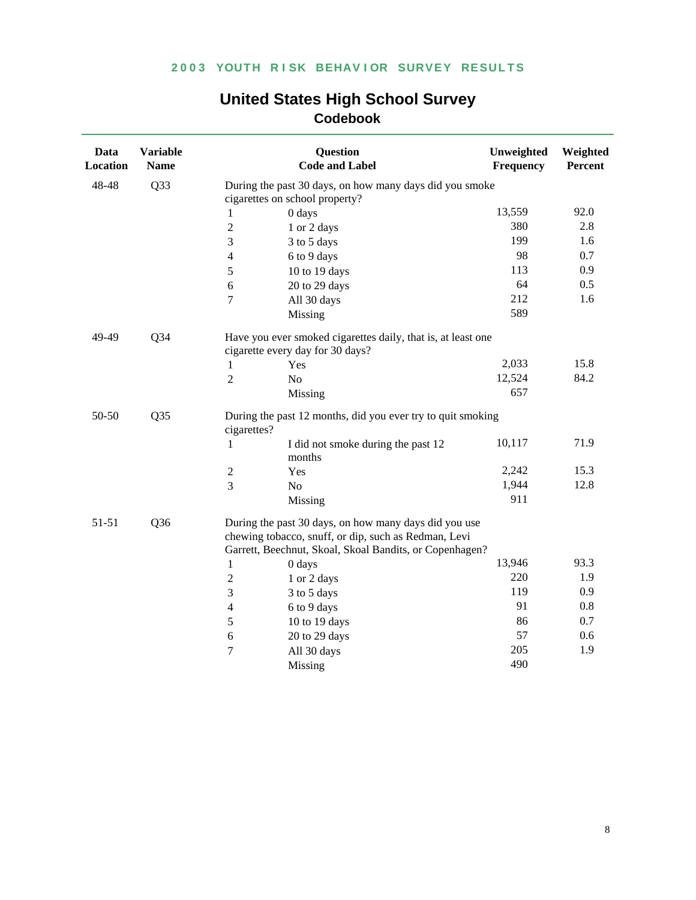| Data<br><b>Location</b>  | <b>Variable</b><br><b>Name</b> |                                                                                                  | <b>Question</b><br><b>Code and Label</b>                                                                                                                                 | Unweighted<br>Frequency | Weighted<br>Percent |
|--------------------------|--------------------------------|--------------------------------------------------------------------------------------------------|--------------------------------------------------------------------------------------------------------------------------------------------------------------------------|-------------------------|---------------------|
| 48-48                    | Q33                            |                                                                                                  | During the past 30 days, on how many days did you smoke<br>cigarettes on school property?                                                                                |                         |                     |
|                          |                                | 1                                                                                                | 0 days                                                                                                                                                                   | 13,559                  | 92.0                |
|                          |                                | $\overline{2}$                                                                                   | 1 or 2 days                                                                                                                                                              | 380                     | 2.8                 |
|                          |                                | 3                                                                                                | 3 to 5 days                                                                                                                                                              | 199                     | 1.6                 |
|                          |                                | $\overline{4}$                                                                                   | 6 to 9 days                                                                                                                                                              | 98                      | 0.7                 |
|                          |                                | 5                                                                                                | 10 to 19 days                                                                                                                                                            | 113                     | 0.9                 |
|                          |                                | 6                                                                                                | 20 to 29 days                                                                                                                                                            | 64                      | 0.5                 |
|                          |                                | 7                                                                                                | All 30 days                                                                                                                                                              | 212                     | 1.6                 |
|                          |                                |                                                                                                  | Missing                                                                                                                                                                  | 589                     |                     |
| 49-49                    | $Q$ 34                         | Have you ever smoked cigarettes daily, that is, at least one<br>cigarette every day for 30 days? |                                                                                                                                                                          |                         |                     |
|                          |                                | 1                                                                                                | Yes                                                                                                                                                                      | 2,033                   | 15.8                |
|                          |                                | $\overline{2}$                                                                                   | N <sub>o</sub>                                                                                                                                                           | 12,524                  | 84.2                |
|                          |                                |                                                                                                  | Missing                                                                                                                                                                  | 657                     |                     |
| 50-50                    | Q <sub>35</sub>                | cigarettes?                                                                                      | During the past 12 months, did you ever try to quit smoking                                                                                                              |                         |                     |
|                          |                                | $\mathbf{1}$                                                                                     | I did not smoke during the past 12<br>months                                                                                                                             | 10,117                  | 71.9                |
|                          |                                | $\sqrt{2}$                                                                                       | Yes                                                                                                                                                                      | 2,242                   | 15.3                |
|                          |                                | $\overline{3}$                                                                                   | No                                                                                                                                                                       | 1,944                   | 12.8                |
|                          |                                |                                                                                                  | Missing                                                                                                                                                                  | 911                     |                     |
| 51-51<br>Q <sub>36</sub> |                                |                                                                                                  | During the past 30 days, on how many days did you use<br>chewing tobacco, snuff, or dip, such as Redman, Levi<br>Garrett, Beechnut, Skoal, Skoal Bandits, or Copenhagen? |                         |                     |
|                          |                                | $\mathbf{1}$                                                                                     | 0 days                                                                                                                                                                   | 13,946                  | 93.3                |
|                          |                                | $\sqrt{2}$                                                                                       | 1 or 2 days                                                                                                                                                              | 220                     | 1.9                 |
|                          |                                | 3                                                                                                | 3 to 5 days                                                                                                                                                              | 119                     | 0.9                 |
|                          |                                | $\overline{4}$                                                                                   | 6 to 9 days                                                                                                                                                              | 91                      | 0.8                 |
|                          |                                | 5                                                                                                | 10 to 19 days                                                                                                                                                            | 86                      | 0.7                 |
|                          |                                | 6                                                                                                | 20 to 29 days                                                                                                                                                            | 57                      | 0.6                 |
|                          |                                | $\overline{7}$                                                                                   | All 30 days                                                                                                                                                              | 205                     | 1.9                 |
|                          |                                |                                                                                                  | Missing                                                                                                                                                                  | 490                     |                     |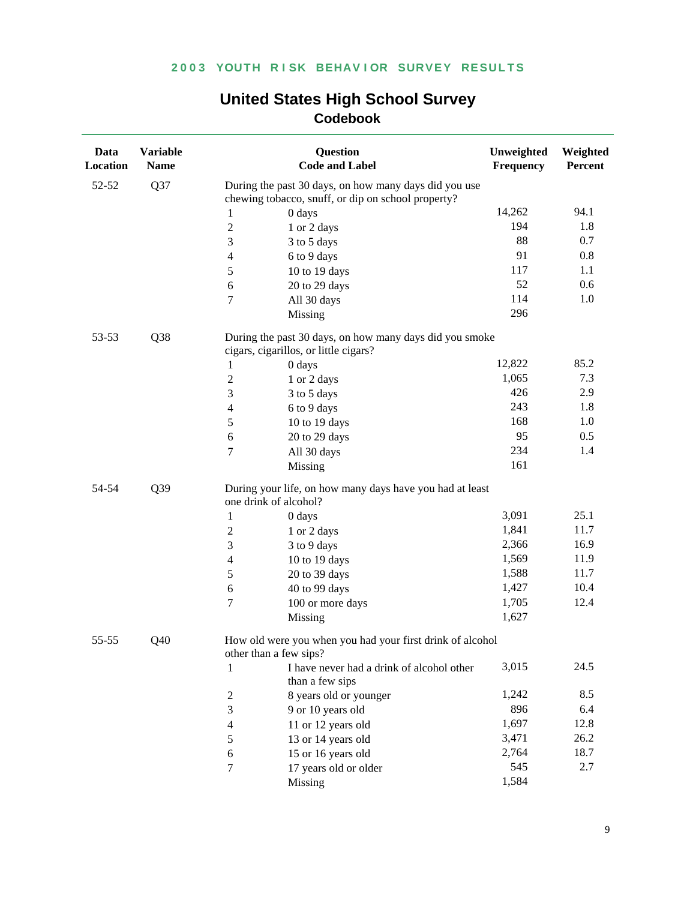| Data<br>Location | <b>Variable</b><br><b>Name</b> | <b>Question</b><br><b>Code and Label</b>                                                                    | Unweighted<br>Frequency | Weighted<br>Percent |  |  |
|------------------|--------------------------------|-------------------------------------------------------------------------------------------------------------|-------------------------|---------------------|--|--|
| 52-52            | Q37                            | During the past 30 days, on how many days did you use<br>chewing tobacco, snuff, or dip on school property? |                         |                     |  |  |
|                  |                                | $\mathbf{1}$<br>0 days                                                                                      | 14,262                  | 94.1                |  |  |
|                  |                                | $\sqrt{2}$<br>1 or 2 days                                                                                   | 194                     | 1.8                 |  |  |
|                  |                                | 3<br>3 to 5 days                                                                                            | 88                      | 0.7                 |  |  |
|                  |                                | $\overline{4}$<br>6 to 9 days                                                                               | 91                      | 0.8                 |  |  |
|                  |                                | 5<br>10 to 19 days                                                                                          | 117                     | 1.1                 |  |  |
|                  |                                | 6<br>20 to 29 days                                                                                          | 52                      | 0.6                 |  |  |
|                  |                                | 7<br>All 30 days                                                                                            | 114                     | 1.0                 |  |  |
|                  |                                | Missing                                                                                                     | 296                     |                     |  |  |
| 53-53            | Q <sub>38</sub>                | During the past 30 days, on how many days did you smoke<br>cigars, cigarillos, or little cigars?            |                         |                     |  |  |
|                  |                                | 0 days<br>1                                                                                                 | 12,822                  | 85.2                |  |  |
|                  |                                | $\sqrt{2}$<br>1 or 2 days                                                                                   | 1,065                   | 7.3                 |  |  |
|                  |                                | $\mathfrak{Z}$<br>3 to 5 days                                                                               | 426                     | 2.9                 |  |  |
|                  |                                | $\overline{4}$<br>6 to 9 days                                                                               | 243                     | 1.8                 |  |  |
|                  |                                | $\sqrt{5}$<br>10 to 19 days                                                                                 | 168                     | 1.0                 |  |  |
|                  |                                | 20 to 29 days<br>6                                                                                          | 95                      | 0.5                 |  |  |
|                  |                                | $\overline{7}$<br>All 30 days                                                                               | 234                     | 1.4                 |  |  |
|                  |                                | Missing                                                                                                     | 161                     |                     |  |  |
| 54-54            | Q39                            | During your life, on how many days have you had at least<br>one drink of alcohol?                           |                         |                     |  |  |
|                  |                                | 0 days<br>$\mathbf{1}$                                                                                      | 3,091                   | 25.1                |  |  |
|                  |                                | $\mathfrak{2}$<br>1 or 2 days                                                                               | 1,841                   | 11.7                |  |  |
|                  |                                | $\mathfrak{Z}$<br>3 to 9 days                                                                               | 2,366                   | 16.9                |  |  |
|                  |                                | $\overline{4}$<br>10 to 19 days                                                                             | 1,569                   | 11.9                |  |  |
|                  |                                | $\sqrt{5}$<br>20 to 39 days                                                                                 | 1,588                   | 11.7                |  |  |
|                  |                                | 40 to 99 days<br>6                                                                                          | 1,427                   | 10.4                |  |  |
|                  |                                | $\overline{7}$<br>100 or more days                                                                          | 1,705                   | 12.4                |  |  |
|                  |                                | Missing                                                                                                     | 1,627                   |                     |  |  |
| 55-55            | Q <sub>40</sub>                | How old were you when you had your first drink of alcohol<br>other than a few sips?                         |                         |                     |  |  |
|                  |                                | I have never had a drink of alcohol other<br>1<br>than a few sips                                           | 3,015                   | 24.5                |  |  |
|                  |                                | $\overline{c}$<br>8 years old or younger                                                                    | 1,242                   | 8.5                 |  |  |
|                  |                                | 3<br>9 or 10 years old                                                                                      | 896                     | 6.4                 |  |  |
|                  |                                | 11 or 12 years old<br>$\overline{4}$                                                                        | 1,697                   | 12.8                |  |  |
|                  |                                | 13 or 14 years old<br>5                                                                                     | 3,471                   | 26.2                |  |  |
|                  |                                | 15 or 16 years old<br>$\sqrt{6}$                                                                            | 2,764                   | 18.7                |  |  |
|                  |                                | $\boldsymbol{7}$<br>17 years old or older                                                                   | 545                     | 2.7                 |  |  |
|                  |                                | Missing                                                                                                     | 1,584                   |                     |  |  |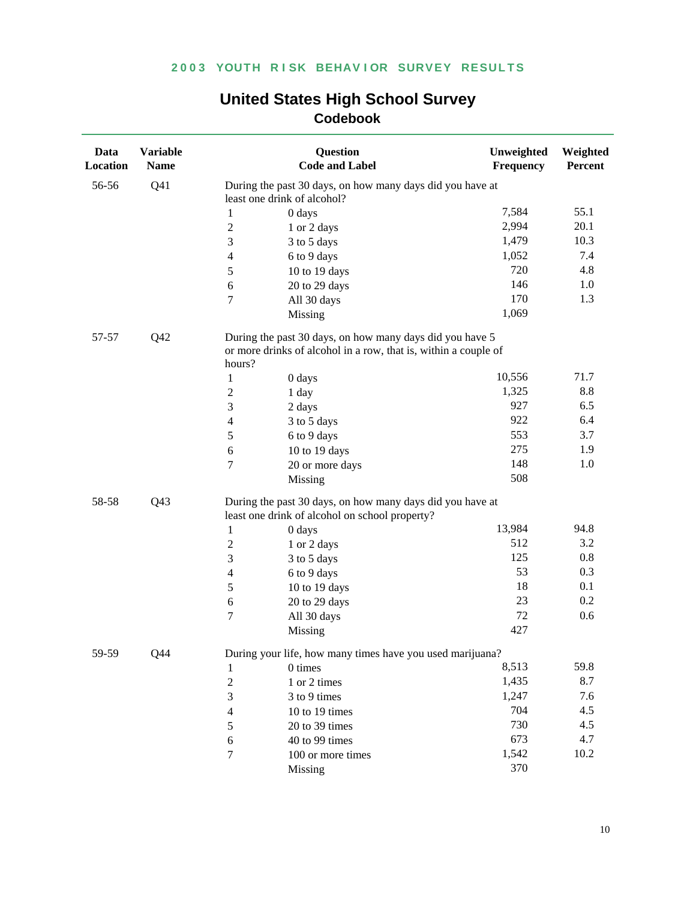| Data<br>Location | <b>Variable</b><br><b>Name</b> |                                                                                                             | <b>Question</b><br><b>Code and Label</b>                                                                                              | Unweighted<br>Frequency | Weighted<br>Percent |  |
|------------------|--------------------------------|-------------------------------------------------------------------------------------------------------------|---------------------------------------------------------------------------------------------------------------------------------------|-------------------------|---------------------|--|
| 56-56            | Q <sub>41</sub>                |                                                                                                             | During the past 30 days, on how many days did you have at<br>least one drink of alcohol?                                              |                         |                     |  |
|                  |                                | $\mathbf{1}$                                                                                                | 0 days                                                                                                                                | 7,584                   | 55.1                |  |
|                  |                                | $\boldsymbol{2}$                                                                                            | 1 or 2 days                                                                                                                           | 2,994                   | 20.1                |  |
|                  |                                | $\mathfrak{Z}$                                                                                              | 3 to 5 days                                                                                                                           | 1,479                   | 10.3                |  |
|                  |                                | $\overline{4}$                                                                                              | 6 to 9 days                                                                                                                           | 1,052                   | 7.4                 |  |
|                  |                                | 5                                                                                                           | 10 to 19 days                                                                                                                         | 720                     | 4.8                 |  |
|                  |                                | 6                                                                                                           | 20 to 29 days                                                                                                                         | 146                     | 1.0                 |  |
|                  |                                | $\tau$                                                                                                      | All 30 days                                                                                                                           | 170                     | 1.3                 |  |
|                  |                                |                                                                                                             | Missing                                                                                                                               | 1,069                   |                     |  |
| 57-57            | Q42                            |                                                                                                             | During the past 30 days, on how many days did you have 5<br>or more drinks of alcohol in a row, that is, within a couple of<br>hours? |                         |                     |  |
|                  |                                | $\mathbf{1}$                                                                                                | 0 days                                                                                                                                | 10,556                  | 71.7                |  |
|                  |                                | $\sqrt{2}$                                                                                                  | 1 day                                                                                                                                 | 1,325                   | 8.8                 |  |
|                  |                                | $\mathfrak{Z}$                                                                                              | 2 days                                                                                                                                | 927                     | 6.5                 |  |
|                  |                                | $\overline{4}$                                                                                              | 3 to 5 days                                                                                                                           | 922                     | 6.4                 |  |
|                  |                                | 5                                                                                                           | 6 to 9 days                                                                                                                           | 553                     | 3.7                 |  |
|                  |                                | 6                                                                                                           | 10 to 19 days                                                                                                                         | 275                     | 1.9                 |  |
|                  |                                | $\tau$                                                                                                      | 20 or more days                                                                                                                       | 148                     | 1.0                 |  |
|                  |                                |                                                                                                             | Missing                                                                                                                               | 508                     |                     |  |
| 58-58            | Q <sub>43</sub>                | During the past 30 days, on how many days did you have at<br>least one drink of alcohol on school property? |                                                                                                                                       |                         |                     |  |
|                  |                                | $\mathbf{1}$                                                                                                | 0 days                                                                                                                                | 13,984                  | 94.8                |  |
|                  |                                | $\boldsymbol{2}$                                                                                            | 1 or 2 days                                                                                                                           | 512                     | 3.2                 |  |
|                  |                                | $\mathfrak{Z}$                                                                                              | 3 to 5 days                                                                                                                           | 125                     | 0.8                 |  |
|                  |                                | $\overline{4}$                                                                                              | 6 to 9 days                                                                                                                           | 53                      | 0.3                 |  |
|                  |                                | $\sqrt{5}$                                                                                                  | 10 to 19 days                                                                                                                         | 18                      | 0.1                 |  |
|                  |                                | $\sqrt{6}$                                                                                                  | 20 to 29 days                                                                                                                         | 23                      | 0.2                 |  |
|                  |                                | $\tau$                                                                                                      | All 30 days                                                                                                                           | 72                      | 0.6                 |  |
|                  |                                |                                                                                                             | Missing                                                                                                                               | 427                     |                     |  |
| 59-59            | Q44                            |                                                                                                             | During your life, how many times have you used marijuana?                                                                             |                         |                     |  |
|                  |                                | 1                                                                                                           | 0 times                                                                                                                               | 8,513                   | 59.8                |  |
|                  |                                | $\boldsymbol{2}$                                                                                            | 1 or 2 times                                                                                                                          | 1,435                   | 8.7                 |  |
|                  |                                | 3                                                                                                           | 3 to 9 times                                                                                                                          | 1,247                   | 7.6                 |  |
|                  |                                | 4                                                                                                           | 10 to 19 times                                                                                                                        | 704                     | 4.5                 |  |
|                  |                                | 5                                                                                                           | 20 to 39 times                                                                                                                        | 730                     | 4.5                 |  |
|                  |                                | 6                                                                                                           | 40 to 99 times                                                                                                                        | 673                     | 4.7                 |  |
|                  |                                | 7                                                                                                           | 100 or more times                                                                                                                     | 1,542                   | 10.2                |  |
|                  |                                |                                                                                                             | Missing                                                                                                                               | 370                     |                     |  |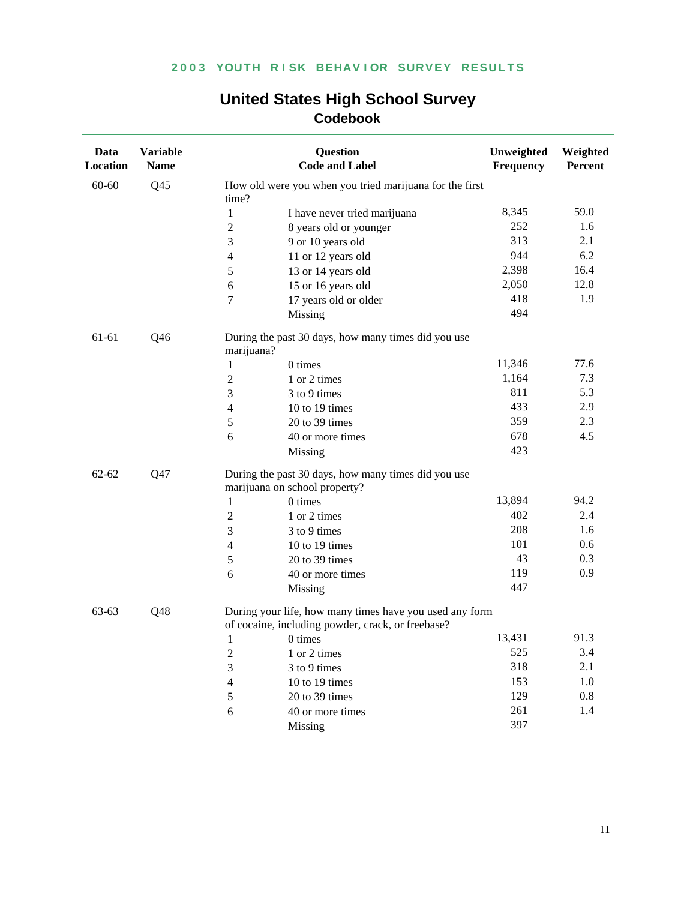| <b>Codebook</b>  |                                |                          |                                                                                                              |                         |                     |  |
|------------------|--------------------------------|--------------------------|--------------------------------------------------------------------------------------------------------------|-------------------------|---------------------|--|
| Data<br>Location | <b>Variable</b><br><b>Name</b> |                          | <b>Question</b><br><b>Code and Label</b>                                                                     | Unweighted<br>Frequency | Weighted<br>Percent |  |
| 60-60            | Q <sub>45</sub>                | time?                    | How old were you when you tried marijuana for the first                                                      |                         |                     |  |
|                  |                                | $\mathbf{1}$             | I have never tried marijuana                                                                                 | 8,345                   | 59.0                |  |
|                  |                                | $\overline{c}$           | 8 years old or younger                                                                                       | 252                     | 1.6                 |  |
|                  |                                | 3                        | 9 or 10 years old                                                                                            | 313                     | 2.1                 |  |
|                  |                                | $\overline{4}$           | 11 or 12 years old                                                                                           | 944                     | 6.2                 |  |
|                  |                                | 5                        | 13 or 14 years old                                                                                           | 2,398                   | 16.4                |  |
|                  |                                | 6                        | 15 or 16 years old                                                                                           | 2,050                   | 12.8                |  |
|                  |                                | $\tau$                   | 17 years old or older                                                                                        | 418                     | 1.9                 |  |
|                  |                                |                          | Missing                                                                                                      | 494                     |                     |  |
| 61-61            | Q <sub>46</sub>                | marijuana?               | During the past 30 days, how many times did you use                                                          |                         |                     |  |
|                  |                                | $\mathbf{1}$             | 0 times                                                                                                      | 11,346                  | 77.6                |  |
|                  |                                | $\sqrt{2}$               | 1 or 2 times                                                                                                 | 1,164                   | 7.3                 |  |
|                  |                                | 3                        | 3 to 9 times                                                                                                 | 811                     | 5.3                 |  |
|                  |                                | $\overline{\mathcal{A}}$ | 10 to 19 times                                                                                               | 433                     | 2.9                 |  |
|                  |                                | 5                        | 20 to 39 times                                                                                               | 359                     | 2.3                 |  |
|                  |                                | 6                        | 40 or more times                                                                                             | 678                     | 4.5                 |  |
|                  |                                |                          | Missing                                                                                                      | 423                     |                     |  |
| $62 - 62$        | Q47                            |                          | During the past 30 days, how many times did you use<br>marijuana on school property?                         |                         |                     |  |
|                  |                                | $\mathbf{1}$             | 0 times                                                                                                      | 13,894                  | 94.2                |  |
|                  |                                | $\mathfrak 2$            | 1 or 2 times                                                                                                 | 402                     | 2.4                 |  |
|                  |                                | 3                        | 3 to 9 times                                                                                                 | 208                     | 1.6                 |  |
|                  |                                | $\overline{4}$           | 10 to 19 times                                                                                               | 101                     | 0.6                 |  |
|                  |                                | $\mathfrak s$            | 20 to 39 times                                                                                               | 43                      | 0.3                 |  |
|                  |                                | 6                        | 40 or more times                                                                                             | 119                     | 0.9                 |  |
|                  |                                |                          | Missing                                                                                                      | 447                     |                     |  |
| 63-63            | Q48                            |                          | During your life, how many times have you used any form<br>of cocaine, including powder, crack, or freebase? |                         |                     |  |
|                  |                                | 1                        | 0 times                                                                                                      | 13,431                  | 91.3                |  |
|                  |                                | $\sqrt{2}$               | 1 or 2 times                                                                                                 | 525                     | 3.4                 |  |
|                  |                                | 3                        | 3 to 9 times                                                                                                 | 318                     | 2.1                 |  |
|                  |                                | $\overline{4}$           | 10 to 19 times                                                                                               | 153                     | 1.0                 |  |
|                  |                                | 5                        | 20 to 39 times                                                                                               | 129                     | 0.8                 |  |
|                  |                                | 6                        | 40 or more times                                                                                             | 261                     | 1.4                 |  |
|                  |                                |                          | Missing                                                                                                      | 397                     |                     |  |

# **United States High School Survey**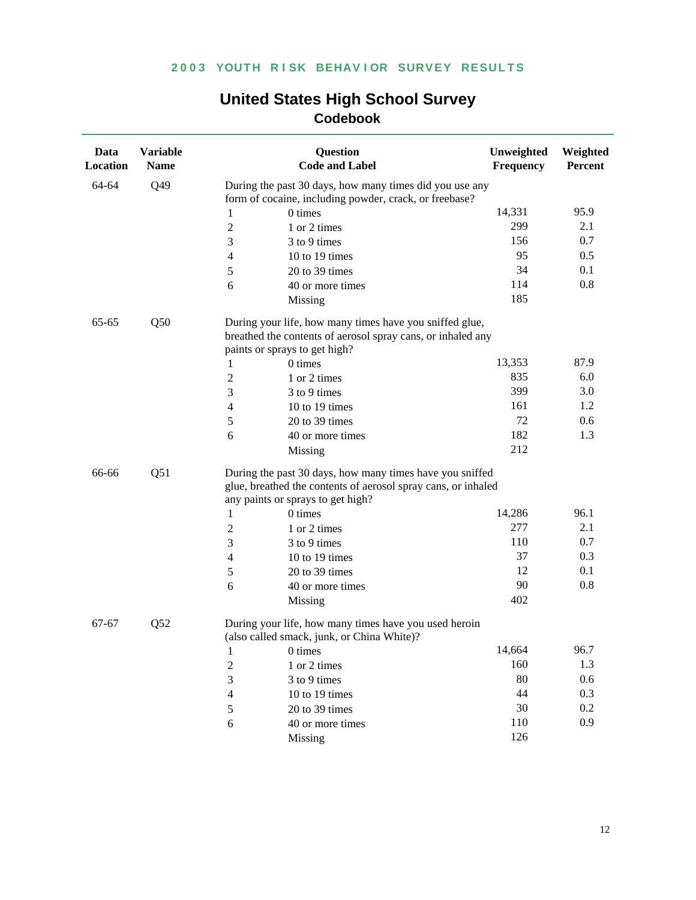| Data<br>Location | <b>Variable</b><br><b>Name</b> |                  | Question<br><b>Code and Label</b>                                                                                                                              | Unweighted<br>Frequency | Weighted<br>Percent |  |  |
|------------------|--------------------------------|------------------|----------------------------------------------------------------------------------------------------------------------------------------------------------------|-------------------------|---------------------|--|--|
| 64-64            | Q49                            |                  | During the past 30 days, how many times did you use any<br>form of cocaine, including powder, crack, or freebase?                                              |                         |                     |  |  |
|                  |                                | 1                | 0 times                                                                                                                                                        | 14,331                  | 95.9                |  |  |
|                  |                                | $\overline{c}$   | 1 or 2 times                                                                                                                                                   | 299                     | 2.1                 |  |  |
|                  |                                | $\mathfrak{Z}$   | 3 to 9 times                                                                                                                                                   | 156                     | 0.7                 |  |  |
|                  |                                | $\overline{4}$   | 10 to 19 times                                                                                                                                                 | 95                      | 0.5                 |  |  |
|                  |                                | 5                | 20 to 39 times                                                                                                                                                 | 34                      | 0.1                 |  |  |
|                  |                                | 6                | 40 or more times                                                                                                                                               | 114                     | 0.8                 |  |  |
|                  |                                |                  | Missing                                                                                                                                                        | 185                     |                     |  |  |
| 65-65            | Q50                            |                  | During your life, how many times have you sniffed glue,<br>breathed the contents of aerosol spray cans, or inhaled any<br>paints or sprays to get high?        |                         |                     |  |  |
|                  |                                | 1                | 0 times                                                                                                                                                        | 13,353                  | 87.9                |  |  |
|                  |                                | $\boldsymbol{2}$ | 1 or 2 times                                                                                                                                                   | 835                     | 6.0                 |  |  |
|                  |                                | 3                | 3 to 9 times                                                                                                                                                   | 399                     | 3.0                 |  |  |
|                  |                                | $\overline{4}$   | 10 to 19 times                                                                                                                                                 | 161                     | 1.2                 |  |  |
|                  |                                | 5                | 20 to 39 times                                                                                                                                                 | 72                      | 0.6                 |  |  |
|                  |                                | 6                | 40 or more times                                                                                                                                               | 182                     | 1.3                 |  |  |
|                  |                                |                  | Missing                                                                                                                                                        | 212                     |                     |  |  |
| 66-66<br>Q51     |                                |                  | During the past 30 days, how many times have you sniffed<br>glue, breathed the contents of aerosol spray cans, or inhaled<br>any paints or sprays to get high? |                         |                     |  |  |
|                  |                                | 1                | 0 times                                                                                                                                                        | 14,286                  | 96.1                |  |  |
|                  |                                | $\overline{c}$   | 1 or 2 times                                                                                                                                                   | 277                     | 2.1                 |  |  |
|                  |                                | $\mathfrak{Z}$   | 3 to 9 times                                                                                                                                                   | 110                     | 0.7                 |  |  |
|                  |                                | $\overline{4}$   | 10 to 19 times                                                                                                                                                 | 37                      | 0.3                 |  |  |
|                  |                                | 5                | 20 to 39 times                                                                                                                                                 | 12                      | 0.1                 |  |  |
|                  |                                | 6                | 40 or more times                                                                                                                                               | 90                      | 0.8                 |  |  |
|                  |                                |                  | Missing                                                                                                                                                        | 402                     |                     |  |  |
| 67-67            | Q52                            |                  | During your life, how many times have you used heroin<br>(also called smack, junk, or China White)?                                                            |                         |                     |  |  |
|                  |                                | 1                | 0 times                                                                                                                                                        | 14,664                  | 96.7                |  |  |
|                  |                                | $\boldsymbol{2}$ | 1 or 2 times                                                                                                                                                   | 160                     | 1.3                 |  |  |
|                  |                                | $\mathfrak{Z}$   | 3 to 9 times                                                                                                                                                   | 80                      | 0.6                 |  |  |
|                  |                                | $\overline{4}$   | 10 to 19 times                                                                                                                                                 | 44                      | 0.3                 |  |  |
|                  |                                | $\sqrt{5}$       | 20 to 39 times                                                                                                                                                 | 30                      | 0.2                 |  |  |
|                  |                                | $\sqrt{6}$       | 40 or more times                                                                                                                                               | 110                     | 0.9                 |  |  |
|                  |                                |                  | Missing                                                                                                                                                        | 126                     |                     |  |  |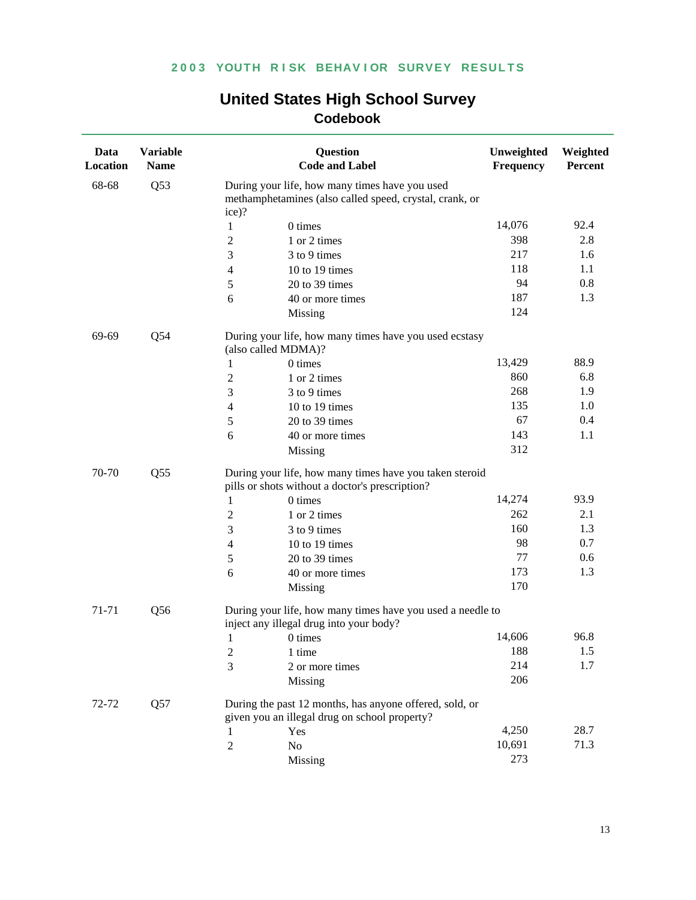| Data<br>Location | <b>Variable</b><br><b>Name</b> |                | <b>Question</b><br><b>Code and Label</b>                                                                   | Unweighted<br>Frequency | Weighted<br>Percent |
|------------------|--------------------------------|----------------|------------------------------------------------------------------------------------------------------------|-------------------------|---------------------|
| 68-68            | Q53                            | ice)?          | During your life, how many times have you used<br>methamphetamines (also called speed, crystal, crank, or  |                         |                     |
|                  |                                | $\mathbf{1}$   | 0 times                                                                                                    | 14,076                  | 92.4                |
|                  |                                | $\overline{2}$ | 1 or 2 times                                                                                               | 398                     | 2.8                 |
|                  |                                | 3              | 3 to 9 times                                                                                               | 217                     | 1.6                 |
|                  |                                | 4              | 10 to 19 times                                                                                             | 118                     | 1.1                 |
|                  |                                | 5              | 20 to 39 times                                                                                             | 94                      | $0.8\,$             |
|                  |                                | 6              | 40 or more times                                                                                           | 187                     | 1.3                 |
|                  |                                |                | Missing                                                                                                    | 124                     |                     |
| 69-69            | Q54                            |                | During your life, how many times have you used ecstasy<br>(also called MDMA)?                              |                         |                     |
|                  |                                | 1              | 0 times                                                                                                    | 13,429                  | 88.9                |
|                  |                                | 2              | 1 or 2 times                                                                                               | 860                     | 6.8                 |
|                  |                                | 3              | 3 to 9 times                                                                                               | 268                     | 1.9                 |
|                  |                                | 4              | 10 to 19 times                                                                                             | 135                     | 1.0                 |
|                  |                                | 5              | 20 to 39 times                                                                                             | 67                      | 0.4                 |
|                  |                                | 6              | 40 or more times                                                                                           | 143                     | 1.1                 |
|                  |                                |                | Missing                                                                                                    | 312                     |                     |
| 70-70            | Q <sub>55</sub>                |                | During your life, how many times have you taken steroid<br>pills or shots without a doctor's prescription? |                         |                     |
|                  |                                | 1              | 0 times                                                                                                    | 14,274                  | 93.9                |
|                  |                                | $\overline{2}$ | 1 or 2 times                                                                                               | 262                     | 2.1                 |
|                  |                                | 3              | 3 to 9 times                                                                                               | 160                     | 1.3                 |
|                  |                                | 4              | 10 to 19 times                                                                                             | 98                      | 0.7                 |
|                  |                                | 5              | 20 to 39 times                                                                                             | 77                      | 0.6                 |
|                  |                                | 6              | 40 or more times                                                                                           | 173                     | 1.3                 |
|                  |                                |                | Missing                                                                                                    | 170                     |                     |
| 71-71            | Q <sub>56</sub>                |                | During your life, how many times have you used a needle to<br>inject any illegal drug into your body?      |                         |                     |
|                  |                                | 1              | 0 times                                                                                                    | 14,606                  | 96.8                |
|                  |                                | 2              | 1 time                                                                                                     | 188                     | 1.5                 |
|                  |                                | 3              | 2 or more times                                                                                            | 214                     | 1.7                 |
|                  |                                |                | Missing                                                                                                    | 206                     |                     |
| 72-72            | Q57                            |                | During the past 12 months, has anyone offered, sold, or<br>given you an illegal drug on school property?   |                         |                     |
|                  |                                | 1              | Yes                                                                                                        | 4,250                   | 28.7                |
|                  |                                | $\overline{c}$ | No                                                                                                         | 10,691                  | 71.3                |
|                  |                                |                | Missing                                                                                                    | 273                     |                     |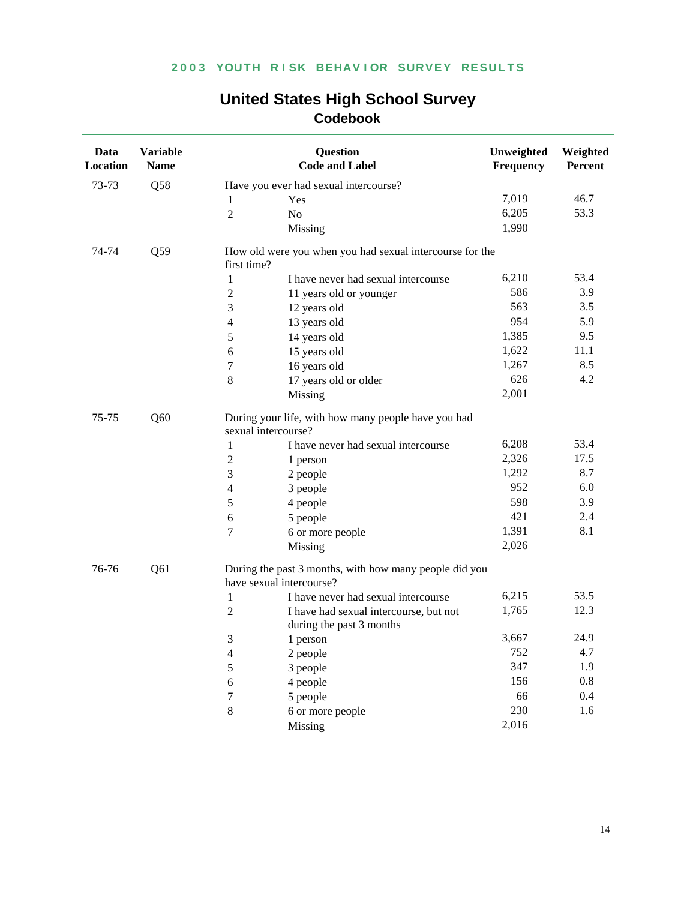| Data<br>Location | <b>Variable</b><br><b>Name</b> | <b>Question</b><br><b>Code and Label</b>                                           |                                        | Unweighted<br>Frequency | Weighted<br><b>Percent</b> |
|------------------|--------------------------------|------------------------------------------------------------------------------------|----------------------------------------|-------------------------|----------------------------|
| 73-73            | Q58                            | Have you ever had sexual intercourse?                                              |                                        |                         |                            |
|                  |                                | Yes<br>1                                                                           |                                        | 7,019                   | 46.7                       |
|                  |                                | $\overline{2}$<br>N <sub>o</sub>                                                   |                                        | 6,205                   | 53.3                       |
|                  |                                | Missing                                                                            |                                        | 1,990                   |                            |
| 74-74            | Q59                            | How old were you when you had sexual intercourse for the<br>first time?            |                                        |                         |                            |
|                  |                                | $\mathbf{1}$                                                                       | I have never had sexual intercourse    | 6,210                   | 53.4                       |
|                  |                                | $\boldsymbol{2}$<br>11 years old or younger                                        |                                        | 586                     | 3.9                        |
|                  |                                | $\mathfrak{Z}$<br>12 years old                                                     |                                        | 563                     | 3.5                        |
|                  |                                | $\overline{4}$<br>13 years old                                                     |                                        | 954                     | 5.9                        |
|                  |                                | 5<br>14 years old                                                                  |                                        | 1,385                   | 9.5                        |
|                  |                                | 6<br>15 years old                                                                  |                                        | 1,622                   | 11.1                       |
|                  |                                | 7<br>16 years old                                                                  |                                        | 1,267                   | 8.5                        |
|                  |                                | 8<br>17 years old or older                                                         |                                        | 626                     | 4.2                        |
|                  |                                | Missing                                                                            |                                        | 2,001                   |                            |
| 75-75            | Q60                            | During your life, with how many people have you had<br>sexual intercourse?         |                                        |                         |                            |
|                  |                                | $\mathbf{1}$                                                                       | I have never had sexual intercourse    | 6,208                   | 53.4                       |
|                  |                                | $\boldsymbol{2}$<br>1 person                                                       |                                        | 2,326                   | 17.5                       |
|                  |                                | 3<br>2 people                                                                      |                                        | 1,292                   | 8.7                        |
|                  |                                | 3 people<br>4                                                                      |                                        | 952                     | 6.0                        |
|                  |                                | 5<br>4 people                                                                      |                                        | 598                     | 3.9                        |
|                  |                                | 5 people<br>6                                                                      |                                        | 421                     | 2.4                        |
|                  |                                | $\overline{7}$<br>6 or more people                                                 |                                        | 1,391                   | 8.1                        |
|                  |                                | Missing                                                                            |                                        | 2,026                   |                            |
| 76-76            | Q <sub>61</sub>                | During the past 3 months, with how many people did you<br>have sexual intercourse? |                                        |                         |                            |
|                  |                                | 1                                                                                  | I have never had sexual intercourse    | 6,215                   | 53.5                       |
|                  |                                | $\overline{2}$<br>during the past 3 months                                         | I have had sexual intercourse, but not | 1,765                   | 12.3                       |
|                  |                                | 3<br>1 person                                                                      |                                        | 3,667                   | 24.9                       |
|                  |                                | 4<br>2 people                                                                      |                                        | 752                     | 4.7                        |
|                  |                                | 5<br>3 people                                                                      |                                        | 347                     | 1.9                        |
|                  |                                | 4 people<br>6                                                                      |                                        | 156                     | $0.8\,$                    |
|                  |                                | 7<br>5 people                                                                      |                                        | 66                      | 0.4                        |
|                  |                                | $\,8\,$<br>6 or more people                                                        |                                        | 230                     | 1.6                        |
|                  |                                | Missing                                                                            |                                        | 2,016                   |                            |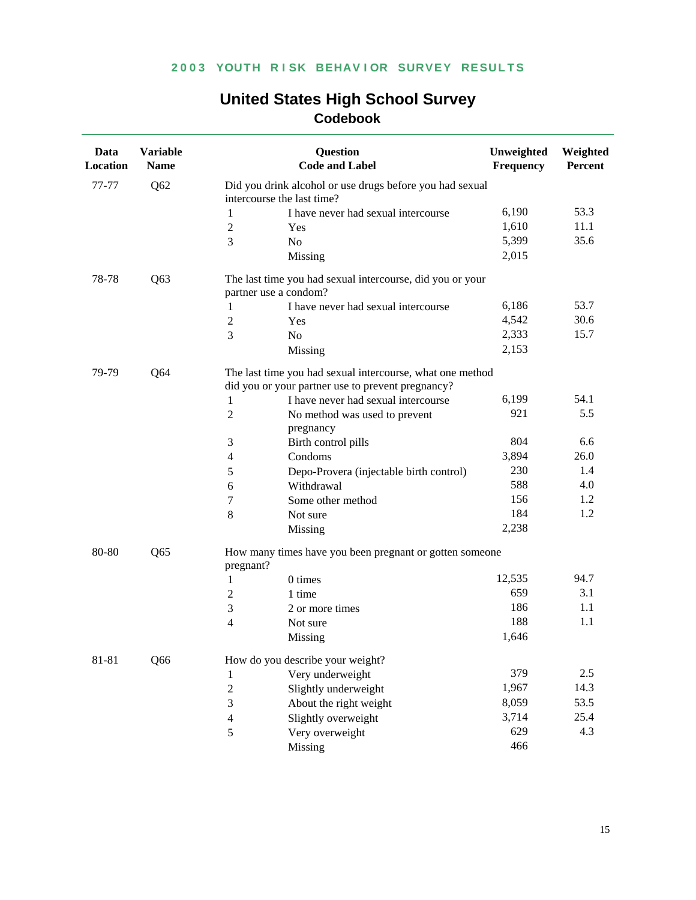| <b>United States High School Survey</b> |  |  |  |  |  |
|-----------------------------------------|--|--|--|--|--|
| Codebook                                |  |  |  |  |  |

| Data<br>Location | <b>Variable</b><br><b>Name</b> | <b>Question</b><br><b>Code and Label</b>                                                                       |                                                           | Unweighted<br><b>Frequency</b> | Weighted<br>Percent |  |  |  |
|------------------|--------------------------------|----------------------------------------------------------------------------------------------------------------|-----------------------------------------------------------|--------------------------------|---------------------|--|--|--|
| 77-77            | Q <sub>62</sub>                | intercourse the last time?                                                                                     | Did you drink alcohol or use drugs before you had sexual  |                                |                     |  |  |  |
|                  |                                | $\mathbf{1}$                                                                                                   | I have never had sexual intercourse                       | 6,190                          | 53.3                |  |  |  |
|                  |                                | $\sqrt{2}$<br>Yes                                                                                              |                                                           | 1,610                          | 11.1                |  |  |  |
|                  |                                | 3<br>N <sub>o</sub>                                                                                            |                                                           | 5,399                          | 35.6                |  |  |  |
|                  |                                | Missing                                                                                                        |                                                           | 2,015                          |                     |  |  |  |
| 78-78            | Q <sub>63</sub>                | partner use a condom?                                                                                          | The last time you had sexual intercourse, did you or your |                                |                     |  |  |  |
|                  |                                | 1                                                                                                              | I have never had sexual intercourse                       | 6,186                          | 53.7                |  |  |  |
|                  |                                | $\sqrt{2}$<br>Yes                                                                                              |                                                           | 4,542                          | 30.6                |  |  |  |
|                  |                                | 3<br>No                                                                                                        |                                                           | 2,333                          | 15.7                |  |  |  |
|                  |                                | Missing                                                                                                        |                                                           | 2,153                          |                     |  |  |  |
| 79-79            | Q64                            | The last time you had sexual intercourse, what one method<br>did you or your partner use to prevent pregnancy? |                                                           |                                |                     |  |  |  |
|                  |                                | $\mathbf{1}$                                                                                                   | I have never had sexual intercourse                       | 6,199                          | 54.1                |  |  |  |
|                  |                                | $\mathbf{2}$<br>No method was used to prevent<br>pregnancy                                                     |                                                           | 921                            | 5.5                 |  |  |  |
|                  |                                | Birth control pills<br>3                                                                                       |                                                           | 804                            | 6.6                 |  |  |  |
|                  |                                | Condoms<br>4                                                                                                   |                                                           | 3,894                          | 26.0                |  |  |  |
|                  |                                | 5                                                                                                              | Depo-Provera (injectable birth control)                   | 230                            | 1.4                 |  |  |  |
|                  |                                | Withdrawal<br>6                                                                                                |                                                           | 588                            | 4.0                 |  |  |  |
|                  |                                | 7<br>Some other method                                                                                         |                                                           | 156                            | 1.2                 |  |  |  |
|                  |                                | 8<br>Not sure                                                                                                  |                                                           | 184                            | 1.2                 |  |  |  |
|                  |                                | Missing                                                                                                        |                                                           | 2,238                          |                     |  |  |  |
| 80-80            | Q <sub>65</sub>                | How many times have you been pregnant or gotten someone<br>pregnant?                                           |                                                           |                                |                     |  |  |  |
|                  |                                | 0 times<br>1                                                                                                   |                                                           | 12,535                         | 94.7                |  |  |  |
|                  |                                | $\mathbf{2}$<br>1 time                                                                                         |                                                           | 659                            | 3.1                 |  |  |  |
|                  |                                | 3<br>2 or more times                                                                                           |                                                           | 186                            | 1.1                 |  |  |  |
|                  |                                | $\overline{\mathcal{L}}$<br>Not sure                                                                           |                                                           | 188                            | 1.1                 |  |  |  |
|                  |                                | Missing                                                                                                        |                                                           | 1,646                          |                     |  |  |  |
| 81-81            | Q66                            | How do you describe your weight?                                                                               |                                                           |                                |                     |  |  |  |
|                  |                                | Very underweight<br>1                                                                                          |                                                           | 379                            | 2.5                 |  |  |  |
|                  |                                | $\boldsymbol{2}$<br>Slightly underweight                                                                       |                                                           | 1,967                          | 14.3                |  |  |  |
|                  |                                | $\mathfrak{Z}$<br>About the right weight                                                                       |                                                           | 8,059                          | 53.5                |  |  |  |
|                  |                                | Slightly overweight<br>$\overline{4}$                                                                          |                                                           | 3,714                          | 25.4                |  |  |  |
|                  |                                | 5<br>Very overweight                                                                                           |                                                           | 629                            | 4.3                 |  |  |  |
|                  |                                | Missing                                                                                                        |                                                           | 466                            |                     |  |  |  |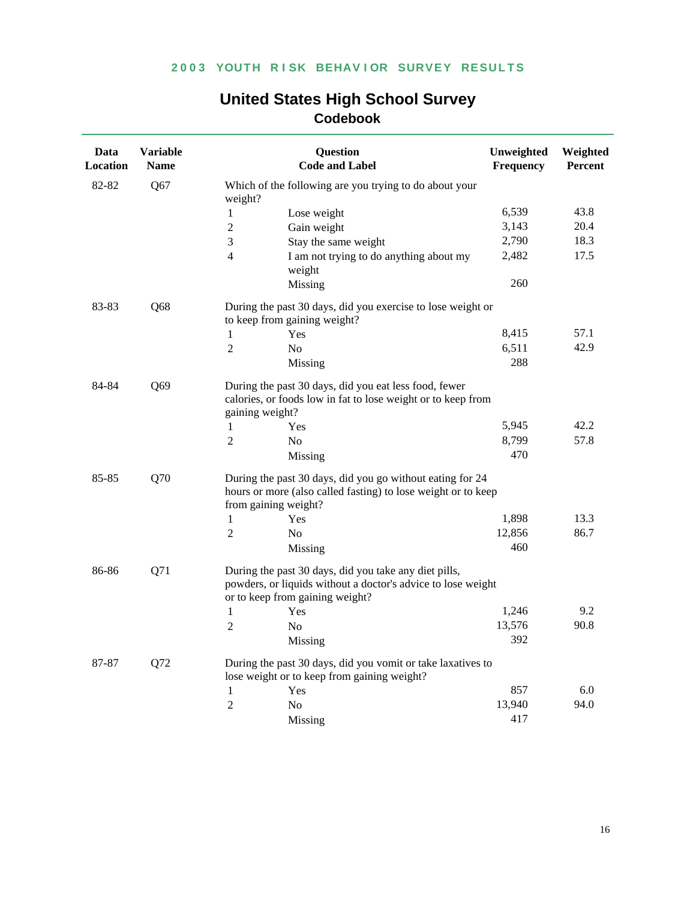| Data<br>Location | <b>Variable</b><br><b>Name</b> | Question<br><b>Code and Label</b>                                                                                                                        | Unweighted<br>Frequency | Weighted<br>Percent |
|------------------|--------------------------------|----------------------------------------------------------------------------------------------------------------------------------------------------------|-------------------------|---------------------|
| 82-82            | Q67                            | Which of the following are you trying to do about your<br>weight?                                                                                        |                         |                     |
|                  |                                | $\mathbf{1}$<br>Lose weight                                                                                                                              | 6,539                   | 43.8                |
|                  |                                | $\overline{2}$<br>Gain weight                                                                                                                            | 3,143                   | 20.4                |
|                  |                                | 3<br>Stay the same weight                                                                                                                                | 2,790                   | 18.3                |
|                  |                                | $\overline{4}$<br>I am not trying to do anything about my<br>weight                                                                                      | 2,482                   | 17.5                |
|                  |                                | Missing                                                                                                                                                  | 260                     |                     |
| 83-83            | Q68                            | During the past 30 days, did you exercise to lose weight or<br>to keep from gaining weight?                                                              |                         |                     |
|                  |                                | $\mathbf{1}$<br>Yes                                                                                                                                      | 8,415                   | 57.1                |
|                  |                                | $\overline{2}$<br>No                                                                                                                                     | 6,511                   | 42.9                |
|                  |                                | Missing                                                                                                                                                  | 288                     |                     |
| Q69<br>84-84     |                                | During the past 30 days, did you eat less food, fewer<br>calories, or foods low in fat to lose weight or to keep from<br>gaining weight?                 |                         |                     |
|                  |                                | $\mathbf{1}$<br>Yes                                                                                                                                      | 5,945                   | 42.2                |
|                  |                                | $\overline{2}$<br>No                                                                                                                                     | 8,799                   | 57.8                |
|                  |                                | Missing                                                                                                                                                  | 470                     |                     |
| 85-85            | Q70                            | During the past 30 days, did you go without eating for 24<br>hours or more (also called fasting) to lose weight or to keep<br>from gaining weight?       |                         |                     |
|                  |                                | $\mathbf{1}$<br>Yes                                                                                                                                      | 1,898                   | 13.3                |
|                  |                                | 2<br>N <sub>0</sub>                                                                                                                                      | 12,856                  | 86.7                |
|                  |                                | Missing                                                                                                                                                  | 460                     |                     |
| 86-86            | Q71                            | During the past 30 days, did you take any diet pills,<br>powders, or liquids without a doctor's advice to lose weight<br>or to keep from gaining weight? |                         |                     |
|                  |                                | $\mathbf{1}$<br>Yes                                                                                                                                      | 1,246                   | 9.2                 |
|                  |                                | $\overline{2}$<br>N <sub>0</sub>                                                                                                                         | 13,576                  | 90.8                |
|                  |                                | Missing                                                                                                                                                  | 392                     |                     |
| 87-87            | Q72                            | During the past 30 days, did you vomit or take laxatives to<br>lose weight or to keep from gaining weight?                                               |                         |                     |
|                  |                                | $\mathbf{1}$<br>Yes                                                                                                                                      | 857                     | 6.0                 |
|                  |                                | 2<br>No                                                                                                                                                  | 13,940                  | 94.0                |
|                  |                                | Missing                                                                                                                                                  | 417                     |                     |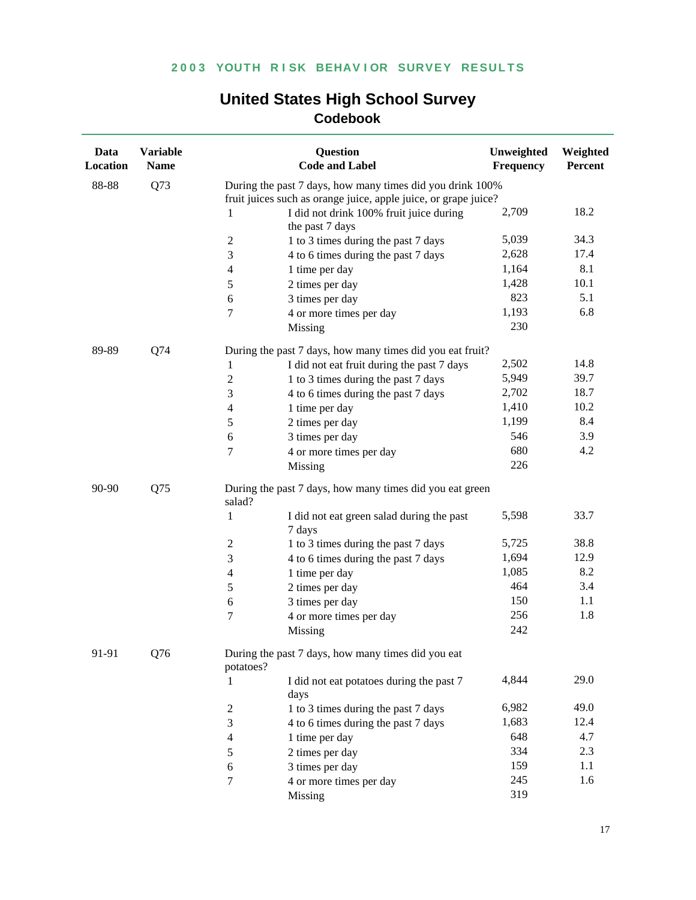| Data<br><b>Location</b> | <b>Variable</b><br><b>Name</b> | Question<br><b>Code and Label</b>                                   | Unweighted<br>Frequency | Weighted<br>Percent |
|-------------------------|--------------------------------|---------------------------------------------------------------------|-------------------------|---------------------|
| 88-88                   | Q73                            | During the past 7 days, how many times did you drink 100%           |                         |                     |
|                         |                                | fruit juices such as orange juice, apple juice, or grape juice?     |                         |                     |
|                         |                                | I did not drink 100% fruit juice during<br>1<br>the past 7 days     | 2,709                   | 18.2                |
|                         |                                | 1 to 3 times during the past 7 days<br>2                            | 5,039                   | 34.3                |
|                         |                                | 3<br>4 to 6 times during the past 7 days                            | 2,628                   | 17.4                |
|                         |                                | $\overline{4}$<br>1 time per day                                    | 1,164                   | 8.1                 |
|                         |                                | 5<br>2 times per day                                                | 1,428                   | 10.1                |
|                         |                                | 6<br>3 times per day                                                | 823                     | 5.1                 |
|                         |                                | 4 or more times per day<br>7                                        | 1,193                   | 6.8                 |
|                         |                                | Missing                                                             | 230                     |                     |
| 89-89                   | Q74                            | During the past 7 days, how many times did you eat fruit?           |                         |                     |
|                         |                                | $\mathbf{1}$<br>I did not eat fruit during the past 7 days          | 2,502                   | 14.8                |
|                         |                                | $\overline{2}$<br>1 to 3 times during the past 7 days               | 5,949                   | 39.7                |
|                         |                                | 3<br>4 to 6 times during the past 7 days                            | 2,702                   | 18.7                |
|                         |                                | $\overline{4}$<br>1 time per day                                    | 1,410                   | 10.2                |
|                         |                                | 5<br>2 times per day                                                | 1,199                   | 8.4                 |
|                         |                                | 3 times per day<br>6                                                | 546                     | 3.9                 |
|                         |                                | 7<br>4 or more times per day                                        | 680                     | 4.2                 |
|                         |                                | Missing                                                             | 226                     |                     |
| 90-90                   | Q75                            | During the past 7 days, how many times did you eat green<br>salad?  |                         |                     |
|                         |                                | $\mathbf{1}$<br>I did not eat green salad during the past<br>7 days | 5,598                   | 33.7                |
|                         |                                | $\overline{2}$<br>1 to 3 times during the past 7 days               | 5,725                   | 38.8                |
|                         |                                | 3<br>4 to 6 times during the past 7 days                            | 1,694                   | 12.9                |
|                         |                                | 1 time per day<br>4                                                 | 1,085                   | 8.2                 |
|                         |                                | 2 times per day<br>5                                                | 464                     | 3.4                 |
|                         |                                | 3 times per day<br>6                                                | 150                     | 1.1                 |
|                         |                                | 7<br>4 or more times per day                                        | 256                     | 1.8                 |
|                         |                                | Missing                                                             | 242                     |                     |
| 91-91                   | Q76                            | During the past 7 days, how many times did you eat<br>potatoes?     |                         |                     |
|                         |                                | I did not eat potatoes during the past 7<br>1<br>days               | 4,844                   | 29.0                |
|                         |                                | 1 to 3 times during the past 7 days<br>2                            | 6,982                   | 49.0                |
|                         |                                | 3<br>4 to 6 times during the past 7 days                            | 1,683                   | 12.4                |
|                         |                                | 4<br>1 time per day                                                 | 648                     | 4.7                 |
|                         |                                | 2 times per day<br>5                                                | 334                     | 2.3                 |
|                         |                                | 6<br>3 times per day                                                | 159                     | 1.1                 |
|                         |                                | 7<br>4 or more times per day                                        | 245                     | 1.6                 |
|                         |                                | Missing                                                             | 319                     |                     |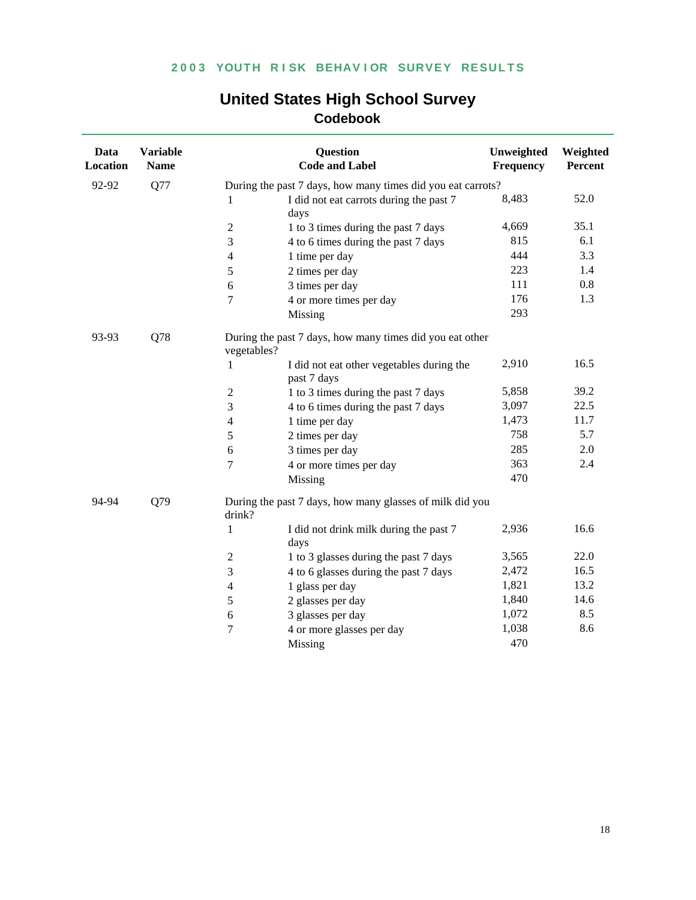| Data<br><b>Location</b> | <b>Variable</b><br><b>Name</b> | <b>Question</b><br><b>Code and Label</b>                                 | Unweighted<br>Frequency | Weighted<br>Percent |
|-------------------------|--------------------------------|--------------------------------------------------------------------------|-------------------------|---------------------|
| 92-92                   | Q77                            | During the past 7 days, how many times did you eat carrots?              |                         |                     |
|                         |                                | I did not eat carrots during the past 7<br>1<br>days                     | 8,483                   | 52.0                |
|                         |                                | $\boldsymbol{2}$<br>1 to 3 times during the past 7 days                  | 4,669                   | 35.1                |
|                         |                                | 3<br>4 to 6 times during the past 7 days                                 | 815                     | 6.1                 |
|                         |                                | $\overline{4}$<br>1 time per day                                         | 444                     | 3.3                 |
|                         |                                | 2 times per day<br>5                                                     | 223                     | 1.4                 |
|                         |                                | 3 times per day<br>6                                                     | 111                     | 0.8                 |
|                         |                                | 7<br>4 or more times per day                                             | 176                     | 1.3                 |
|                         |                                | Missing                                                                  | 293                     |                     |
| 93-93                   | Q78                            | During the past 7 days, how many times did you eat other<br>vegetables?  |                         |                     |
|                         |                                | $\mathbf{1}$<br>I did not eat other vegetables during the<br>past 7 days | 2,910                   | 16.5                |
|                         |                                | $\sqrt{2}$<br>1 to 3 times during the past 7 days                        | 5,858                   | 39.2                |
|                         |                                | $\mathfrak{Z}$<br>4 to 6 times during the past 7 days                    | 3,097                   | 22.5                |
|                         |                                | $\overline{4}$<br>1 time per day                                         | 1,473                   | 11.7                |
|                         |                                | 2 times per day<br>5                                                     | 758                     | 5.7                 |
|                         |                                | 3 times per day<br>6                                                     | 285                     | 2.0                 |
|                         |                                | 7<br>4 or more times per day                                             | 363                     | 2.4                 |
|                         |                                | Missing                                                                  | 470                     |                     |
| 94-94                   | Q79                            | During the past 7 days, how many glasses of milk did you<br>drink?       |                         |                     |
|                         |                                | $\mathbf{1}$<br>I did not drink milk during the past 7<br>days           | 2,936                   | 16.6                |
|                         |                                | 1 to 3 glasses during the past 7 days<br>$\mathfrak 2$                   | 3,565                   | 22.0                |
|                         |                                | 4 to 6 glasses during the past 7 days<br>$\mathfrak{Z}$                  | 2,472                   | 16.5                |
|                         |                                | 1 glass per day<br>$\overline{4}$                                        | 1,821                   | 13.2                |
|                         |                                | $\sqrt{5}$<br>2 glasses per day                                          | 1,840                   | 14.6                |
|                         |                                | 3 glasses per day<br>$\sqrt{6}$                                          | 1,072                   | 8.5                 |
|                         |                                | $\tau$<br>4 or more glasses per day                                      | 1,038                   | 8.6                 |
|                         |                                | Missing                                                                  | 470                     |                     |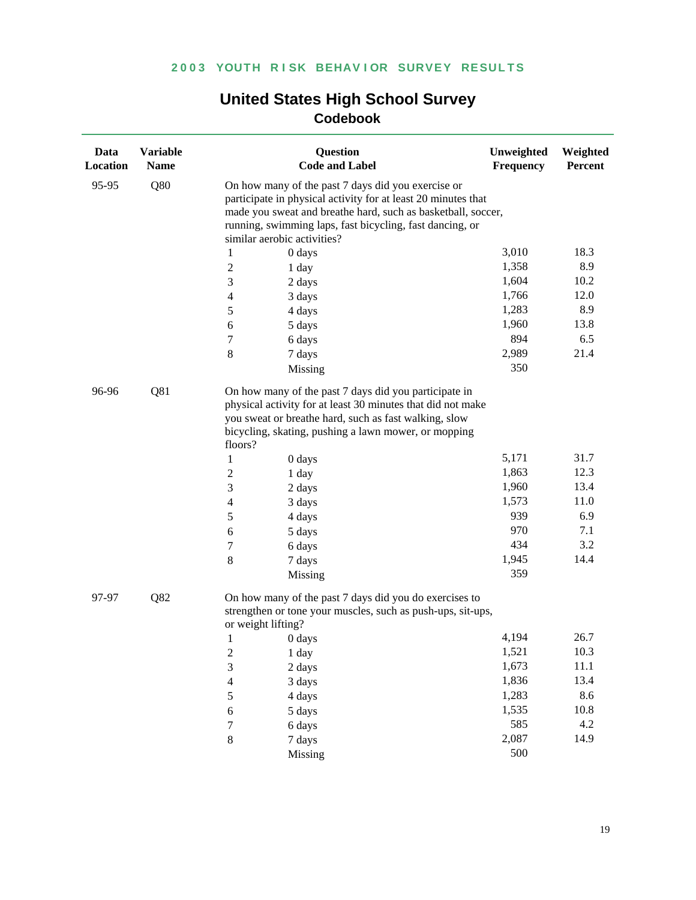| Data<br>Location | <b>Variable</b><br><b>Name</b> |                                                    | Question<br><b>Code and Label</b>                                                                                                                                                                                                                                                                | Unweighted<br>Frequency                        | Weighted<br>Percent                        |
|------------------|--------------------------------|----------------------------------------------------|--------------------------------------------------------------------------------------------------------------------------------------------------------------------------------------------------------------------------------------------------------------------------------------------------|------------------------------------------------|--------------------------------------------|
| 95-95            | Q80                            |                                                    | On how many of the past 7 days did you exercise or<br>participate in physical activity for at least 20 minutes that<br>made you sweat and breathe hard, such as basketball, soccer,<br>running, swimming laps, fast bicycling, fast dancing, or<br>similar aerobic activities?                   |                                                |                                            |
|                  |                                | 1                                                  | 0 days                                                                                                                                                                                                                                                                                           | 3,010                                          | 18.3                                       |
|                  |                                | $\boldsymbol{2}$                                   | 1 day                                                                                                                                                                                                                                                                                            | 1,358                                          | 8.9                                        |
|                  |                                | 3                                                  | 2 days                                                                                                                                                                                                                                                                                           | 1,604                                          | 10.2                                       |
|                  |                                | 4                                                  | 3 days                                                                                                                                                                                                                                                                                           | 1,766                                          | 12.0                                       |
|                  |                                | 5                                                  | 4 days                                                                                                                                                                                                                                                                                           | 1,283                                          | 8.9                                        |
|                  |                                | 6                                                  | 5 days                                                                                                                                                                                                                                                                                           | 1,960                                          | 13.8                                       |
|                  |                                | 7                                                  | 6 days                                                                                                                                                                                                                                                                                           | 894                                            | 6.5                                        |
|                  |                                | 8                                                  | 7 days                                                                                                                                                                                                                                                                                           | 2,989                                          | 21.4                                       |
|                  |                                |                                                    | Missing                                                                                                                                                                                                                                                                                          | 350                                            |                                            |
| 96-96            | Q81                            | floors?<br>1<br>$\overline{c}$<br>3<br>4<br>5<br>6 | On how many of the past 7 days did you participate in<br>physical activity for at least 30 minutes that did not make<br>you sweat or breathe hard, such as fast walking, slow<br>bicycling, skating, pushing a lawn mower, or mopping<br>0 days<br>1 day<br>2 days<br>3 days<br>4 days<br>5 days | 5,171<br>1,863<br>1,960<br>1,573<br>939<br>970 | 31.7<br>12.3<br>13.4<br>11.0<br>6.9<br>7.1 |
|                  |                                | 7                                                  | 6 days                                                                                                                                                                                                                                                                                           | 434                                            | 3.2                                        |
|                  |                                | 8                                                  | 7 days                                                                                                                                                                                                                                                                                           | 1,945                                          | 14.4                                       |
|                  |                                |                                                    | Missing                                                                                                                                                                                                                                                                                          | 359                                            |                                            |
| 97-97            | Q82                            |                                                    | On how many of the past 7 days did you do exercises to<br>strengthen or tone your muscles, such as push-ups, sit-ups,<br>or weight lifting?                                                                                                                                                      |                                                |                                            |
|                  |                                | 1                                                  | 0 days                                                                                                                                                                                                                                                                                           | 4,194                                          | 26.7                                       |
|                  |                                | $\overline{c}$                                     | 1 day                                                                                                                                                                                                                                                                                            | 1,521                                          | 10.3                                       |
|                  |                                | 3                                                  | 2 days                                                                                                                                                                                                                                                                                           | 1,673                                          | 11.1                                       |
|                  |                                | $\overline{\mathcal{L}}$                           | 3 days                                                                                                                                                                                                                                                                                           | 1,836                                          | 13.4                                       |
|                  |                                | 5                                                  | 4 days                                                                                                                                                                                                                                                                                           | 1,283                                          | 8.6                                        |
|                  |                                | 6                                                  | 5 days                                                                                                                                                                                                                                                                                           | 1,535                                          | 10.8                                       |
|                  |                                | $\overline{7}$                                     | 6 days                                                                                                                                                                                                                                                                                           | 585                                            | 4.2                                        |
|                  |                                | 8                                                  | 7 days                                                                                                                                                                                                                                                                                           | 2,087                                          | 14.9                                       |
|                  |                                |                                                    | Missing                                                                                                                                                                                                                                                                                          | 500                                            |                                            |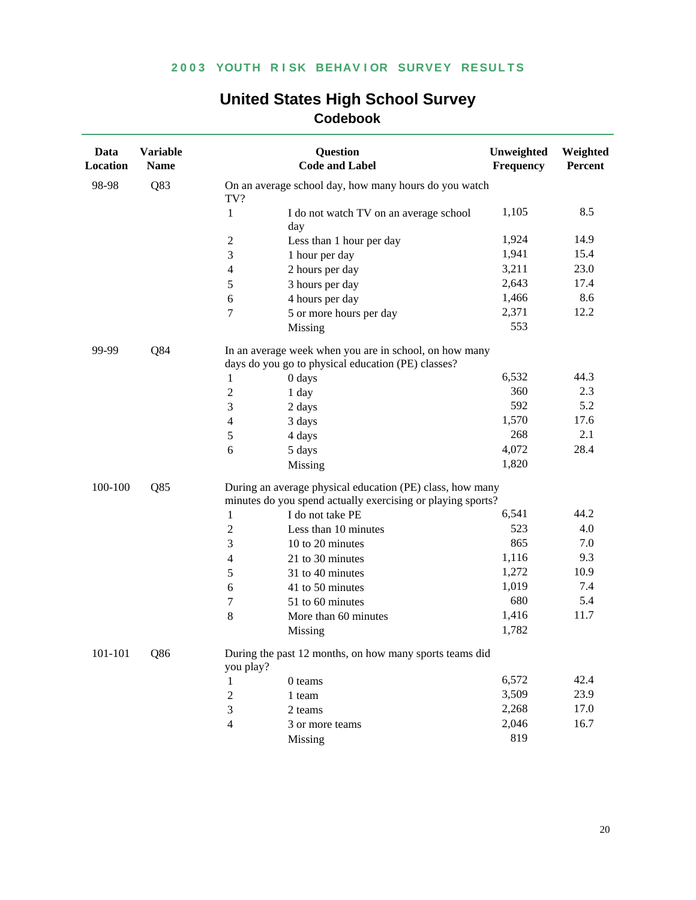| Data<br><b>Location</b> | <b>Variable</b><br><b>Name</b> |                  | Question<br><b>Code and Label</b>                           | Unweighted<br>Frequency | Weighted<br>Percent |  |
|-------------------------|--------------------------------|------------------|-------------------------------------------------------------|-------------------------|---------------------|--|
| 98-98                   | Q83                            | TV?              | On an average school day, how many hours do you watch       |                         |                     |  |
|                         |                                | $\mathbf{1}$     | I do not watch TV on an average school                      | 1,105                   | 8.5                 |  |
|                         |                                |                  | day                                                         |                         |                     |  |
|                         |                                | $\boldsymbol{2}$ | Less than 1 hour per day                                    | 1,924                   | 14.9                |  |
|                         |                                | 3                | 1 hour per day                                              | 1,941                   | 15.4                |  |
|                         |                                | $\overline{4}$   | 2 hours per day                                             | 3,211                   | 23.0                |  |
|                         |                                | 5                | 3 hours per day                                             | 2,643                   | 17.4                |  |
|                         |                                | 6                | 4 hours per day                                             | 1,466                   | 8.6                 |  |
|                         |                                | $\tau$           | 5 or more hours per day                                     | 2,371                   | 12.2                |  |
|                         |                                |                  | Missing                                                     | 553                     |                     |  |
| 99-99                   | Q84                            |                  | In an average week when you are in school, on how many      |                         |                     |  |
|                         |                                |                  | days do you go to physical education (PE) classes?          |                         |                     |  |
|                         |                                | 1                | 0 days                                                      | 6,532                   | 44.3                |  |
|                         |                                | $\overline{c}$   | 1 day                                                       | 360                     | 2.3                 |  |
|                         |                                | 3                | 2 days                                                      | 592                     | 5.2                 |  |
|                         |                                | $\overline{4}$   | 3 days                                                      | 1,570                   | 17.6                |  |
|                         |                                | 5                | 4 days                                                      | 268                     | 2.1                 |  |
|                         |                                | 6                | 5 days                                                      | 4,072                   | 28.4                |  |
|                         |                                |                  | Missing                                                     | 1,820                   |                     |  |
| 100-100                 | Q85                            |                  | During an average physical education (PE) class, how many   |                         |                     |  |
|                         |                                |                  | minutes do you spend actually exercising or playing sports? |                         |                     |  |
|                         |                                | $\mathbf{1}$     | I do not take PE                                            | 6,541                   | 44.2                |  |
|                         |                                | $\overline{c}$   | Less than 10 minutes                                        | 523                     | 4.0                 |  |
|                         |                                | 3                | 10 to 20 minutes                                            | 865                     | 7.0                 |  |
|                         |                                | $\overline{4}$   | 21 to 30 minutes                                            | 1,116                   | 9.3                 |  |
|                         |                                | 5                | 31 to 40 minutes                                            | 1,272                   | 10.9                |  |
|                         |                                | 6                | 41 to 50 minutes                                            | 1,019                   | 7.4                 |  |
|                         |                                | 7                | 51 to 60 minutes                                            | 680                     | 5.4                 |  |
|                         |                                | 8                | More than 60 minutes                                        | 1,416                   | 11.7                |  |
|                         |                                |                  | Missing                                                     | 1,782                   |                     |  |
| 101-101                 | Q86                            | you play?        | During the past 12 months, on how many sports teams did     |                         |                     |  |
|                         |                                | 1                | 0 teams                                                     | 6,572                   | 42.4                |  |
|                         |                                | 2                | 1 team                                                      | 3,509                   | 23.9                |  |
|                         |                                | 3                | 2 teams                                                     | 2,268                   | 17.0                |  |
|                         |                                | 4                | 3 or more teams                                             | 2,046                   | 16.7                |  |
|                         |                                |                  | Missing                                                     | 819                     |                     |  |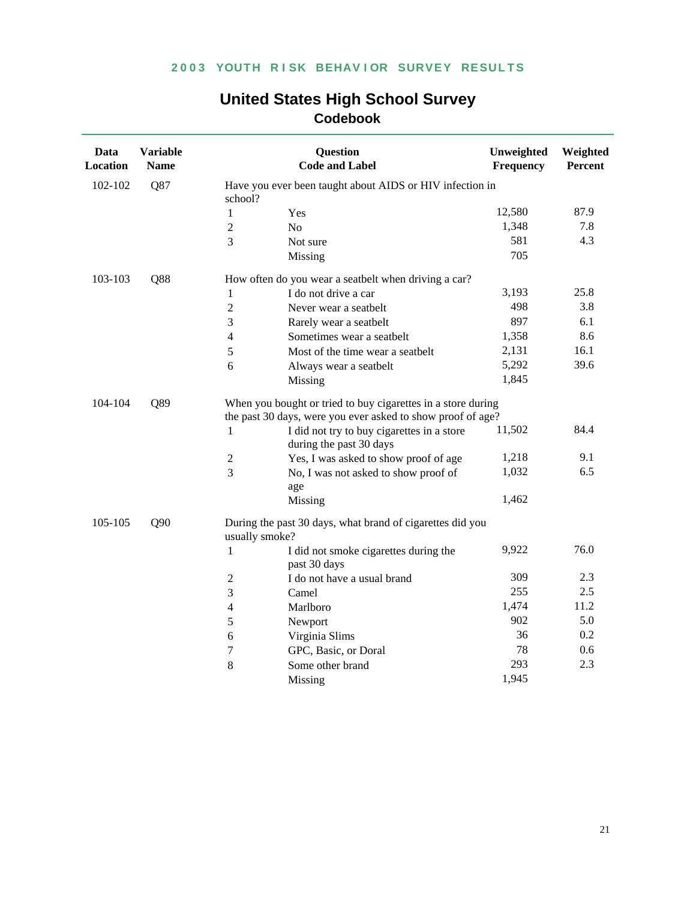| Data<br>Location | <b>Variable</b><br><b>Name</b> |                | <b>Question</b><br><b>Code and Label</b>                                                                                    | Unweighted<br>Frequency | Weighted<br>Percent |  |  |
|------------------|--------------------------------|----------------|-----------------------------------------------------------------------------------------------------------------------------|-------------------------|---------------------|--|--|
| 102-102          | Q87                            | school?        | Have you ever been taught about AIDS or HIV infection in                                                                    |                         |                     |  |  |
|                  |                                | 1              | Yes                                                                                                                         | 12,580                  | 87.9                |  |  |
|                  |                                | $\sqrt{2}$     | No                                                                                                                          | 1,348                   | 7.8                 |  |  |
|                  |                                | 3              | Not sure                                                                                                                    | 581                     | 4.3                 |  |  |
|                  |                                |                | Missing                                                                                                                     | 705                     |                     |  |  |
| 103-103          | Q88                            |                | How often do you wear a seatbelt when driving a car?                                                                        |                         |                     |  |  |
|                  |                                | 1              | I do not drive a car                                                                                                        | 3,193                   | 25.8                |  |  |
|                  |                                | $\sqrt{2}$     | Never wear a seatbelt                                                                                                       | 498                     | 3.8                 |  |  |
|                  |                                | 3              | Rarely wear a seatbelt                                                                                                      | 897                     | 6.1                 |  |  |
|                  |                                | $\overline{4}$ | Sometimes wear a seatbelt                                                                                                   | 1,358                   | 8.6                 |  |  |
|                  |                                | 5              | Most of the time wear a seatbelt                                                                                            | 2,131                   | 16.1                |  |  |
|                  |                                | 6              | Always wear a seatbelt                                                                                                      | 5,292                   | 39.6                |  |  |
|                  |                                |                | Missing                                                                                                                     | 1,845                   |                     |  |  |
| 104-104          | Q89                            |                | When you bought or tried to buy cigarettes in a store during<br>the past 30 days, were you ever asked to show proof of age? |                         |                     |  |  |
|                  |                                | $\mathbf{1}$   | I did not try to buy cigarettes in a store<br>during the past 30 days                                                       | 11,502                  | 84.4                |  |  |
|                  |                                | $\overline{2}$ | Yes, I was asked to show proof of age                                                                                       | 1,218                   | 9.1                 |  |  |
|                  |                                | 3              | No, I was not asked to show proof of<br>age                                                                                 | 1,032                   | 6.5                 |  |  |
|                  |                                |                | Missing                                                                                                                     | 1,462                   |                     |  |  |
| 105-105          | Q90                            |                | During the past 30 days, what brand of cigarettes did you<br>usually smoke?                                                 |                         |                     |  |  |
|                  |                                | 1              | I did not smoke cigarettes during the<br>past 30 days                                                                       | 9,922                   | 76.0                |  |  |
|                  |                                | $\overline{2}$ | I do not have a usual brand                                                                                                 | 309                     | 2.3                 |  |  |
|                  |                                | 3              | Camel                                                                                                                       | 255                     | 2.5                 |  |  |
|                  |                                | 4              | Marlboro                                                                                                                    | 1,474                   | 11.2                |  |  |
|                  |                                | 5              | Newport                                                                                                                     | 902                     | 5.0                 |  |  |
|                  |                                | 6              | Virginia Slims                                                                                                              | 36                      | 0.2                 |  |  |
|                  |                                | $\tau$         | GPC, Basic, or Doral                                                                                                        | 78                      | 0.6                 |  |  |
|                  |                                | 8              | Some other brand                                                                                                            | 293                     | 2.3                 |  |  |
|                  |                                |                | Missing                                                                                                                     | 1,945                   |                     |  |  |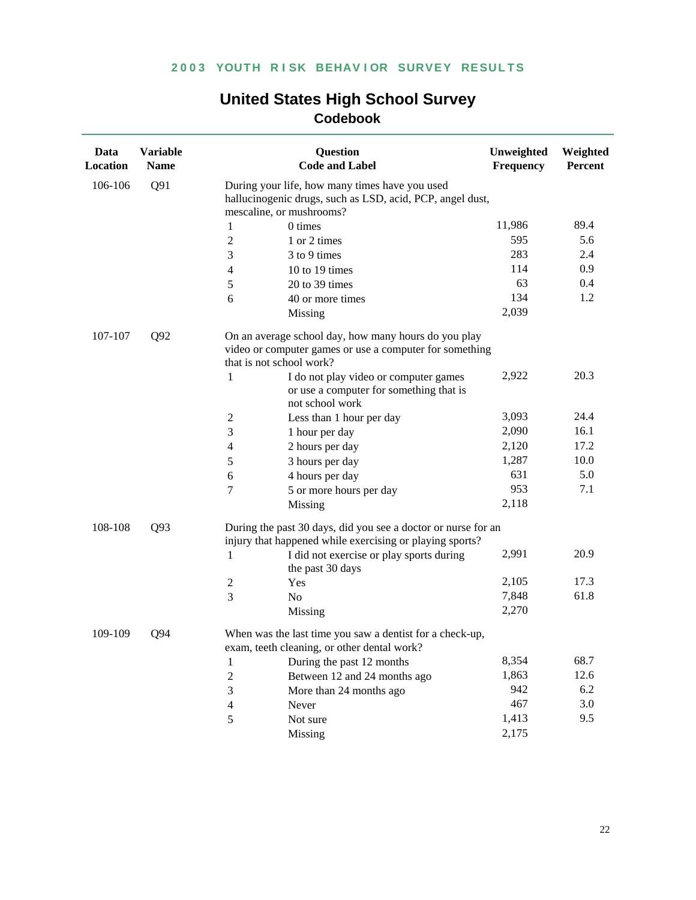| Data<br>Location | <b>Variable</b><br><b>Name</b> |                          | <b>Question</b><br><b>Code and Label</b>                                                                        | Unweighted<br>Frequency | Weighted<br>Percent |  |  |
|------------------|--------------------------------|--------------------------|-----------------------------------------------------------------------------------------------------------------|-------------------------|---------------------|--|--|
| 106-106          | Q91                            | mescaline, or mushrooms? | During your life, how many times have you used<br>hallucinogenic drugs, such as LSD, acid, PCP, angel dust,     |                         |                     |  |  |
|                  |                                | 0 times<br>1             |                                                                                                                 | 11,986                  | 89.4                |  |  |
|                  |                                | $\overline{c}$           | 1 or 2 times                                                                                                    | 595                     | 5.6                 |  |  |
|                  |                                | 3                        | 3 to 9 times                                                                                                    | 283                     | 2.4                 |  |  |
|                  |                                | 4                        | 10 to 19 times                                                                                                  | 114                     | 0.9                 |  |  |
|                  |                                | 5                        | 20 to 39 times                                                                                                  | 63                      | 0.4                 |  |  |
|                  |                                | 6                        | 40 or more times                                                                                                | 134                     | 1.2                 |  |  |
|                  |                                |                          | Missing                                                                                                         | 2,039                   |                     |  |  |
| 107-107          | Q92                            | that is not school work? | On an average school day, how many hours do you play<br>video or computer games or use a computer for something |                         |                     |  |  |
|                  |                                | $\mathbf{1}$             | I do not play video or computer games<br>or use a computer for something that is<br>not school work             | 2,922                   | 20.3                |  |  |
|                  |                                | $\mathbf{2}$             | Less than 1 hour per day                                                                                        | 3,093                   | 24.4                |  |  |
|                  |                                | 3                        | 1 hour per day                                                                                                  | 2,090                   | 16.1                |  |  |
|                  |                                | 4                        | 2 hours per day                                                                                                 | 2,120                   | 17.2                |  |  |
|                  |                                | 5                        | 3 hours per day                                                                                                 | 1,287                   | 10.0                |  |  |
|                  |                                | 6                        | 4 hours per day                                                                                                 | 631                     | 5.0                 |  |  |
|                  |                                | 7                        | 5 or more hours per day                                                                                         | 953                     | 7.1                 |  |  |
|                  |                                |                          | Missing                                                                                                         | 2,118                   |                     |  |  |
| 108-108          | Q93                            |                          | During the past 30 days, did you see a doctor or nurse for an                                                   |                         |                     |  |  |
|                  |                                |                          | injury that happened while exercising or playing sports?                                                        |                         |                     |  |  |
|                  |                                | 1                        | I did not exercise or play sports during<br>the past 30 days                                                    | 2,991                   | 20.9                |  |  |
|                  |                                | 2<br>Yes                 |                                                                                                                 | 2,105                   | 17.3                |  |  |
|                  |                                | 3<br>N <sub>o</sub>      |                                                                                                                 | 7,848                   | 61.8                |  |  |
|                  |                                |                          | Missing                                                                                                         | 2,270                   |                     |  |  |
| 109-109          | Q94                            |                          | When was the last time you saw a dentist for a check-up,<br>exam, teeth cleaning, or other dental work?         |                         |                     |  |  |
|                  |                                | $\mathbf{1}$             | During the past 12 months                                                                                       | 8,354                   | 68.7                |  |  |
|                  |                                | $\mathbf{2}$             | Between 12 and 24 months ago                                                                                    | 1,863                   | 12.6                |  |  |
|                  |                                | 3                        | More than 24 months ago                                                                                         | 942                     | 6.2                 |  |  |
|                  |                                | Never<br>4               |                                                                                                                 | 467                     | 3.0                 |  |  |
|                  |                                | 5                        | Not sure                                                                                                        | 1,413                   | 9.5                 |  |  |
|                  |                                |                          | Missing                                                                                                         | 2,175                   |                     |  |  |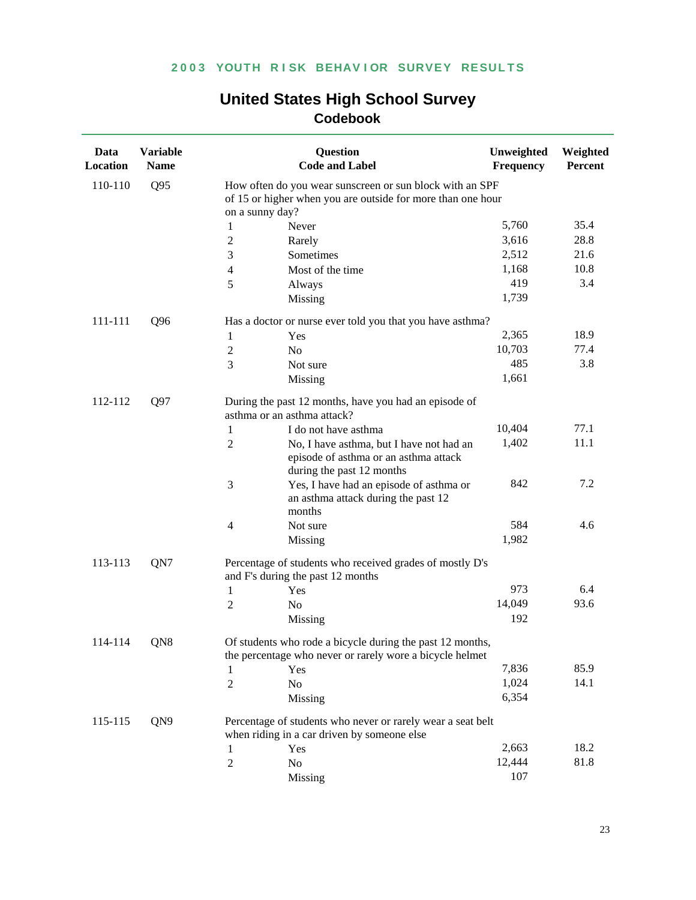| Data<br>Location | <b>Variable</b><br><b>Name</b> | <b>Question</b><br><b>Code and Label</b>                                                                                                   | Unweighted<br>Frequency | Weighted<br>Percent |  |
|------------------|--------------------------------|--------------------------------------------------------------------------------------------------------------------------------------------|-------------------------|---------------------|--|
| 110-110          | Q95                            | How often do you wear sunscreen or sun block with an SPF<br>of 15 or higher when you are outside for more than one hour<br>on a sunny day? |                         |                     |  |
|                  |                                | Never<br>1                                                                                                                                 | 5,760                   | 35.4                |  |
|                  |                                | $\mathfrak{2}$<br>Rarely                                                                                                                   | 3,616                   | 28.8                |  |
|                  |                                | Sometimes<br>3                                                                                                                             | 2,512                   | 21.6                |  |
|                  |                                | Most of the time<br>4                                                                                                                      | 1,168                   | 10.8                |  |
|                  |                                | 5<br>Always                                                                                                                                | 419                     | 3.4                 |  |
|                  |                                | Missing                                                                                                                                    | 1,739                   |                     |  |
| 111-111          | Q96                            | Has a doctor or nurse ever told you that you have asthma?                                                                                  |                         |                     |  |
|                  |                                | 1<br>Yes                                                                                                                                   | 2,365                   | 18.9                |  |
|                  |                                | $\overline{2}$<br>N <sub>o</sub>                                                                                                           | 10,703                  | 77.4                |  |
|                  |                                | 3<br>Not sure                                                                                                                              | 485                     | 3.8                 |  |
|                  |                                | Missing                                                                                                                                    | 1,661                   |                     |  |
| 112-112          | Q97                            | During the past 12 months, have you had an episode of<br>asthma or an asthma attack?                                                       |                         |                     |  |
|                  |                                | I do not have asthma<br>1                                                                                                                  | 10,404                  | 77.1                |  |
|                  |                                | $\mathfrak{2}$<br>No, I have asthma, but I have not had an<br>episode of asthma or an asthma attack<br>during the past 12 months           | 1,402                   | 11.1                |  |
|                  |                                | 3<br>Yes, I have had an episode of asthma or<br>an asthma attack during the past 12<br>months                                              | 842                     | 7.2                 |  |
|                  |                                | 4<br>Not sure                                                                                                                              | 584                     | 4.6                 |  |
|                  |                                | Missing                                                                                                                                    | 1,982                   |                     |  |
| 113-113          | QN7                            | Percentage of students who received grades of mostly D's<br>and F's during the past 12 months                                              |                         |                     |  |
|                  |                                | Yes<br>1                                                                                                                                   | 973                     | 6.4                 |  |
|                  |                                | $\overline{2}$<br>N <sub>o</sub>                                                                                                           | 14,049                  | 93.6                |  |
|                  |                                | Missing                                                                                                                                    | 192                     |                     |  |
| 114-114          | QN8                            | Of students who rode a bicycle during the past 12 months,<br>the percentage who never or rarely wore a bicycle helmet                      |                         |                     |  |
|                  |                                | Yes                                                                                                                                        | 7,836                   | 85.9                |  |
|                  |                                | $\overline{2}$<br>No                                                                                                                       | 1,024                   | 14.1                |  |
|                  |                                | Missing                                                                                                                                    | 6,354                   |                     |  |
| 115-115          | QN9                            | Percentage of students who never or rarely wear a seat belt<br>when riding in a car driven by someone else                                 |                         |                     |  |
|                  |                                | Yes<br>1                                                                                                                                   | 2,663                   | 18.2                |  |
|                  |                                | No<br>2                                                                                                                                    | 12,444                  | 81.8                |  |
|                  |                                | Missing                                                                                                                                    | 107                     |                     |  |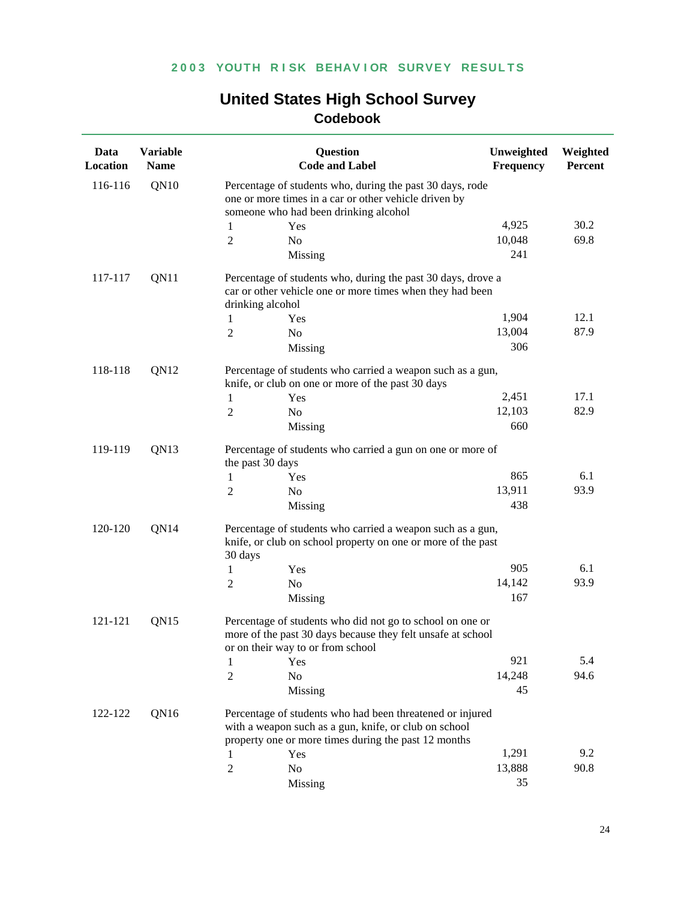| Data<br>Location | <b>Variable</b><br><b>Name</b> |                  | <b>Question</b><br><b>Code and Label</b>                                                                                                                                   | Unweighted<br><b>Frequency</b> | Weighted<br>Percent |
|------------------|--------------------------------|------------------|----------------------------------------------------------------------------------------------------------------------------------------------------------------------------|--------------------------------|---------------------|
| 116-116          | QN10                           |                  | Percentage of students who, during the past 30 days, rode<br>one or more times in a car or other vehicle driven by<br>someone who had been drinking alcohol                |                                |                     |
|                  |                                | 1                | Yes                                                                                                                                                                        | 4,925                          | 30.2                |
|                  |                                | 2                | No                                                                                                                                                                         | 10,048                         | 69.8                |
|                  |                                |                  | Missing                                                                                                                                                                    | 241                            |                     |
| 117-117          | QN11                           | drinking alcohol | Percentage of students who, during the past 30 days, drove a<br>car or other vehicle one or more times when they had been                                                  |                                |                     |
|                  |                                | 1                | Yes                                                                                                                                                                        | 1,904                          | 12.1                |
|                  |                                | 2                | N <sub>o</sub>                                                                                                                                                             | 13,004                         | 87.9                |
|                  |                                |                  | Missing                                                                                                                                                                    | 306                            |                     |
| 118-118          | QN12                           |                  | Percentage of students who carried a weapon such as a gun,<br>knife, or club on one or more of the past 30 days                                                            |                                |                     |
|                  |                                | 1                | Yes                                                                                                                                                                        | 2,451                          | 17.1                |
|                  |                                | $\overline{2}$   | No                                                                                                                                                                         | 12,103                         | 82.9                |
|                  |                                |                  | Missing                                                                                                                                                                    | 660                            |                     |
| QN13<br>119-119  |                                | the past 30 days | Percentage of students who carried a gun on one or more of                                                                                                                 |                                |                     |
|                  |                                | 1                | <b>Yes</b>                                                                                                                                                                 | 865                            | 6.1                 |
|                  |                                | 2                | No                                                                                                                                                                         | 13,911                         | 93.9                |
|                  |                                |                  | Missing                                                                                                                                                                    | 438                            |                     |
| 120-120          | QN14                           | 30 days          | Percentage of students who carried a weapon such as a gun,<br>knife, or club on school property on one or more of the past                                                 |                                |                     |
|                  |                                | 1                | Yes                                                                                                                                                                        | 905                            | 6.1                 |
|                  |                                | 2                | N <sub>o</sub>                                                                                                                                                             | 14,142                         | 93.9                |
|                  |                                |                  | Missing                                                                                                                                                                    | 167                            |                     |
| 121-121          | QN15                           |                  | Percentage of students who did not go to school on one or<br>more of the past 30 days because they felt unsafe at school<br>or on their way to or from school              |                                |                     |
|                  |                                | 1                | Yes                                                                                                                                                                        | 921                            | 5.4                 |
|                  |                                | $\overline{2}$   | No                                                                                                                                                                         | 14,248                         | 94.6                |
|                  |                                |                  | Missing                                                                                                                                                                    | 45                             |                     |
| 122-122          | QN16                           |                  | Percentage of students who had been threatened or injured<br>with a weapon such as a gun, knife, or club on school<br>property one or more times during the past 12 months |                                |                     |
|                  |                                | 1                | Yes                                                                                                                                                                        | 1,291                          | 9.2                 |
|                  |                                | $\overline{2}$   | No                                                                                                                                                                         | 13,888                         | 90.8                |
|                  |                                |                  | Missing                                                                                                                                                                    | 35                             |                     |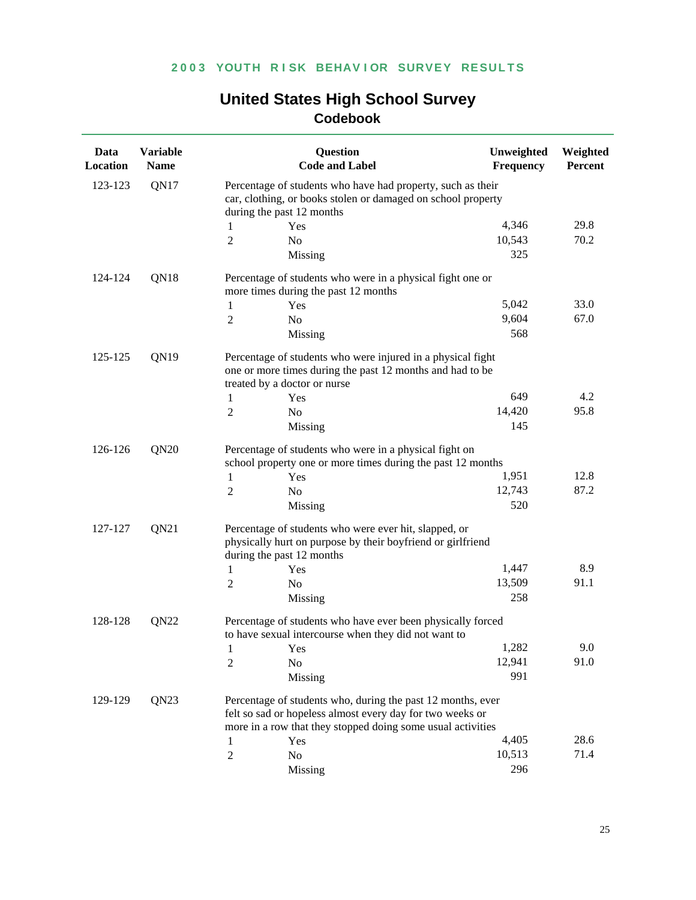| Data<br>Location | <b>Variable</b><br><b>Name</b> |                                                                                                                       | <b>Question</b><br><b>Code and Label</b>                                                                                                                                                | Unweighted<br><b>Frequency</b> | Weighted<br>Percent |  |
|------------------|--------------------------------|-----------------------------------------------------------------------------------------------------------------------|-----------------------------------------------------------------------------------------------------------------------------------------------------------------------------------------|--------------------------------|---------------------|--|
| 123-123          | QN17                           |                                                                                                                       | Percentage of students who have had property, such as their<br>car, clothing, or books stolen or damaged on school property<br>during the past 12 months                                |                                |                     |  |
|                  |                                | 1                                                                                                                     | Yes                                                                                                                                                                                     | 4,346                          | 29.8                |  |
|                  |                                | 2                                                                                                                     | No                                                                                                                                                                                      | 10,543                         | 70.2                |  |
|                  |                                |                                                                                                                       | Missing                                                                                                                                                                                 | 325                            |                     |  |
| 124-124          | QN18                           |                                                                                                                       | Percentage of students who were in a physical fight one or<br>more times during the past 12 months                                                                                      |                                |                     |  |
|                  |                                | 1                                                                                                                     | Yes                                                                                                                                                                                     | 5,042                          | 33.0                |  |
|                  |                                | 2                                                                                                                     | N <sub>o</sub>                                                                                                                                                                          | 9,604                          | 67.0                |  |
|                  |                                |                                                                                                                       | Missing                                                                                                                                                                                 | 568                            |                     |  |
| 125-125          | QN19                           |                                                                                                                       | Percentage of students who were injured in a physical fight<br>one or more times during the past 12 months and had to be<br>treated by a doctor or nurse                                |                                |                     |  |
|                  |                                | 1                                                                                                                     | Yes                                                                                                                                                                                     | 649                            | 4.2                 |  |
|                  |                                | 2                                                                                                                     | No                                                                                                                                                                                      | 14,420                         | 95.8                |  |
|                  |                                |                                                                                                                       | Missing                                                                                                                                                                                 | 145                            |                     |  |
| QN20<br>126-126  |                                | Percentage of students who were in a physical fight on<br>school property one or more times during the past 12 months |                                                                                                                                                                                         |                                |                     |  |
|                  |                                | 1                                                                                                                     | Yes                                                                                                                                                                                     | 1,951                          | 12.8                |  |
|                  |                                | 2                                                                                                                     | N <sub>o</sub>                                                                                                                                                                          | 12,743                         | 87.2                |  |
|                  |                                |                                                                                                                       | Missing                                                                                                                                                                                 | 520                            |                     |  |
| 127-127          | QN21                           |                                                                                                                       | Percentage of students who were ever hit, slapped, or<br>physically hurt on purpose by their boyfriend or girlfriend<br>during the past 12 months                                       |                                |                     |  |
|                  |                                | 1                                                                                                                     | Yes                                                                                                                                                                                     | 1,447                          | 8.9                 |  |
|                  |                                | 2                                                                                                                     | No                                                                                                                                                                                      | 13,509                         | 91.1                |  |
|                  |                                |                                                                                                                       | Missing                                                                                                                                                                                 | 258                            |                     |  |
| 128-128          | QN22                           |                                                                                                                       | Percentage of students who have ever been physically forced<br>to have sexual intercourse when they did not want to                                                                     |                                |                     |  |
|                  |                                | $\mathbf{1}$                                                                                                          | Yes                                                                                                                                                                                     | 1,282                          | 9.0                 |  |
|                  |                                | 2                                                                                                                     | No                                                                                                                                                                                      | 12,941                         | 91.0                |  |
|                  |                                |                                                                                                                       | Missing                                                                                                                                                                                 | 991                            |                     |  |
| 129-129          | QN23                           |                                                                                                                       | Percentage of students who, during the past 12 months, ever<br>felt so sad or hopeless almost every day for two weeks or<br>more in a row that they stopped doing some usual activities |                                |                     |  |
|                  |                                | 1                                                                                                                     | Yes                                                                                                                                                                                     | 4,405                          | 28.6                |  |
|                  |                                | $\overline{2}$                                                                                                        | No                                                                                                                                                                                      | 10,513                         | 71.4                |  |
|                  |                                |                                                                                                                       | Missing                                                                                                                                                                                 | 296                            |                     |  |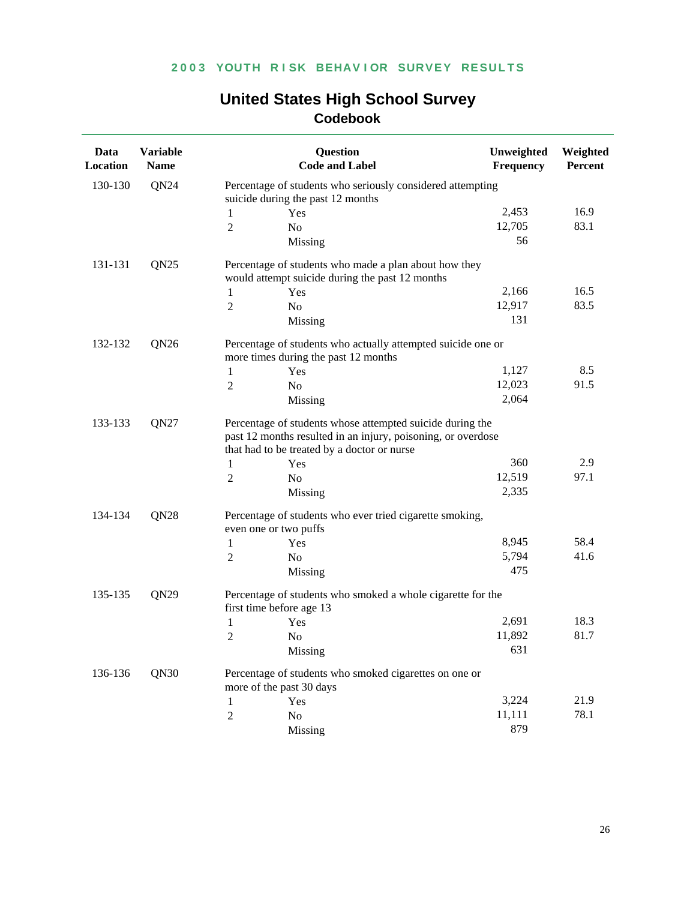| <b>United States High School Survey</b> |
|-----------------------------------------|
| <b>Codebook</b>                         |

| Data<br>Location            | <b>Variable</b><br><b>Name</b> |                  | <b>Question</b><br><b>Code and Label</b>                                                                                                                                 | Unweighted<br><b>Frequency</b> | Weighted<br>Percent |
|-----------------------------|--------------------------------|------------------|--------------------------------------------------------------------------------------------------------------------------------------------------------------------------|--------------------------------|---------------------|
| 130-130                     | QN24                           |                  | Percentage of students who seriously considered attempting                                                                                                               |                                |                     |
|                             |                                |                  | suicide during the past 12 months                                                                                                                                        |                                |                     |
|                             |                                | 1                | Yes                                                                                                                                                                      | 2,453                          | 16.9                |
|                             |                                | 2                | N <sub>o</sub>                                                                                                                                                           | 12,705                         | 83.1                |
|                             |                                |                  | Missing                                                                                                                                                                  | 56                             |                     |
| 131-131                     | QN25                           |                  | Percentage of students who made a plan about how they<br>would attempt suicide during the past 12 months                                                                 |                                |                     |
|                             |                                | 1                | Yes                                                                                                                                                                      | 2,166                          | 16.5                |
|                             |                                | 2                | N <sub>o</sub>                                                                                                                                                           | 12,917                         | 83.5                |
|                             |                                |                  | Missing                                                                                                                                                                  | 131                            |                     |
| 132-132                     | QN <sub>26</sub>               |                  | Percentage of students who actually attempted suicide one or<br>more times during the past 12 months                                                                     |                                |                     |
|                             |                                | 1                | Yes                                                                                                                                                                      | 1,127                          | 8.5                 |
|                             |                                | 2                | No                                                                                                                                                                       | 12,023                         | 91.5                |
|                             |                                |                  | Missing                                                                                                                                                                  | 2,064                          |                     |
| QN27<br>133-133             |                                |                  | Percentage of students whose attempted suicide during the<br>past 12 months resulted in an injury, poisoning, or overdose<br>that had to be treated by a doctor or nurse |                                |                     |
|                             |                                | 1                | Yes                                                                                                                                                                      | 360                            | 2.9                 |
|                             |                                | $\overline{c}$   | No                                                                                                                                                                       | 12,519                         | 97.1                |
|                             |                                |                  | Missing                                                                                                                                                                  | 2,335                          |                     |
| 134-134<br>QN <sub>28</sub> |                                |                  | Percentage of students who ever tried cigarette smoking,<br>even one or two puffs                                                                                        |                                |                     |
|                             |                                | 1                | Yes                                                                                                                                                                      | 8,945                          | 58.4                |
|                             |                                | 2                | No                                                                                                                                                                       | 5,794                          | 41.6                |
|                             |                                |                  | Missing                                                                                                                                                                  | 475                            |                     |
| 135-135                     | QN <sub>29</sub>               |                  | Percentage of students who smoked a whole cigarette for the<br>first time before age 13                                                                                  |                                |                     |
|                             |                                | 1                | Yes                                                                                                                                                                      | 2,691                          | 18.3                |
|                             |                                | $\overline{c}$   | No                                                                                                                                                                       | 11,892                         | 81.7                |
|                             |                                |                  | Missing                                                                                                                                                                  | 631                            |                     |
| 136-136                     | QN30                           |                  | Percentage of students who smoked cigarettes on one or<br>more of the past 30 days                                                                                       |                                |                     |
|                             |                                | 1                | Yes                                                                                                                                                                      | 3,224                          | 21.9                |
|                             |                                | $\boldsymbol{2}$ | No                                                                                                                                                                       | 11,111                         | 78.1                |
|                             |                                |                  | Missing                                                                                                                                                                  | 879                            |                     |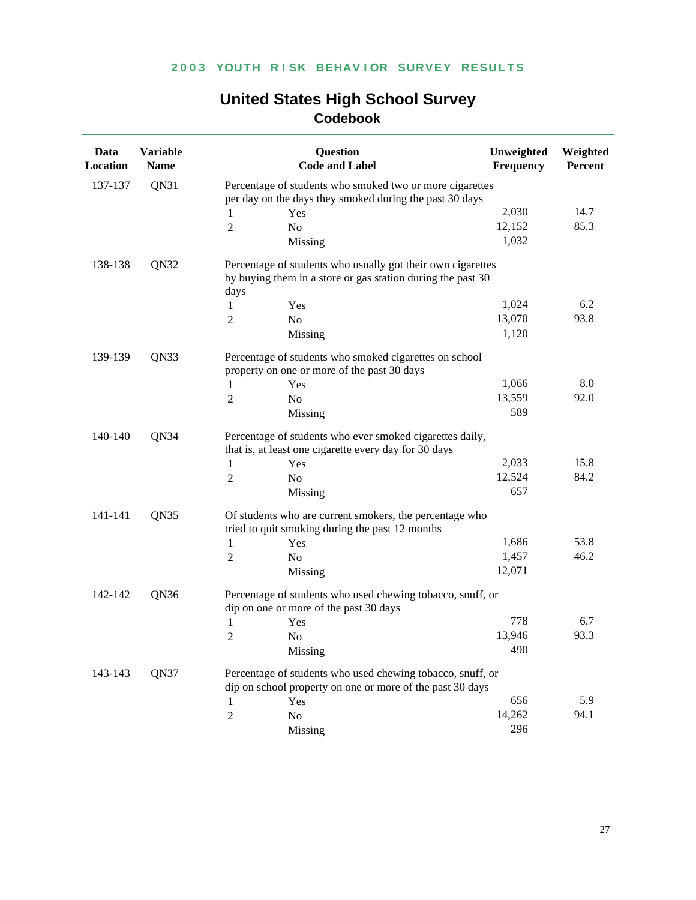| Data<br>Location | <b>Variable</b><br><b>Name</b> |                | <b>Question</b><br><b>Code and Label</b>                                                                                   | Unweighted<br>Frequency | Weighted<br>Percent |
|------------------|--------------------------------|----------------|----------------------------------------------------------------------------------------------------------------------------|-------------------------|---------------------|
| 137-137          | QN31                           |                | Percentage of students who smoked two or more cigarettes                                                                   |                         |                     |
|                  |                                |                | per day on the days they smoked during the past 30 days                                                                    |                         |                     |
|                  |                                | 1              | Yes                                                                                                                        | 2,030                   | 14.7                |
|                  |                                | $\overline{2}$ | No                                                                                                                         | 12,152                  | 85.3                |
|                  |                                |                | Missing                                                                                                                    | 1,032                   |                     |
| 138-138          | QN32                           | days           | Percentage of students who usually got their own cigarettes<br>by buying them in a store or gas station during the past 30 |                         |                     |
|                  |                                | 1              | Yes                                                                                                                        | 1,024                   | 6.2                 |
|                  |                                | $\overline{2}$ | N <sub>o</sub>                                                                                                             | 13,070                  | 93.8                |
|                  |                                |                | Missing                                                                                                                    | 1,120                   |                     |
|                  |                                |                |                                                                                                                            |                         |                     |
| 139-139          | QN33                           |                | Percentage of students who smoked cigarettes on school<br>property on one or more of the past 30 days                      |                         |                     |
|                  |                                | $\mathbf{1}$   | Yes                                                                                                                        | 1,066                   | 8.0                 |
|                  |                                | $\overline{2}$ | N <sub>o</sub>                                                                                                             | 13,559                  | 92.0                |
|                  |                                |                | Missing                                                                                                                    | 589                     |                     |
| 140-140          | QN34                           |                | Percentage of students who ever smoked cigarettes daily,<br>that is, at least one cigarette every day for 30 days          |                         |                     |
|                  |                                | 1              | Yes                                                                                                                        | 2,033                   | 15.8                |
|                  |                                | $\overline{2}$ | N <sub>o</sub>                                                                                                             | 12,524                  | 84.2                |
|                  |                                |                | Missing                                                                                                                    | 657                     |                     |
| 141-141          | QN35                           |                | Of students who are current smokers, the percentage who<br>tried to quit smoking during the past 12 months                 |                         |                     |
|                  |                                | 1              | Yes                                                                                                                        | 1,686                   | 53.8                |
|                  |                                | 2              | No                                                                                                                         | 1,457                   | 46.2                |
|                  |                                |                | Missing                                                                                                                    | 12,071                  |                     |
| 142-142          | QN36                           |                | Percentage of students who used chewing tobacco, snuff, or<br>dip on one or more of the past 30 days                       |                         |                     |
|                  |                                | 1              | Yes                                                                                                                        | 778                     | 6.7                 |
|                  |                                | $\mathfrak{2}$ | N <sub>o</sub>                                                                                                             | 13,946                  | 93.3                |
|                  |                                |                | Missing                                                                                                                    | 490                     |                     |
| 143-143          | QN37                           |                | Percentage of students who used chewing tobacco, snuff, or<br>dip on school property on one or more of the past 30 days    |                         |                     |
|                  |                                | 1              | Yes                                                                                                                        | 656                     | 5.9                 |
|                  |                                | $\overline{2}$ | N <sub>o</sub>                                                                                                             | 14,262                  | 94.1                |
|                  |                                |                | Missing                                                                                                                    | 296                     |                     |
|                  |                                |                |                                                                                                                            |                         |                     |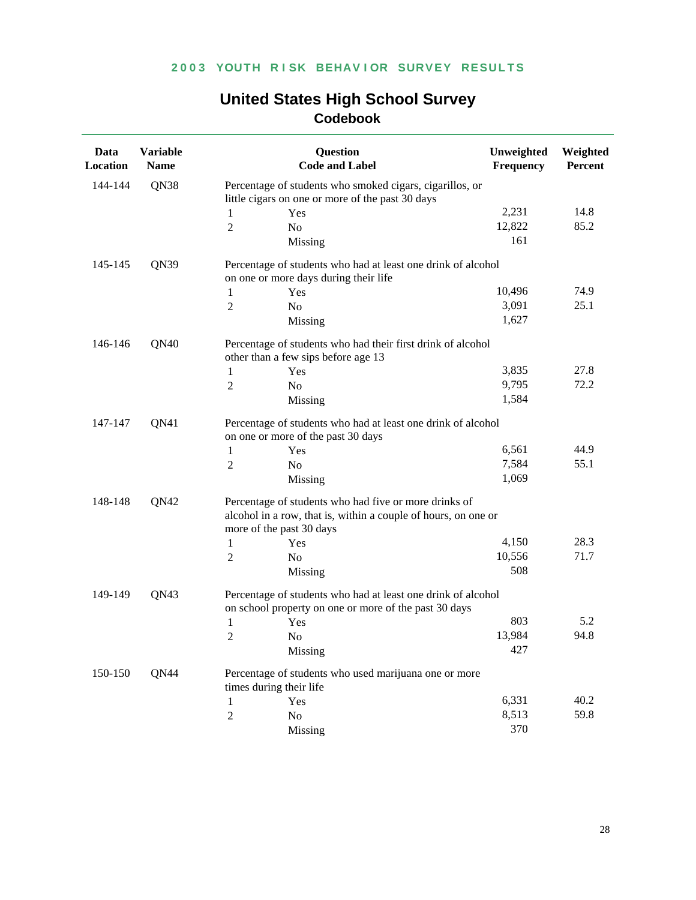| Data<br>Location | <b>Variable</b><br><b>Name</b> |                                                                                                                                                     | <b>Question</b><br><b>Code and Label</b>                                                                              | Unweighted<br><b>Frequency</b> | Weighted<br>Percent |  |  |
|------------------|--------------------------------|-----------------------------------------------------------------------------------------------------------------------------------------------------|-----------------------------------------------------------------------------------------------------------------------|--------------------------------|---------------------|--|--|
| 144-144          | QN38                           |                                                                                                                                                     | Percentage of students who smoked cigars, cigarillos, or                                                              |                                |                     |  |  |
|                  |                                |                                                                                                                                                     | little cigars on one or more of the past 30 days                                                                      |                                |                     |  |  |
|                  |                                | 1                                                                                                                                                   | Yes                                                                                                                   | 2,231                          | 14.8                |  |  |
|                  |                                | 2                                                                                                                                                   | No                                                                                                                    | 12,822                         | 85.2                |  |  |
|                  |                                |                                                                                                                                                     | Missing                                                                                                               | 161                            |                     |  |  |
| 145-145          | QN39                           |                                                                                                                                                     | Percentage of students who had at least one drink of alcohol<br>on one or more days during their life                 |                                |                     |  |  |
|                  |                                | 1                                                                                                                                                   | Yes                                                                                                                   | 10,496                         | 74.9                |  |  |
|                  |                                | 2                                                                                                                                                   | N <sub>o</sub>                                                                                                        | 3,091                          | 25.1                |  |  |
|                  |                                |                                                                                                                                                     | Missing                                                                                                               | 1,627                          |                     |  |  |
| 146-146          | QN40                           |                                                                                                                                                     | Percentage of students who had their first drink of alcohol<br>other than a few sips before age 13                    |                                |                     |  |  |
|                  |                                | 1                                                                                                                                                   | Yes                                                                                                                   | 3,835                          | 27.8                |  |  |
|                  |                                | 2                                                                                                                                                   | N <sub>o</sub>                                                                                                        | 9,795                          | 72.2                |  |  |
|                  |                                |                                                                                                                                                     | Missing                                                                                                               | 1,584                          |                     |  |  |
| QN41<br>147-147  |                                |                                                                                                                                                     | Percentage of students who had at least one drink of alcohol<br>on one or more of the past 30 days                    |                                |                     |  |  |
|                  |                                | 1                                                                                                                                                   | Yes                                                                                                                   | 6,561                          | 44.9                |  |  |
|                  |                                | 2                                                                                                                                                   | No                                                                                                                    | 7,584                          | 55.1                |  |  |
|                  |                                |                                                                                                                                                     | Missing                                                                                                               | 1,069                          |                     |  |  |
| 148-148<br>QN42  |                                | Percentage of students who had five or more drinks of<br>alcohol in a row, that is, within a couple of hours, on one or<br>more of the past 30 days |                                                                                                                       |                                |                     |  |  |
|                  |                                | 1                                                                                                                                                   | Yes                                                                                                                   | 4,150                          | 28.3                |  |  |
|                  |                                | 2                                                                                                                                                   | N <sub>o</sub>                                                                                                        | 10,556                         | 71.7                |  |  |
|                  |                                |                                                                                                                                                     | Missing                                                                                                               | 508                            |                     |  |  |
| 149-149          | QN43                           |                                                                                                                                                     | Percentage of students who had at least one drink of alcohol<br>on school property on one or more of the past 30 days |                                |                     |  |  |
|                  |                                | 1                                                                                                                                                   | Yes                                                                                                                   | 803                            | 5.2                 |  |  |
|                  |                                | 2                                                                                                                                                   | No                                                                                                                    | 13,984                         | 94.8                |  |  |
|                  |                                |                                                                                                                                                     | Missing                                                                                                               | 427                            |                     |  |  |
| 150-150          | QN44                           |                                                                                                                                                     | Percentage of students who used marijuana one or more<br>times during their life                                      |                                |                     |  |  |
|                  |                                | 1                                                                                                                                                   | Yes                                                                                                                   | 6,331                          | 40.2                |  |  |
|                  |                                | $\sqrt{2}$                                                                                                                                          | No                                                                                                                    | 8,513                          | 59.8                |  |  |
|                  |                                |                                                                                                                                                     | Missing                                                                                                               | 370                            |                     |  |  |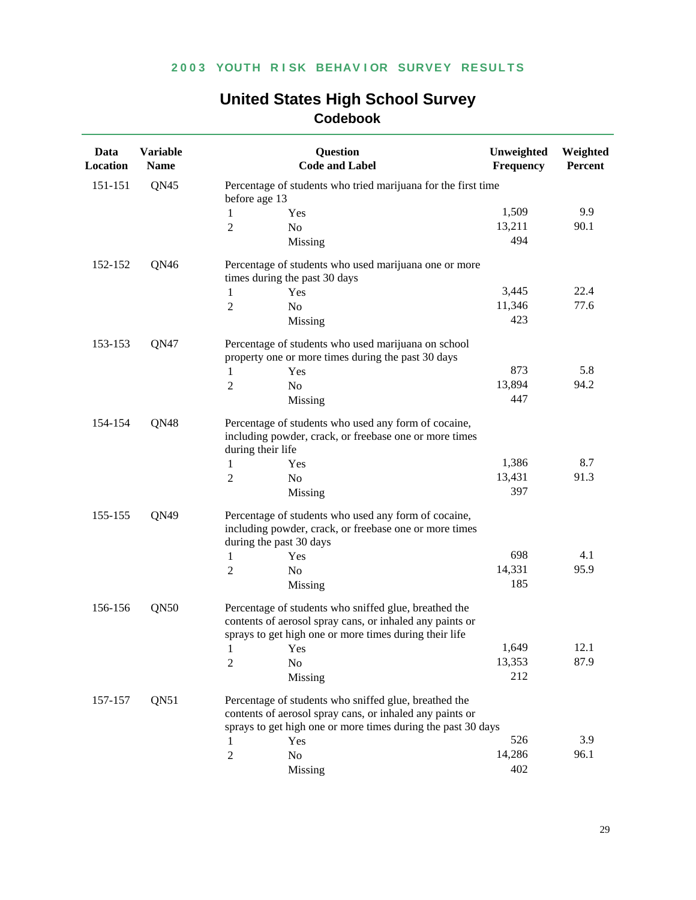| Data<br>Location | <b>Variable</b><br><b>Name</b> |                   | <b>Question</b><br><b>Code and Label</b>                                                                                                                                          | Unweighted<br><b>Frequency</b> | Weighted<br>Percent |  |  |
|------------------|--------------------------------|-------------------|-----------------------------------------------------------------------------------------------------------------------------------------------------------------------------------|--------------------------------|---------------------|--|--|
| 151-151          | QN45                           | before age 13     | Percentage of students who tried marijuana for the first time                                                                                                                     |                                |                     |  |  |
|                  |                                | 1                 | Yes                                                                                                                                                                               | 1,509                          | 9.9                 |  |  |
|                  |                                | 2                 | N <sub>o</sub>                                                                                                                                                                    | 13,211                         | 90.1                |  |  |
|                  |                                |                   | Missing                                                                                                                                                                           | 494                            |                     |  |  |
| 152-152          | QN46                           |                   | Percentage of students who used marijuana one or more<br>times during the past 30 days                                                                                            |                                |                     |  |  |
|                  |                                | 1                 | Yes                                                                                                                                                                               | 3,445                          | 22.4                |  |  |
|                  |                                | 2                 | N <sub>o</sub>                                                                                                                                                                    | 11,346                         | 77.6                |  |  |
|                  |                                |                   | Missing                                                                                                                                                                           | 423                            |                     |  |  |
| 153-153          | QN47                           |                   | Percentage of students who used marijuana on school<br>property one or more times during the past 30 days                                                                         |                                |                     |  |  |
|                  |                                | 1                 | Yes                                                                                                                                                                               | 873                            | 5.8                 |  |  |
|                  |                                | 2                 | No                                                                                                                                                                                | 13,894                         | 94.2                |  |  |
|                  |                                |                   | Missing                                                                                                                                                                           | 447                            |                     |  |  |
| 154-154          | QN48                           | during their life | Percentage of students who used any form of cocaine,<br>including powder, crack, or freebase one or more times                                                                    |                                |                     |  |  |
|                  |                                | 1                 | Yes                                                                                                                                                                               | 1,386                          | 8.7                 |  |  |
|                  |                                | 2                 | No                                                                                                                                                                                | 13,431                         | 91.3                |  |  |
|                  |                                |                   | Missing                                                                                                                                                                           | 397                            |                     |  |  |
| 155-155          | QN49                           |                   | Percentage of students who used any form of cocaine,<br>including powder, crack, or freebase one or more times<br>during the past 30 days                                         |                                |                     |  |  |
|                  |                                | 1                 | Yes                                                                                                                                                                               | 698                            | 4.1                 |  |  |
|                  |                                | 2                 | N <sub>o</sub>                                                                                                                                                                    | 14,331                         | 95.9                |  |  |
|                  |                                |                   | Missing                                                                                                                                                                           | 185                            |                     |  |  |
| 156-156          | QN50                           |                   | Percentage of students who sniffed glue, breathed the<br>contents of aerosol spray cans, or inhaled any paints or<br>sprays to get high one or more times during their life       |                                |                     |  |  |
|                  |                                |                   | 1 Yes                                                                                                                                                                             | 1,649                          | 12.1                |  |  |
|                  |                                | 2                 | No                                                                                                                                                                                | 13,353                         | 87.9                |  |  |
|                  |                                |                   | Missing                                                                                                                                                                           | 212                            |                     |  |  |
| 157-157          | QN51                           |                   | Percentage of students who sniffed glue, breathed the<br>contents of aerosol spray cans, or inhaled any paints or<br>sprays to get high one or more times during the past 30 days |                                |                     |  |  |
|                  |                                | 1                 | Yes                                                                                                                                                                               | 526                            | 3.9                 |  |  |
|                  |                                | $\boldsymbol{2}$  | No                                                                                                                                                                                | 14,286                         | 96.1                |  |  |
|                  |                                |                   | Missing                                                                                                                                                                           | 402                            |                     |  |  |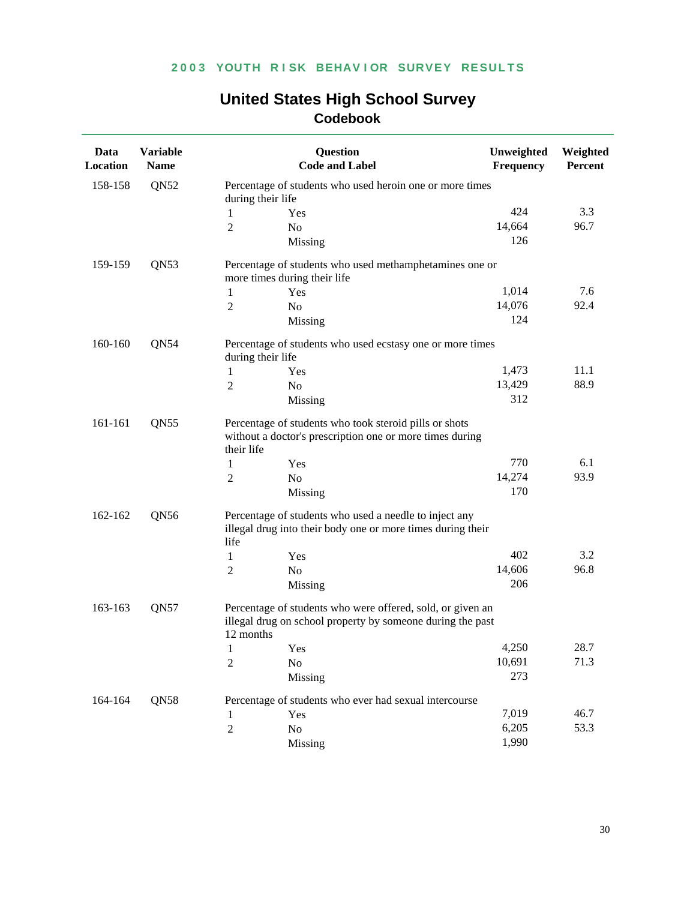| Data<br>Location | <b>Variable</b><br><b>Name</b> |                   | <b>Question</b><br><b>Code and Label</b>                                                                                 | Unweighted<br><b>Frequency</b> | Weighted<br>Percent |
|------------------|--------------------------------|-------------------|--------------------------------------------------------------------------------------------------------------------------|--------------------------------|---------------------|
| 158-158          | QN52                           | during their life | Percentage of students who used heroin one or more times                                                                 |                                |                     |
|                  |                                | 1                 | Yes                                                                                                                      | 424                            | 3.3                 |
|                  |                                | 2                 | No                                                                                                                       | 14,664                         | 96.7                |
|                  |                                |                   | Missing                                                                                                                  | 126                            |                     |
| 159-159          | QN53                           |                   | Percentage of students who used methamphetamines one or                                                                  |                                |                     |
|                  |                                |                   | more times during their life                                                                                             |                                |                     |
|                  |                                | 1                 | Yes                                                                                                                      | 1,014                          | 7.6                 |
|                  |                                | 2                 | N <sub>o</sub>                                                                                                           | 14,076                         | 92.4                |
|                  |                                |                   | Missing                                                                                                                  | 124                            |                     |
| 160-160          | QN54                           | during their life | Percentage of students who used ecstasy one or more times                                                                |                                |                     |
|                  |                                | 1                 | Yes                                                                                                                      | 1,473                          | 11.1                |
|                  |                                | 2                 | No                                                                                                                       | 13,429                         | 88.9                |
|                  |                                |                   | Missing                                                                                                                  | 312                            |                     |
| 161-161<br>QN55  |                                | their life        | Percentage of students who took steroid pills or shots<br>without a doctor's prescription one or more times during       |                                |                     |
|                  |                                | 1                 | Yes                                                                                                                      | 770                            | 6.1                 |
|                  |                                | 2                 | No                                                                                                                       | 14,274                         | 93.9                |
|                  |                                |                   | Missing                                                                                                                  | 170                            |                     |
| 162-162<br>QN56  |                                | life              | Percentage of students who used a needle to inject any<br>illegal drug into their body one or more times during their    |                                |                     |
|                  |                                | 1                 | Yes                                                                                                                      | 402                            | 3.2                 |
|                  |                                | 2                 | No                                                                                                                       | 14,606                         | 96.8                |
|                  |                                |                   | Missing                                                                                                                  | 206                            |                     |
| 163-163          | QN57                           | 12 months         | Percentage of students who were offered, sold, or given an<br>illegal drug on school property by someone during the past |                                |                     |
|                  |                                | $\mathbf{1}$      | Yes                                                                                                                      | 4,250                          | 28.7                |
|                  |                                | 2                 | No                                                                                                                       | 10,691                         | 71.3                |
|                  |                                |                   | Missing                                                                                                                  | 273                            |                     |
| 164-164          | QN58                           |                   | Percentage of students who ever had sexual intercourse                                                                   |                                |                     |
|                  |                                | 1                 | Yes                                                                                                                      | 7,019                          | 46.7                |
|                  |                                | $\sqrt{2}$        | No                                                                                                                       | 6,205                          | 53.3                |
|                  |                                |                   | Missing                                                                                                                  | 1,990                          |                     |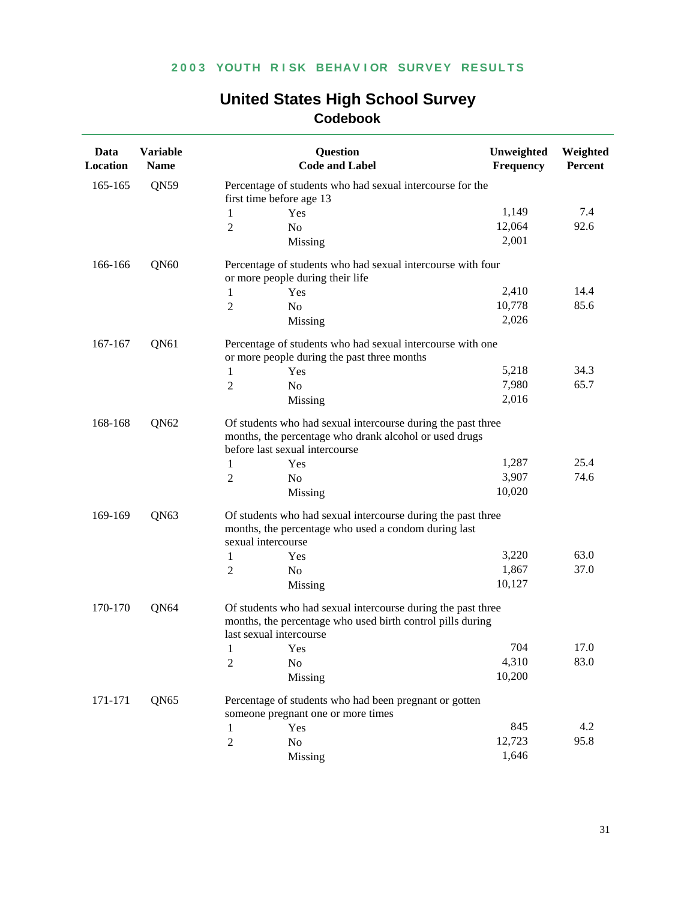| Data<br>Location            | <b>Variable</b><br><b>Name</b> | <b>Question</b><br><b>Code and Label</b>                                                                                                                 | Unweighted<br>Frequency                                    | Weighted<br>Percent |  |  |  |
|-----------------------------|--------------------------------|----------------------------------------------------------------------------------------------------------------------------------------------------------|------------------------------------------------------------|---------------------|--|--|--|
| 165-165                     | QN59                           | Percentage of students who had sexual intercourse for the<br>first time before age 13                                                                    |                                                            |                     |  |  |  |
|                             |                                | 1<br>Yes                                                                                                                                                 | 1,149                                                      | 7.4                 |  |  |  |
|                             |                                | $\overline{2}$<br>N <sub>o</sub>                                                                                                                         | 12,064                                                     | 92.6                |  |  |  |
|                             |                                | Missing                                                                                                                                                  | 2,001                                                      |                     |  |  |  |
| 166-166                     | QN <sub>60</sub>               | Percentage of students who had sexual intercourse with four<br>or more people during their life                                                          |                                                            |                     |  |  |  |
|                             |                                | 1<br>Yes                                                                                                                                                 | 2,410                                                      | 14.4                |  |  |  |
|                             |                                | $\overline{2}$<br>N <sub>o</sub>                                                                                                                         | 10,778                                                     | 85.6                |  |  |  |
|                             |                                | Missing                                                                                                                                                  | 2,026                                                      |                     |  |  |  |
| 167-167                     | QN61                           | or more people during the past three months                                                                                                              | Percentage of students who had sexual intercourse with one |                     |  |  |  |
|                             |                                | $\mathbf{1}$<br>Yes                                                                                                                                      | 5,218                                                      | 34.3                |  |  |  |
|                             |                                | $\overline{2}$<br>N <sub>0</sub>                                                                                                                         | 7,980                                                      | 65.7                |  |  |  |
|                             |                                | Missing                                                                                                                                                  | 2,016                                                      |                     |  |  |  |
| 168-168<br>QN <sub>62</sub> |                                | Of students who had sexual intercourse during the past three<br>months, the percentage who drank alcohol or used drugs<br>before last sexual intercourse |                                                            |                     |  |  |  |
|                             |                                | $\mathbf{1}$<br>Yes                                                                                                                                      | 1,287                                                      | 25.4                |  |  |  |
|                             |                                | $\overline{2}$<br>No                                                                                                                                     | 3,907                                                      | 74.6                |  |  |  |
|                             |                                | Missing                                                                                                                                                  | 10,020                                                     |                     |  |  |  |
| 169-169                     | QN63                           | Of students who had sexual intercourse during the past three<br>months, the percentage who used a condom during last                                     |                                                            |                     |  |  |  |
|                             |                                | sexual intercourse                                                                                                                                       | 3,220                                                      | 63.0                |  |  |  |
|                             |                                | 1<br>Yes<br>$\overline{2}$<br>N <sub>0</sub>                                                                                                             | 1,867                                                      | 37.0                |  |  |  |
|                             |                                | Missing                                                                                                                                                  | 10,127                                                     |                     |  |  |  |
| 170-170                     | QN64                           | Of students who had sexual intercourse during the past three<br>months, the percentage who used birth control pills during<br>last sexual intercourse    |                                                            |                     |  |  |  |
|                             |                                | Yes<br>1                                                                                                                                                 | 704                                                        | 17.0                |  |  |  |
|                             |                                | 2<br>No                                                                                                                                                  | 4,310                                                      | 83.0                |  |  |  |
|                             |                                | Missing                                                                                                                                                  | 10,200                                                     |                     |  |  |  |
| 171-171                     | QN65                           | Percentage of students who had been pregnant or gotten<br>someone pregnant one or more times                                                             |                                                            |                     |  |  |  |
|                             |                                | Yes<br>1                                                                                                                                                 | 845                                                        | 4.2                 |  |  |  |
|                             |                                | $\sqrt{2}$<br>N <sub>o</sub>                                                                                                                             | 12,723                                                     | 95.8                |  |  |  |
|                             |                                | Missing                                                                                                                                                  | 1,646                                                      |                     |  |  |  |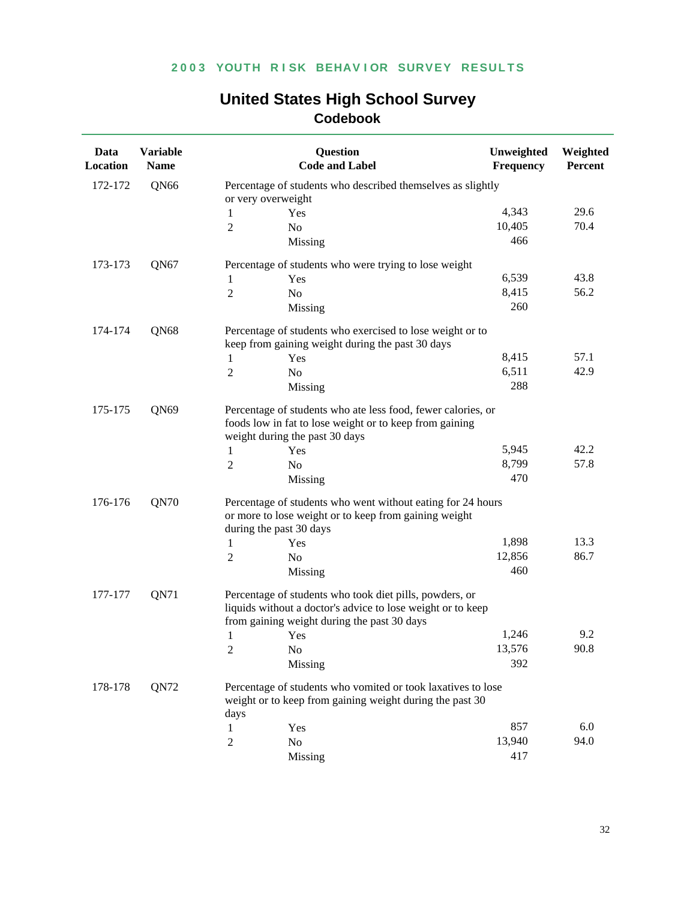| Data<br>Location | <b>Variable</b><br><b>Name</b> |                    | Question<br><b>Code and Label</b>                                                                                                                                     | Unweighted<br>Frequency | Weighted<br>Percent |
|------------------|--------------------------------|--------------------|-----------------------------------------------------------------------------------------------------------------------------------------------------------------------|-------------------------|---------------------|
| 172-172          | QN <sub>66</sub>               | or very overweight | Percentage of students who described themselves as slightly                                                                                                           |                         |                     |
|                  |                                | 1                  | Yes                                                                                                                                                                   | 4,343                   | 29.6                |
|                  |                                | $\overline{2}$     | N <sub>0</sub>                                                                                                                                                        | 10,405                  | 70.4                |
|                  |                                |                    | Missing                                                                                                                                                               | 466                     |                     |
| 173-173          | QN67                           |                    | Percentage of students who were trying to lose weight                                                                                                                 |                         |                     |
|                  |                                | 1                  | Yes                                                                                                                                                                   | 6,539                   | 43.8                |
|                  |                                | 2                  | N <sub>o</sub>                                                                                                                                                        | 8,415                   | 56.2                |
|                  |                                |                    | Missing                                                                                                                                                               | 260                     |                     |
| 174-174          | QN68                           |                    | Percentage of students who exercised to lose weight or to<br>keep from gaining weight during the past 30 days                                                         |                         |                     |
|                  |                                | 1                  | Yes                                                                                                                                                                   | 8,415                   | 57.1                |
|                  |                                | $\overline{2}$     | N <sub>o</sub>                                                                                                                                                        | 6,511                   | 42.9                |
|                  |                                |                    | Missing                                                                                                                                                               | 288                     |                     |
| 175-175<br>QN69  |                                |                    | Percentage of students who ate less food, fewer calories, or<br>foods low in fat to lose weight or to keep from gaining<br>weight during the past 30 days             |                         |                     |
|                  |                                | 1                  | Yes                                                                                                                                                                   | 5,945                   | 42.2                |
|                  |                                | $\overline{2}$     | No                                                                                                                                                                    | 8,799                   | 57.8                |
|                  |                                |                    | Missing                                                                                                                                                               | 470                     |                     |
| QN70<br>176-176  |                                |                    | Percentage of students who went without eating for 24 hours<br>or more to lose weight or to keep from gaining weight<br>during the past 30 days                       |                         |                     |
|                  |                                | 1                  | Yes                                                                                                                                                                   | 1,898                   | 13.3                |
|                  |                                | $\overline{2}$     | N <sub>o</sub>                                                                                                                                                        | 12,856                  | 86.7                |
|                  |                                |                    | Missing                                                                                                                                                               | 460                     |                     |
| 177-177          | QN71                           |                    | Percentage of students who took diet pills, powders, or<br>liquids without a doctor's advice to lose weight or to keep<br>from gaining weight during the past 30 days |                         |                     |
|                  |                                | 1                  | Yes                                                                                                                                                                   | 1,246                   | 9.2                 |
|                  |                                | $\sqrt{2}$         | No                                                                                                                                                                    | 13,576                  | 90.8                |
|                  |                                |                    | Missing                                                                                                                                                               | 392                     |                     |
| 178-178          | QN72                           | days               | Percentage of students who vomited or took laxatives to lose<br>weight or to keep from gaining weight during the past 30                                              |                         |                     |
|                  |                                | 1                  | Yes                                                                                                                                                                   | 857                     | 6.0                 |
|                  |                                | $\sqrt{2}$         | N <sub>o</sub>                                                                                                                                                        | 13,940                  | 94.0                |
|                  |                                |                    | Missing                                                                                                                                                               | 417                     |                     |
|                  |                                |                    |                                                                                                                                                                       |                         |                     |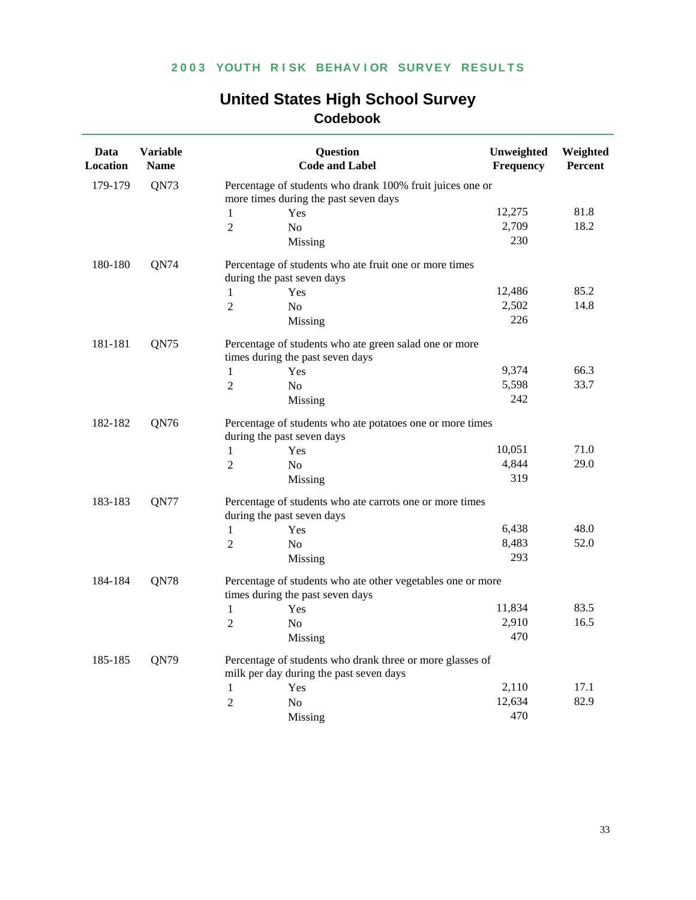| <b>United States High School Survey</b> |  |  |  |  |  |
|-----------------------------------------|--|--|--|--|--|
| Codebook                                |  |  |  |  |  |

| Data<br>Location | <b>Variable</b><br><b>Name</b> |                                                                                      | <b>Question</b><br><b>Code and Label</b>                                                        | Unweighted<br>Frequency | Weighted<br>Percent |  |  |
|------------------|--------------------------------|--------------------------------------------------------------------------------------|-------------------------------------------------------------------------------------------------|-------------------------|---------------------|--|--|
| 179-179          | QN73                           | Percentage of students who drank 100% fruit juices one or                            |                                                                                                 |                         |                     |  |  |
|                  |                                |                                                                                      | more times during the past seven days                                                           |                         |                     |  |  |
|                  |                                | 1                                                                                    | Yes                                                                                             | 12,275                  | 81.8                |  |  |
|                  |                                | $\overline{2}$                                                                       | N <sub>o</sub>                                                                                  | 2,709                   | 18.2                |  |  |
|                  |                                |                                                                                      | Missing                                                                                         | 230                     |                     |  |  |
| 180-180          | QN74                           | Percentage of students who ate fruit one or more times<br>during the past seven days |                                                                                                 |                         |                     |  |  |
|                  |                                | 1                                                                                    | Yes                                                                                             | 12,486                  | 85.2                |  |  |
|                  |                                | $\overline{2}$                                                                       | N <sub>o</sub>                                                                                  | 2,502                   | 14.8                |  |  |
|                  |                                |                                                                                      | Missing                                                                                         | 226                     |                     |  |  |
| 181-181          | QN75                           |                                                                                      | Percentage of students who ate green salad one or more                                          |                         |                     |  |  |
|                  |                                |                                                                                      | times during the past seven days                                                                |                         |                     |  |  |
|                  |                                | 1                                                                                    | Yes                                                                                             | 9,374                   | 66.3                |  |  |
|                  |                                | $\overline{2}$                                                                       | N <sub>o</sub>                                                                                  | 5,598                   | 33.7                |  |  |
|                  |                                |                                                                                      | Missing                                                                                         | 242                     |                     |  |  |
| 182-182          | QN76                           |                                                                                      | Percentage of students who ate potatoes one or more times<br>during the past seven days         |                         |                     |  |  |
|                  |                                | $\mathbf{1}$                                                                         | Yes                                                                                             | 10,051                  | 71.0                |  |  |
|                  |                                | $\overline{2}$                                                                       | N <sub>o</sub>                                                                                  | 4,844                   | 29.0                |  |  |
|                  |                                |                                                                                      | Missing                                                                                         | 319                     |                     |  |  |
| 183-183          | QN77                           |                                                                                      | Percentage of students who ate carrots one or more times<br>during the past seven days          |                         |                     |  |  |
|                  |                                | 1                                                                                    | Yes                                                                                             | 6,438                   | 48.0                |  |  |
|                  |                                | $\overline{2}$                                                                       | N <sub>o</sub>                                                                                  | 8,483                   | 52.0                |  |  |
|                  |                                |                                                                                      | Missing                                                                                         | 293                     |                     |  |  |
| 184-184          | QN78                           |                                                                                      | Percentage of students who ate other vegetables one or more<br>times during the past seven days |                         |                     |  |  |
|                  |                                | $\mathbf{1}$                                                                         | Yes                                                                                             | 11,834                  | 83.5                |  |  |
|                  |                                | $\overline{2}$                                                                       | N <sub>0</sub>                                                                                  | 2,910                   | 16.5                |  |  |
|                  |                                |                                                                                      | Missing                                                                                         | 470                     |                     |  |  |
| 185-185          | QN79                           |                                                                                      | Percentage of students who drank three or more glasses of                                       |                         |                     |  |  |
|                  |                                |                                                                                      | milk per day during the past seven days                                                         |                         |                     |  |  |
|                  |                                | 1                                                                                    | Yes                                                                                             | 2,110                   | 17.1                |  |  |
|                  |                                | $\overline{2}$                                                                       | No                                                                                              | 12,634                  | 82.9                |  |  |
|                  |                                |                                                                                      | Missing                                                                                         | 470                     |                     |  |  |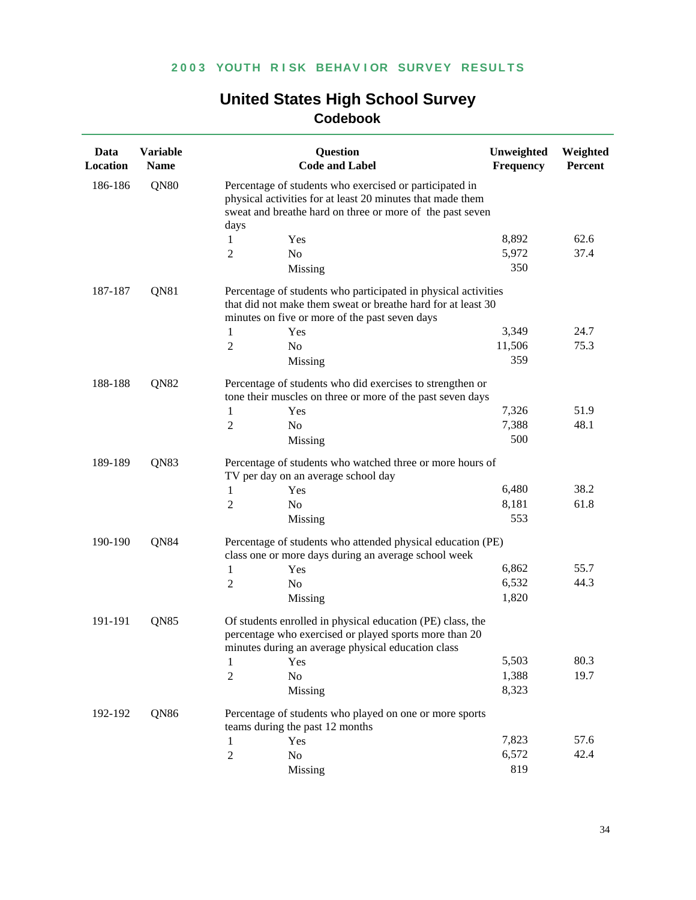| Data<br>Location | <b>Variable</b><br><b>Name</b> |                                                                                                                                                                                    | <b>Question</b><br><b>Code and Label</b>                                                                                                                                   | Unweighted<br>Frequency | Weighted<br>Percent |  |  |
|------------------|--------------------------------|------------------------------------------------------------------------------------------------------------------------------------------------------------------------------------|----------------------------------------------------------------------------------------------------------------------------------------------------------------------------|-------------------------|---------------------|--|--|
| 186-186          | QN80                           | Percentage of students who exercised or participated in<br>physical activities for at least 20 minutes that made them<br>sweat and breathe hard on three or more of the past seven |                                                                                                                                                                            |                         |                     |  |  |
|                  |                                | days<br>1                                                                                                                                                                          | Yes                                                                                                                                                                        | 8,892                   | 62.6                |  |  |
|                  |                                | 2                                                                                                                                                                                  | No                                                                                                                                                                         | 5,972                   | 37.4                |  |  |
|                  |                                |                                                                                                                                                                                    | Missing                                                                                                                                                                    | 350                     |                     |  |  |
| 187-187<br>QN81  |                                | Percentage of students who participated in physical activities<br>that did not make them sweat or breathe hard for at least 30<br>minutes on five or more of the past seven days   |                                                                                                                                                                            |                         |                     |  |  |
|                  |                                | 1                                                                                                                                                                                  | Yes                                                                                                                                                                        | 3,349                   | 24.7                |  |  |
|                  |                                | 2                                                                                                                                                                                  | N <sub>o</sub>                                                                                                                                                             | 11,506                  | 75.3                |  |  |
|                  |                                |                                                                                                                                                                                    | Missing                                                                                                                                                                    | 359                     |                     |  |  |
| 188-188          | QN82                           | Percentage of students who did exercises to strengthen or<br>tone their muscles on three or more of the past seven days                                                            |                                                                                                                                                                            |                         |                     |  |  |
|                  |                                | 1                                                                                                                                                                                  | Yes                                                                                                                                                                        | 7,326                   | 51.9                |  |  |
|                  |                                | $\overline{2}$                                                                                                                                                                     | No                                                                                                                                                                         | 7,388                   | 48.1                |  |  |
|                  |                                |                                                                                                                                                                                    | Missing                                                                                                                                                                    | 500                     |                     |  |  |
| QN83<br>189-189  |                                | Percentage of students who watched three or more hours of<br>TV per day on an average school day                                                                                   |                                                                                                                                                                            |                         |                     |  |  |
|                  |                                | 1                                                                                                                                                                                  | Yes                                                                                                                                                                        | 6,480                   | 38.2                |  |  |
|                  |                                | 2                                                                                                                                                                                  | N <sub>0</sub>                                                                                                                                                             | 8,181                   | 61.8                |  |  |
|                  |                                |                                                                                                                                                                                    | Missing                                                                                                                                                                    | 553                     |                     |  |  |
| 190-190<br>QN84  |                                | Percentage of students who attended physical education (PE)<br>class one or more days during an average school week                                                                |                                                                                                                                                                            |                         |                     |  |  |
|                  |                                | 1                                                                                                                                                                                  | Yes                                                                                                                                                                        | 6,862                   | 55.7                |  |  |
|                  |                                | 2                                                                                                                                                                                  | No                                                                                                                                                                         | 6,532                   | 44.3                |  |  |
|                  |                                |                                                                                                                                                                                    | Missing                                                                                                                                                                    | 1,820                   |                     |  |  |
| 191-191<br>QN85  |                                |                                                                                                                                                                                    | Of students enrolled in physical education (PE) class, the<br>percentage who exercised or played sports more than 20<br>minutes during an average physical education class |                         |                     |  |  |
|                  |                                | 1                                                                                                                                                                                  | Yes                                                                                                                                                                        | 5,503                   | 80.3                |  |  |
|                  |                                | $\sqrt{2}$                                                                                                                                                                         | No                                                                                                                                                                         | 1,388                   | 19.7                |  |  |
|                  |                                |                                                                                                                                                                                    | Missing                                                                                                                                                                    | 8,323                   |                     |  |  |
| 192-192          | QN86                           |                                                                                                                                                                                    | Percentage of students who played on one or more sports<br>teams during the past 12 months                                                                                 |                         |                     |  |  |
|                  |                                | 1                                                                                                                                                                                  | Yes                                                                                                                                                                        | 7,823                   | 57.6                |  |  |
|                  |                                | $\overline{2}$                                                                                                                                                                     | No                                                                                                                                                                         | 6,572                   | 42.4                |  |  |
|                  |                                |                                                                                                                                                                                    | Missing                                                                                                                                                                    | 819                     |                     |  |  |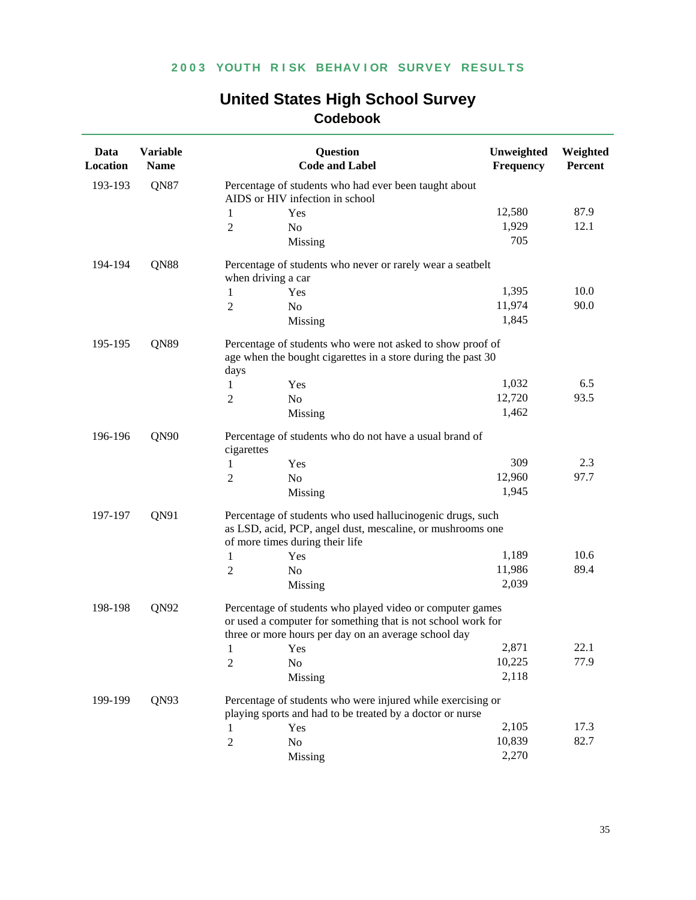| Data<br>Location | <b>Variable</b><br><b>Name</b> |                                                                                                                            | <b>Question</b><br><b>Code and Label</b>                                                                                  | Unweighted<br>Frequency                                     | Weighted<br>Percent |  |
|------------------|--------------------------------|----------------------------------------------------------------------------------------------------------------------------|---------------------------------------------------------------------------------------------------------------------------|-------------------------------------------------------------|---------------------|--|
| 193-193          | QN87                           | Percentage of students who had ever been taught about<br>AIDS or HIV infection in school                                   |                                                                                                                           |                                                             |                     |  |
|                  |                                | 1                                                                                                                          | Yes                                                                                                                       | 12,580                                                      | 87.9                |  |
|                  |                                | $\overline{2}$                                                                                                             | No                                                                                                                        | 1,929                                                       | 12.1                |  |
|                  |                                |                                                                                                                            | Missing                                                                                                                   | 705                                                         |                     |  |
| 194-194          | QN88                           |                                                                                                                            | Percentage of students who never or rarely wear a seatbelt                                                                |                                                             |                     |  |
|                  |                                | when driving a car                                                                                                         |                                                                                                                           |                                                             |                     |  |
|                  |                                | 1                                                                                                                          | Yes                                                                                                                       | 1,395                                                       | 10.0                |  |
|                  |                                | 2                                                                                                                          | N <sub>o</sub>                                                                                                            | 11,974                                                      | 90.0                |  |
|                  |                                |                                                                                                                            | Missing                                                                                                                   | 1,845                                                       |                     |  |
| 195-195          | QN89                           | Percentage of students who were not asked to show proof of<br>age when the bought cigarettes in a store during the past 30 |                                                                                                                           |                                                             |                     |  |
|                  |                                | days                                                                                                                       |                                                                                                                           | 1,032                                                       | 6.5                 |  |
|                  |                                | 1                                                                                                                          | Yes                                                                                                                       | 12,720                                                      | 93.5                |  |
|                  |                                | 2                                                                                                                          | N <sub>o</sub>                                                                                                            |                                                             |                     |  |
|                  |                                |                                                                                                                            | Missing                                                                                                                   | 1,462                                                       |                     |  |
| 196-196          | QN90                           | cigarettes                                                                                                                 | Percentage of students who do not have a usual brand of                                                                   |                                                             |                     |  |
|                  |                                | 1                                                                                                                          | Yes                                                                                                                       | 309                                                         | 2.3                 |  |
|                  |                                | 2                                                                                                                          | No                                                                                                                        | 12,960                                                      | 97.7                |  |
|                  |                                |                                                                                                                            | Missing                                                                                                                   | 1,945                                                       |                     |  |
| 197-197          | QN91                           | Percentage of students who used hallucinogenic drugs, such                                                                 |                                                                                                                           |                                                             |                     |  |
|                  |                                |                                                                                                                            | as LSD, acid, PCP, angel dust, mescaline, or mushrooms one                                                                |                                                             |                     |  |
|                  |                                |                                                                                                                            | of more times during their life                                                                                           |                                                             |                     |  |
|                  |                                | 1                                                                                                                          | Yes                                                                                                                       | 1,189                                                       | 10.6                |  |
|                  |                                | $\overline{2}$                                                                                                             | No                                                                                                                        | 11,986                                                      | 89.4                |  |
|                  |                                |                                                                                                                            | Missing                                                                                                                   | 2,039                                                       |                     |  |
| 198-198          | QN92                           |                                                                                                                            | Percentage of students who played video or computer games<br>or used a computer for something that is not school work for |                                                             |                     |  |
|                  |                                |                                                                                                                            | three or more hours per day on an average school day                                                                      |                                                             |                     |  |
|                  |                                |                                                                                                                            | Yes                                                                                                                       | 2,871                                                       | 22.1                |  |
|                  |                                | 2                                                                                                                          | No                                                                                                                        | 10,225                                                      | 77.9                |  |
|                  |                                |                                                                                                                            | Missing                                                                                                                   | 2,118                                                       |                     |  |
| 199-199          | QN93                           |                                                                                                                            | playing sports and had to be treated by a doctor or nurse                                                                 | Percentage of students who were injured while exercising or |                     |  |
|                  |                                | 1                                                                                                                          | Yes                                                                                                                       | 2,105                                                       | 17.3                |  |
|                  |                                | $\overline{2}$                                                                                                             | No                                                                                                                        | 10,839                                                      | 82.7                |  |
|                  |                                |                                                                                                                            | Missing                                                                                                                   | 2,270                                                       |                     |  |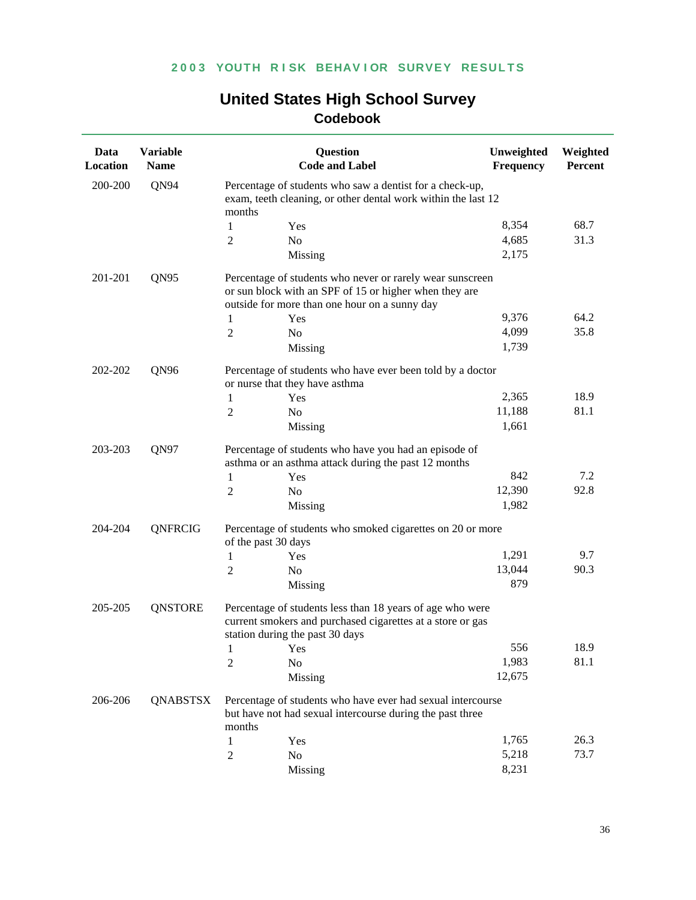| Data<br>Location | <b>Variable</b><br><b>Name</b> |                                                                                                                                                                      | <b>Question</b><br><b>Code and Label</b>                                                                                                                   | Unweighted<br><b>Frequency</b> | Weighted<br>Percent |  |
|------------------|--------------------------------|----------------------------------------------------------------------------------------------------------------------------------------------------------------------|------------------------------------------------------------------------------------------------------------------------------------------------------------|--------------------------------|---------------------|--|
| 200-200          | QN94                           | Percentage of students who saw a dentist for a check-up,<br>exam, teeth cleaning, or other dental work within the last 12<br>months                                  |                                                                                                                                                            |                                |                     |  |
|                  |                                | $\mathbf{1}$                                                                                                                                                         | Yes                                                                                                                                                        | 8,354                          | 68.7                |  |
|                  |                                | 2                                                                                                                                                                    | N <sub>0</sub>                                                                                                                                             | 4,685                          | 31.3                |  |
|                  |                                |                                                                                                                                                                      | Missing                                                                                                                                                    | 2,175                          |                     |  |
| 201-201          | QN95                           | Percentage of students who never or rarely wear sunscreen<br>or sun block with an SPF of 15 or higher when they are<br>outside for more than one hour on a sunny day |                                                                                                                                                            |                                |                     |  |
|                  |                                | 1                                                                                                                                                                    | Yes                                                                                                                                                        | 9,376                          | 64.2                |  |
|                  |                                | $\overline{2}$                                                                                                                                                       | N <sub>o</sub>                                                                                                                                             | 4,099                          | 35.8                |  |
|                  |                                |                                                                                                                                                                      | Missing                                                                                                                                                    | 1,739                          |                     |  |
| 202-202          | QN96                           | Percentage of students who have ever been told by a doctor<br>or nurse that they have asthma                                                                         |                                                                                                                                                            |                                |                     |  |
|                  |                                | 1                                                                                                                                                                    | Yes                                                                                                                                                        | 2,365                          | 18.9                |  |
|                  |                                | $\overline{2}$                                                                                                                                                       | N <sub>o</sub>                                                                                                                                             | 11,188                         | 81.1                |  |
|                  |                                |                                                                                                                                                                      | Missing                                                                                                                                                    | 1,661                          |                     |  |
| 203-203          | QN97                           | Percentage of students who have you had an episode of<br>asthma or an asthma attack during the past 12 months                                                        |                                                                                                                                                            |                                |                     |  |
|                  |                                | 1                                                                                                                                                                    | Yes                                                                                                                                                        | 842                            | 7.2                 |  |
|                  |                                | $\overline{2}$                                                                                                                                                       | No                                                                                                                                                         | 12,390                         | 92.8                |  |
|                  |                                |                                                                                                                                                                      | Missing                                                                                                                                                    | 1,982                          |                     |  |
| 204-204          | QNFRCIG                        | of the past 30 days                                                                                                                                                  | Percentage of students who smoked cigarettes on 20 or more                                                                                                 |                                |                     |  |
|                  |                                | 1                                                                                                                                                                    | Yes                                                                                                                                                        | 1,291                          | 9.7                 |  |
|                  |                                | 2                                                                                                                                                                    | N <sub>0</sub>                                                                                                                                             | 13,044                         | 90.3                |  |
|                  |                                |                                                                                                                                                                      | Missing                                                                                                                                                    | 879                            |                     |  |
| 205-205          | <b>QNSTORE</b>                 |                                                                                                                                                                      | Percentage of students less than 18 years of age who were<br>current smokers and purchased cigarettes at a store or gas<br>station during the past 30 days |                                |                     |  |
|                  |                                | 1 Yes                                                                                                                                                                |                                                                                                                                                            | 556                            | 18.9                |  |
|                  |                                | 2                                                                                                                                                                    | N <sub>0</sub>                                                                                                                                             | 1,983                          | 81.1                |  |
|                  |                                |                                                                                                                                                                      | Missing                                                                                                                                                    | 12,675                         |                     |  |
| 206-206          | QNABSTSX                       | months                                                                                                                                                               | Percentage of students who have ever had sexual intercourse<br>but have not had sexual intercourse during the past three                                   |                                |                     |  |
|                  |                                | 1                                                                                                                                                                    | Yes                                                                                                                                                        | 1,765                          | 26.3                |  |
|                  |                                | 2                                                                                                                                                                    | No                                                                                                                                                         | 5,218                          | 73.7                |  |
|                  |                                |                                                                                                                                                                      | Missing                                                                                                                                                    | 8,231                          |                     |  |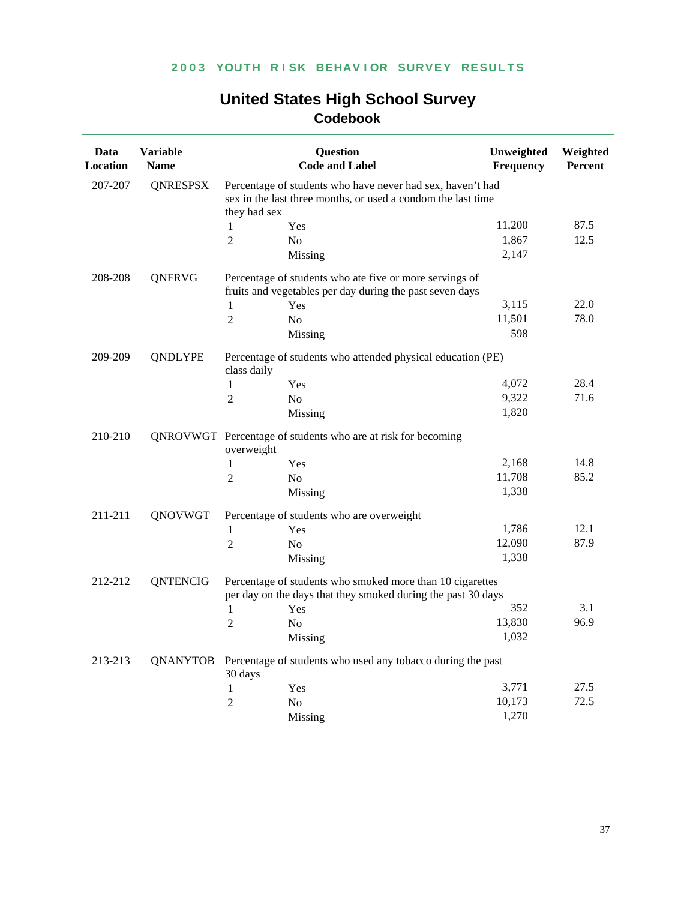| Data<br>Location | <b>Variable</b><br><b>Name</b> |                                                                                                                                            | <b>Question</b><br><b>Code and Label</b>                                                                                  | Unweighted<br>Frequency | Weighted<br><b>Percent</b> |  |
|------------------|--------------------------------|--------------------------------------------------------------------------------------------------------------------------------------------|---------------------------------------------------------------------------------------------------------------------------|-------------------------|----------------------------|--|
| 207-207          | <b>QNRESPSX</b>                | Percentage of students who have never had sex, haven't had<br>sex in the last three months, or used a condom the last time<br>they had sex |                                                                                                                           |                         |                            |  |
|                  |                                | 1                                                                                                                                          | Yes                                                                                                                       | 11,200                  | 87.5                       |  |
|                  |                                | $\overline{2}$                                                                                                                             | N <sub>o</sub>                                                                                                            | 1,867                   | 12.5                       |  |
|                  |                                |                                                                                                                                            | Missing                                                                                                                   | 2,147                   |                            |  |
| 208-208          | QNFRVG                         |                                                                                                                                            | Percentage of students who ate five or more servings of<br>fruits and vegetables per day during the past seven days       |                         |                            |  |
|                  |                                | 1                                                                                                                                          | Yes                                                                                                                       | 3,115                   | 22.0                       |  |
|                  |                                | $\overline{2}$                                                                                                                             | N <sub>0</sub>                                                                                                            | 11,501                  | 78.0                       |  |
|                  |                                |                                                                                                                                            | Missing                                                                                                                   | 598                     |                            |  |
| 209-209          | <b>QNDLYPE</b>                 | Percentage of students who attended physical education (PE)<br>class daily                                                                 |                                                                                                                           |                         |                            |  |
|                  |                                | 1                                                                                                                                          | Yes                                                                                                                       | 4,072                   | 28.4                       |  |
|                  |                                | $\overline{2}$                                                                                                                             | N <sub>0</sub>                                                                                                            | 9,322                   | 71.6                       |  |
|                  |                                |                                                                                                                                            | Missing                                                                                                                   | 1,820                   |                            |  |
| 210-210          |                                | QNROVWGT Percentage of students who are at risk for becoming<br>overweight                                                                 |                                                                                                                           |                         |                            |  |
|                  |                                | 1                                                                                                                                          | Yes                                                                                                                       | 2,168                   | 14.8                       |  |
|                  |                                | $\overline{2}$                                                                                                                             | N <sub>o</sub>                                                                                                            | 11,708                  | 85.2                       |  |
|                  |                                |                                                                                                                                            | Missing                                                                                                                   | 1,338                   |                            |  |
| 211-211          | QNOVWGT                        |                                                                                                                                            | Percentage of students who are overweight                                                                                 |                         |                            |  |
|                  |                                | $\mathbf{1}$                                                                                                                               | Yes                                                                                                                       | 1,786                   | 12.1                       |  |
|                  |                                | $\overline{2}$                                                                                                                             | N <sub>o</sub>                                                                                                            | 12,090                  | 87.9                       |  |
|                  |                                |                                                                                                                                            | Missing                                                                                                                   | 1,338                   |                            |  |
| 212-212          | <b>QNTENCIG</b>                |                                                                                                                                            | Percentage of students who smoked more than 10 cigarettes<br>per day on the days that they smoked during the past 30 days |                         |                            |  |
|                  |                                | 1                                                                                                                                          | Yes                                                                                                                       | 352                     | 3.1                        |  |
|                  |                                | $\overline{2}$                                                                                                                             | N <sub>0</sub>                                                                                                            | 13,830                  | 96.9                       |  |
|                  |                                |                                                                                                                                            | Missing                                                                                                                   | 1,032                   |                            |  |
| 213-213          | QNANYTOB                       | 30 days                                                                                                                                    | Percentage of students who used any tobacco during the past                                                               |                         |                            |  |
|                  |                                | $\mathbf{1}$                                                                                                                               | Yes                                                                                                                       | 3,771                   | 27.5                       |  |
|                  |                                | $\overline{2}$                                                                                                                             | N <sub>0</sub>                                                                                                            | 10,173                  | 72.5                       |  |
|                  |                                |                                                                                                                                            | Missing                                                                                                                   | 1,270                   |                            |  |